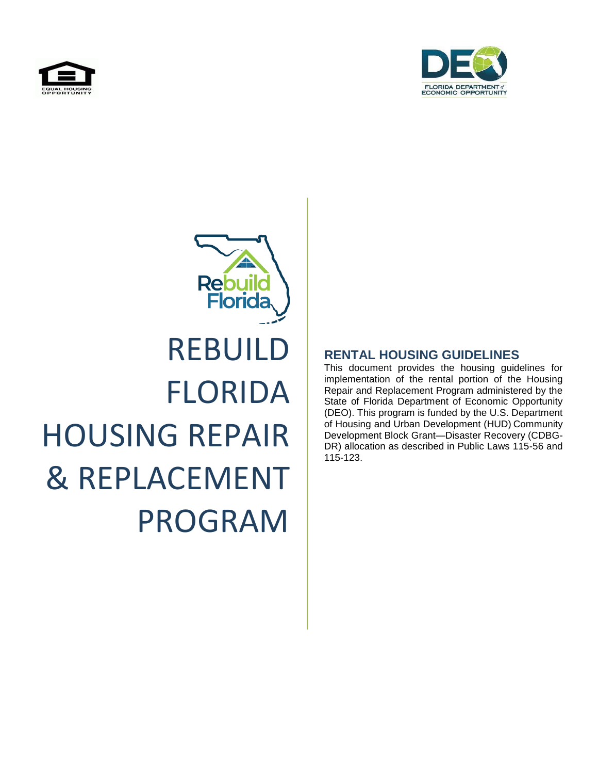



# Rebui **Florida** REBUILD FLORIDA HOUSING REPAIR & REPLACEMENT PROGRAM

### **RENTAL HOUSING GUIDELINES**

This document provides the housing guidelines for implementation of the rental portion of the Housing Repair and Replacement Program administered by the State of Florida Department of Economic Opportunity (DEO). This program is funded by the U.S. Department of Housing and Urban Development (HUD) Community Development Block Grant—Disaster Recovery (CDBG-DR) allocation as described in Public Laws 115-56 and 115-123.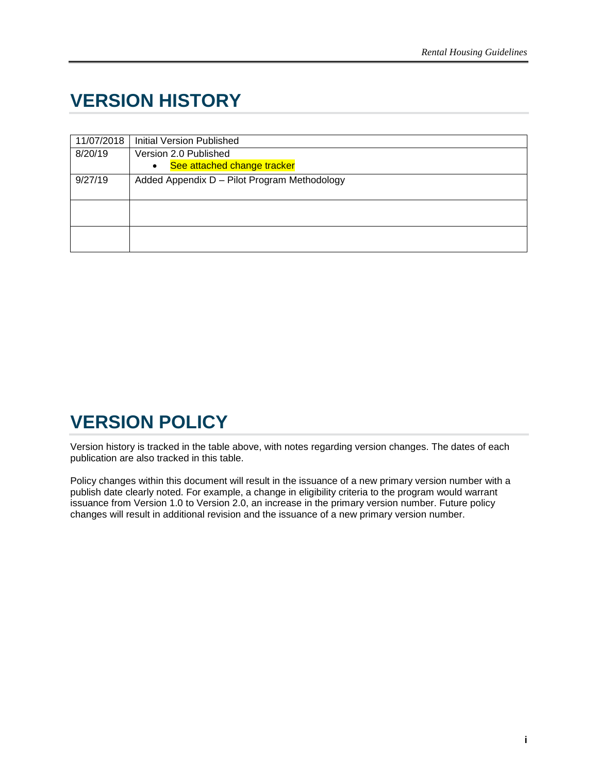# <span id="page-1-0"></span>**VERSION HISTORY**

| 11/07/2018 | <b>Initial Version Published</b>             |
|------------|----------------------------------------------|
| 8/20/19    | Version 2.0 Published                        |
|            | See attached change tracker<br>$\bullet$     |
| 9/27/19    | Added Appendix D - Pilot Program Methodology |
|            |                                              |
|            |                                              |
|            |                                              |
|            |                                              |
|            |                                              |

# <span id="page-1-1"></span>**VERSION POLICY**

Version history is tracked in the table above, with notes regarding version changes. The dates of each publication are also tracked in this table.

Policy changes within this document will result in the issuance of a new primary version number with a publish date clearly noted. For example, a change in eligibility criteria to the program would warrant issuance from Version 1.0 to Version 2.0, an increase in the primary version number. Future policy changes will result in additional revision and the issuance of a new primary version number.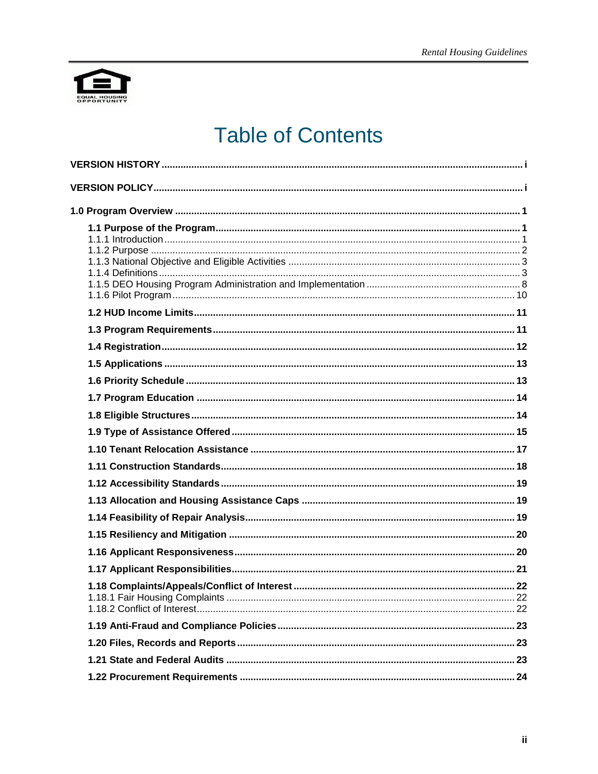

# **Table of Contents**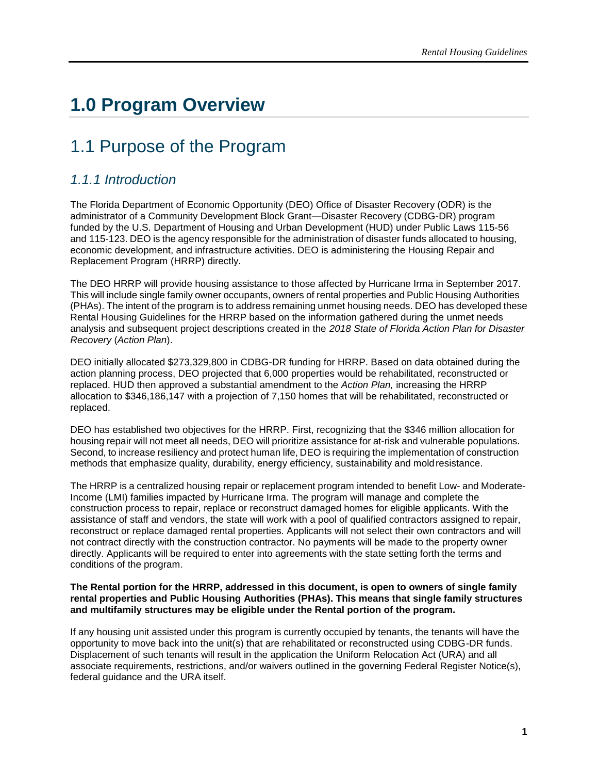# <span id="page-6-0"></span>**1.0 Program Overview**

# <span id="page-6-1"></span>1.1 Purpose of the Program

### <span id="page-6-2"></span>*1.1.1 Introduction*

The Florida Department of Economic Opportunity (DEO) Office of Disaster Recovery (ODR) is the administrator of a Community Development Block Grant—Disaster Recovery (CDBG-DR) program funded by the U.S. Department of Housing and Urban Development (HUD) under Public Laws 115-56 and 115-123. DEO is the agency responsible for the administration of disaster funds allocated to housing, economic development, and infrastructure activities. DEO is administering the Housing Repair and Replacement Program (HRRP) directly.

The DEO HRRP will provide housing assistance to those affected by Hurricane Irma in September 2017. This will include single family owner occupants, owners of rental properties and Public Housing Authorities (PHAs). The intent of the program is to address remaining unmet housing needs. DEO has developed these Rental Housing Guidelines for the HRRP based on the information gathered during the unmet needs analysis and subsequent project descriptions created in the *2018 State of Florida Action Plan for Disaster Recovery* (*Action Plan*).

DEO initially allocated \$273,329,800 in CDBG-DR funding for HRRP. Based on data obtained during the action planning process, DEO projected that 6,000 properties would be rehabilitated, reconstructed or replaced. HUD then approved a substantial amendment to the *Action Plan,* increasing the HRRP allocation to \$346,186,147 with a projection of 7,150 homes that will be rehabilitated, reconstructed or replaced.

DEO has established two objectives for the HRRP. First, recognizing that the \$346 million allocation for housing repair will not meet all needs, DEO will prioritize assistance for at-risk and vulnerable populations. Second, to increase resiliency and protect human life, DEO is requiring the implementation of construction methods that emphasize quality, durability, energy efficiency, sustainability and moldresistance.

The HRRP is a centralized housing repair or replacement program intended to benefit Low- and Moderate-Income (LMI) families impacted by Hurricane Irma. The program will manage and complete the construction process to repair, replace or reconstruct damaged homes for eligible applicants. With the assistance of staff and vendors, the state will work with a pool of qualified contractors assigned to repair, reconstruct or replace damaged rental properties. Applicants will not select their own contractors and will not contract directly with the construction contractor. No payments will be made to the property owner directly. Applicants will be required to enter into agreements with the state setting forth the terms and conditions of the program.

#### **The Rental portion for the HRRP, addressed in this document, is open to owners of single family rental properties and Public Housing Authorities (PHAs). This means that single family structures and multifamily structures may be eligible under the Rental portion of the program.**

If any housing unit assisted under this program is currently occupied by tenants, the tenants will have the opportunity to move back into the unit(s) that are rehabilitated or reconstructed using CDBG-DR funds. Displacement of such tenants will result in the application the Uniform Relocation Act (URA) and all associate requirements, restrictions, and/or waivers outlined in the governing Federal Register Notice(s), federal guidance and the URA itself.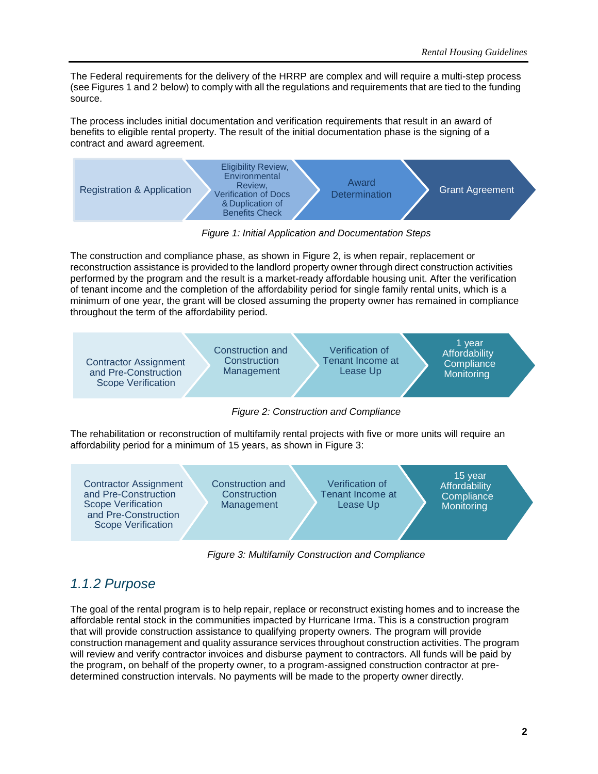<span id="page-7-1"></span>The Federal requirements for the delivery of the HRRP are complex and will require a multi-step process (see [Figures](#page-7-1) 1 and [2](#page-7-2) below) to comply with all the regulations and requirements that are tied to the funding source.

The process includes initial documentation and verification requirements that result in an award of benefits to eligible rental property. The result of the initial documentation phase is the signing of a contract and award agreement.



*Figure 1: Initial Application and Documentation Steps*

The construction and compliance phase, as shown in [Figure 2,](#page-7-2) is when repair, replacement or reconstruction assistance is provided to the landlord property owner through direct construction activities performed by the program and the result is a market-ready affordable housing unit. After the verification of tenant income and the completion of the affordability period for single family rental units, which is a minimum of one year, the grant will be closed assuming the property owner has remained in compliance throughout the term of the affordability period.



<span id="page-7-2"></span>*Figure 2: Construction and Compliance*

The rehabilitation or reconstruction of multifamily rental projects with five or more units will require an affordability period for a minimum of 15 years, as shown in Figure 3:



*Figure 3: Multifamily Construction and Compliance*

### <span id="page-7-0"></span>*1.1.2 Purpose*

The goal of the rental program is to help repair, replace or reconstruct existing homes and to increase the affordable rental stock in the communities impacted by Hurricane Irma. This is a construction program that will provide construction assistance to qualifying property owners. The program will provide construction management and quality assurance services throughout construction activities. The program will review and verify contractor invoices and disburse payment to contractors. All funds will be paid by the program, on behalf of the property owner, to a program-assigned construction contractor at predetermined construction intervals. No payments will be made to the property owner directly.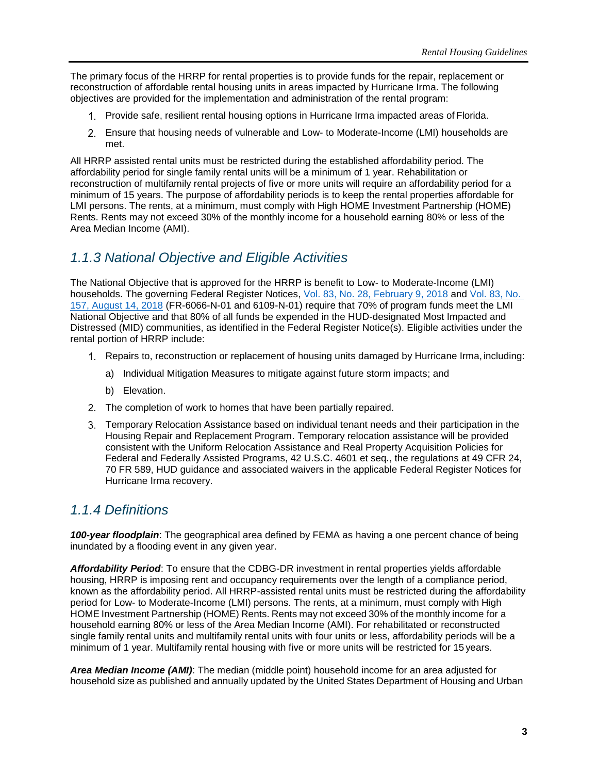The primary focus of the HRRP for rental properties is to provide funds for the repair, replacement or reconstruction of affordable rental housing units in areas impacted by Hurricane Irma. The following objectives are provided for the implementation and administration of the rental program:

- Provide safe, resilient rental housing options in Hurricane Irma impacted areas of Florida.
- Ensure that housing needs of vulnerable and Low- to Moderate-Income (LMI) households are met.

All HRRP assisted rental units must be restricted during the established affordability period. The affordability period for single family rental units will be a minimum of 1 year. Rehabilitation or reconstruction of multifamily rental projects of five or more units will require an affordability period for a minimum of 15 years. The purpose of affordability periods is to keep the rental properties affordable for LMI persons. The rents, at a minimum, must comply with High HOME Investment Partnership (HOME) Rents. Rents may not exceed 30% of the monthly income for a household earning 80% or less of the Area Median Income (AMI).

### <span id="page-8-0"></span>*1.1.3 National Objective and Eligible Activities*

The National Objective that is approved for the HRRP is benefit to Low- to Moderate-Income (LMI) households. The governing Federal Register Notices, Vol. 83, No. 28, [February 9, 2018](https://www.govinfo.gov/content/pkg/FR-2018-02-09/pdf/2018-02693.pdf) and [Vol. 83, No.](https://www.govinfo.gov/content/pkg/FR-2018-08-14/pdf/2018-17365.pdf)  [157, August 14, 2018](https://www.govinfo.gov/content/pkg/FR-2018-08-14/pdf/2018-17365.pdf) (FR-6066-N-01 and 6109-N-01) require that 70% of program funds meet the LMI National Objective and that 80% of all funds be expended in the HUD-designated Most Impacted and Distressed (MID) communities, as identified in the Federal Register Notice(s). Eligible activities under the rental portion of HRRP include:

- Repairs to, reconstruction or replacement of housing units damaged by Hurricane Irma, including:
	- a) Individual Mitigation Measures to mitigate against future storm impacts; and
	- b) Elevation.
- 2. The completion of work to homes that have been partially repaired.
- Temporary Relocation Assistance based on individual tenant needs and their participation in the Housing Repair and Replacement Program. Temporary relocation assistance will be provided consistent with the Uniform Relocation Assistance and Real Property Acquisition Policies for Federal and Federally Assisted Programs, 42 U.S.C. 4601 et seq., the regulations at 49 CFR 24, 70 FR 589, HUD guidance and associated waivers in the applicable Federal Register Notices for Hurricane Irma recovery.

### <span id="page-8-1"></span>*1.1.4 Definitions*

*100-year floodplain*: The geographical area defined by FEMA as having a one percent chance of being inundated by a flooding event in any given year.

*Affordability Period*: To ensure that the CDBG-DR investment in rental properties yields affordable housing, HRRP is imposing rent and occupancy requirements over the length of a compliance period, known as the affordability period. All HRRP-assisted rental units must be restricted during the affordability period for Low- to Moderate-Income (LMI) persons. The rents, at a minimum, must comply with High HOME Investment Partnership (HOME) Rents. Rents may not exceed 30% of the monthly income for a household earning 80% or less of the Area Median Income (AMI). For rehabilitated or reconstructed single family rental units and multifamily rental units with four units or less, affordability periods will be a minimum of 1 year. Multifamily rental housing with five or more units will be restricted for 15 years.

*Area Median Income (AMI)*: The median (middle point) household income for an area adjusted for household size as published and annually updated by the United States Department of Housing and Urban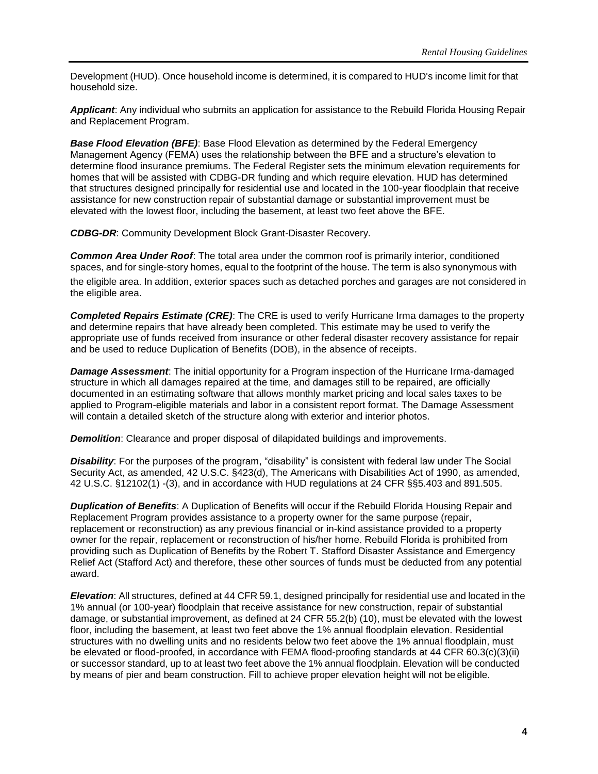Development (HUD). Once household income is determined, it is compared to HUD's income limit for that household size.

*Applicant*: Any individual who submits an application for assistance to the Rebuild Florida Housing Repair and Replacement Program.

**Base Flood Elevation (BFE):** Base Flood Elevation as determined by the Federal Emergency Management Agency (FEMA) uses the relationship between the BFE and a structure's elevation to determine flood insurance premiums. The Federal Register sets the minimum elevation requirements for homes that will be assisted with CDBG-DR funding and which require elevation. HUD has determined that structures designed principally for residential use and located in the 100-year floodplain that receive assistance for new construction repair of substantial damage or substantial improvement must be elevated with the lowest floor, including the basement, at least two feet above the BFE.

*CDBG-DR*: Community Development Block Grant-Disaster Recovery.

*Common Area Under Roof*: The total area under the common roof is primarily interior, conditioned spaces, and for single-story homes, equal to the footprint of the house. The term is also synonymous with

the eligible area. In addition, exterior spaces such as detached porches and garages are not considered in the eligible area.

*Completed Repairs Estimate (CRE)*: The CRE is used to verify Hurricane Irma damages to the property and determine repairs that have already been completed. This estimate may be used to verify the appropriate use of funds received from insurance or other federal disaster recovery assistance for repair and be used to reduce Duplication of Benefits (DOB), in the absence of receipts.

*Damage Assessment*: The initial opportunity for a Program inspection of the Hurricane Irma-damaged structure in which all damages repaired at the time, and damages still to be repaired, are officially documented in an estimating software that allows monthly market pricing and local sales taxes to be applied to Program-eligible materials and labor in a consistent report format. The Damage Assessment will contain a detailed sketch of the structure along with exterior and interior photos.

*Demolition:* Clearance and proper disposal of dilapidated buildings and improvements.

*Disability*: For the purposes of the program, "disability" is consistent with federal law under The Social Security Act, as amended, 42 U.S.C. §423(d), The Americans with Disabilities Act of 1990, as amended, 42 U.S.C. §12102(1) -(3), and in accordance with HUD regulations at 24 CFR §§5.403 and 891.505.

*Duplication of Benefits*: A Duplication of Benefits will occur if the Rebuild Florida Housing Repair and Replacement Program provides assistance to a property owner for the same purpose (repair, replacement or reconstruction) as any previous financial or in-kind assistance provided to a property owner for the repair, replacement or reconstruction of his/her home. Rebuild Florida is prohibited from providing such as Duplication of Benefits by the Robert T. Stafford Disaster Assistance and Emergency Relief Act (Stafford Act) and therefore, these other sources of funds must be deducted from any potential award.

*Elevation*: All structures, defined at 44 CFR 59.1, designed principally for residential use and located in the 1% annual (or 100-year) floodplain that receive assistance for new construction, repair of substantial damage, or substantial improvement, as defined at 24 CFR 55.2(b) (10), must be elevated with the lowest floor, including the basement, at least two feet above the 1% annual floodplain elevation. Residential structures with no dwelling units and no residents below two feet above the 1% annual floodplain, must be elevated or flood-proofed, in accordance with FEMA flood-proofing standards at 44 CFR 60.3(c)(3)(ii) or successor standard, up to at least two feet above the 1% annual floodplain. Elevation will be conducted by means of pier and beam construction. Fill to achieve proper elevation height will not be eligible.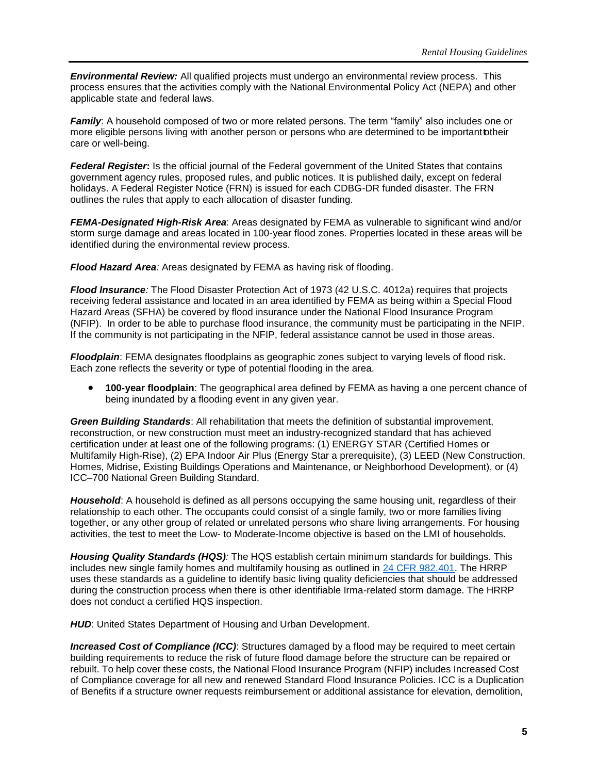*Environmental Review:* All qualified projects must undergo an environmental review process. This process ensures that the activities comply with the National Environmental Policy Act (NEPA) and other applicable state and federal laws.

*Family*: A household composed of two or more related persons. The term "family" also includes one or more eligible persons living with another person or persons who are determined to be important otheir care or well-being.

*Federal Register***:** Is the official journal of the Federal government of the United States that contains government agency rules, proposed rules, and public notices. It is published daily, except on federal holidays. A Federal Register Notice (FRN) is issued for each CDBG-DR funded disaster. The FRN outlines the rules that apply to each allocation of disaster funding.

*FEMA-Designated High-Risk Area*: Areas designated by FEMA as vulnerable to significant wind and/or storm surge damage and areas located in 100-year flood zones. Properties located in these areas will be identified during the environmental review process.

*Flood Hazard Area:* Areas designated by FEMA as having risk of flooding.

*Flood Insurance:* The Flood Disaster Protection Act of 1973 (42 U.S.C. 4012a) requires that projects receiving federal assistance and located in an area identified by FEMA as being within a Special Flood Hazard Areas (SFHA) be covered by flood insurance under the National Flood Insurance Program (NFIP). In order to be able to purchase flood insurance, the community must be participating in the NFIP. If the community is not participating in the NFIP, federal assistance cannot be used in those areas.

*Floodplain*: FEMA designates floodplains as geographic zones subject to varying levels of flood risk. Each zone reflects the severity or type of potential flooding in the area.

• **100-year floodplain**: The geographical area defined by FEMA as having a one percent chance of being inundated by a flooding event in any given year.

*Green Building Standards*: All rehabilitation that meets the definition of substantial improvement, reconstruction, or new construction must meet an industry-recognized standard that has achieved certification under at least one of the following programs: (1) ENERGY STAR (Certified Homes or Multifamily High-Rise), (2) EPA Indoor Air Plus (Energy Star a prerequisite), (3) LEED (New Construction, Homes, Midrise, Existing Buildings Operations and Maintenance, or Neighborhood Development), or (4) ICC–700 National Green Building Standard.

*Household*: A household is defined as all persons occupying the same housing unit, regardless of their relationship to each other. The occupants could consist of a single family, two or more families living together, or any other group of related or unrelated persons who share living arrangements. For housing activities, the test to meet the Low- to Moderate-Income objective is based on the LMI of households.

*Housing Quality Standards (HQS):* The HQS establish certain minimum standards for buildings. This includes new single family homes and multifamily housing as outlined in [24 CFR 982.401.](https://www.govregs.com/regulations/expand/title24_chapterIX_part982_subpartI_section982.401) The HRRP uses these standards as a guideline to identify basic living quality deficiencies that should be addressed during the construction process when there is other identifiable Irma-related storm damage. The HRRP does not conduct a certified HQS inspection.

**HUD:** United States Department of Housing and Urban Development.

*Increased Cost of Compliance (ICC)*: Structures damaged by a flood may be required to meet certain building requirements to reduce the risk of future flood damage before the structure can be repaired or rebuilt. To help cover these costs, the National Flood Insurance Program (NFIP) includes Increased Cost of Compliance coverage for all new and renewed Standard Flood Insurance Policies. ICC is a Duplication of Benefits if a structure owner requests reimbursement or additional assistance for elevation, demolition,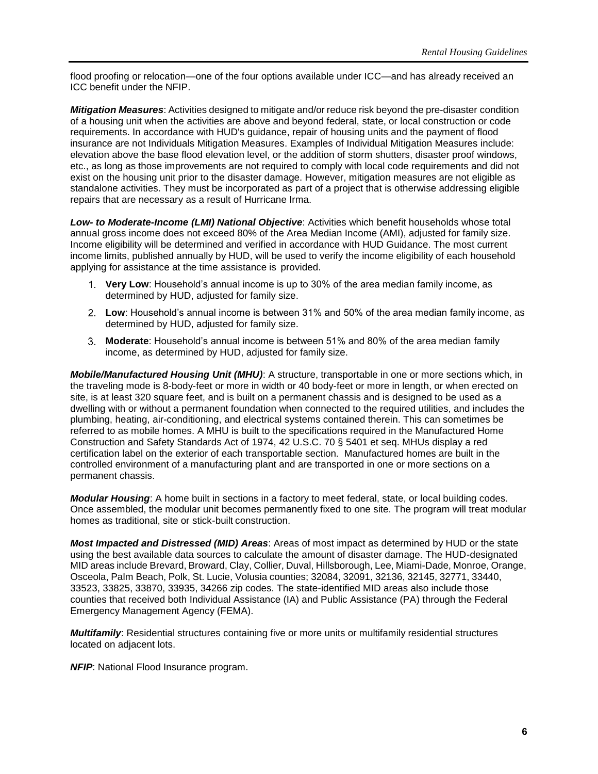flood proofing or relocation—one of the four options available under ICC—and has already received an ICC benefit under the NFIP.

*Mitigation Measures*: Activities designed to mitigate and/or reduce risk beyond the pre-disaster condition of a housing unit when the activities are above and beyond federal, state, or local construction or code requirements. In accordance with HUD's guidance, repair of housing units and the payment of flood insurance are not Individuals Mitigation Measures. Examples of Individual Mitigation Measures include: elevation above the base flood elevation level, or the addition of storm shutters, disaster proof windows, etc., as long as those improvements are not required to comply with local code requirements and did not exist on the housing unit prior to the disaster damage. However, mitigation measures are not eligible as standalone activities. They must be incorporated as part of a project that is otherwise addressing eligible repairs that are necessary as a result of Hurricane Irma.

*Low- to Moderate-Income (LMI) National Objective*: Activities which benefit households whose total annual gross income does not exceed 80% of the Area Median Income (AMI), adjusted for family size. Income eligibility will be determined and verified in accordance with HUD Guidance. The most current income limits, published annually by HUD, will be used to verify the income eligibility of each household applying for assistance at the time assistance is provided.

- **Very Low**: Household's annual income is up to 30% of the area median family income, as determined by HUD, adjusted for family size.
- **Low**: Household's annual income is between 31% and 50% of the area median family income, as determined by HUD, adjusted for family size.
- **Moderate**: Household's annual income is between 51% and 80% of the area median family income, as determined by HUD, adjusted for family size.

*Mobile/Manufactured Housing Unit (MHU)*: A structure, transportable in one or more sections which, in the traveling mode is 8-body-feet or more in width or 40 body-feet or more in length, or when erected on site, is at least 320 square feet, and is built on a permanent chassis and is designed to be used as a dwelling with or without a permanent foundation when connected to the required utilities, and includes the plumbing, heating, air-conditioning, and electrical systems contained therein. This can sometimes be referred to as mobile homes. A MHU is built to the specifications required in the Manufactured Home Construction and Safety Standards Act of 1974, [42 U.S.C.](https://www.google.com/search?sxsrf=qwu&q=42+U.S.C.&stick=H4sIAAAAAAAAAONgVuLSz9U3MLIwtzBKXsTKaWKkEKoXrOesBwCSiHM6GgAAAA&sa=X&ved=2ahUKEwj04fT6reniAhVC1qwKHeVNDjEQmxMoATAPegQIDBAP&sxsrf=seu) 70 § 5401 et seq. MHUs display a red certification label on the exterior of each transportable section. Manufactured homes are built in the controlled environment of a manufacturing plant and are transported in one or more sections on a permanent chassis.

*Modular Housing*: A home built in sections in a factory to meet federal, state, or local building codes. Once assembled, the modular unit becomes permanently fixed to one site. The program will treat modular homes as traditional, site or stick-built construction.

*Most Impacted and Distressed (MID) Areas*: Areas of most impact as determined by HUD or the state using the best available data sources to calculate the amount of disaster damage. The HUD-designated MID areas include Brevard, Broward, Clay, Collier, Duval, Hillsborough, Lee, Miami-Dade, Monroe, Orange, Osceola, Palm Beach, Polk, St. Lucie, Volusia counties; 32084, 32091, 32136, 32145, 32771, 33440, 33523, 33825, 33870, 33935, 34266 zip codes. The state-identified MID areas also include those counties that received both Individual Assistance (IA) and Public Assistance (PA) through the Federal Emergency Management Agency (FEMA).

*Multifamily*: Residential structures containing five or more units or multifamily residential structures located on adjacent lots.

*NFIP*: National Flood Insurance program.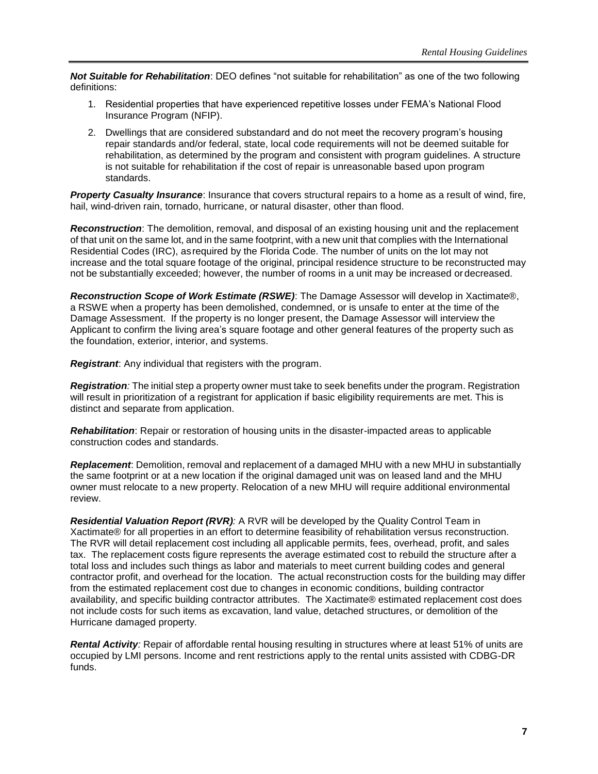*Not Suitable for Rehabilitation*: DEO defines "not suitable for rehabilitation" as one of the two following definitions:

- 1. Residential properties that have experienced repetitive losses under FEMA's National Flood Insurance Program (NFIP).
- 2. Dwellings that are considered substandard and do not meet the recovery program's housing repair standards and/or federal, state, local code requirements will not be deemed suitable for rehabilitation, as determined by the program and consistent with program guidelines. A structure is not suitable for rehabilitation if the cost of repair is unreasonable based upon program standards.

*Property Casualty Insurance*: Insurance that covers structural repairs to a home as a result of wind, fire, hail, wind-driven rain, tornado, hurricane, or natural disaster, other than flood.

*Reconstruction*: The demolition, removal, and disposal of an existing housing unit and the replacement of that unit on the same lot, and in the same footprint, with a new unit that complies with the International Residential Codes (IRC), asrequired by the Florida Code. The number of units on the lot may not increase and the total square footage of the original, principal residence structure to be reconstructed may not be substantially exceeded; however, the number of rooms in a unit may be increased or decreased.

*Reconstruction Scope of Work Estimate (RSWE)*: The Damage Assessor will develop in Xactimate®, a RSWE when a property has been demolished, condemned, or is unsafe to enter at the time of the Damage Assessment. If the property is no longer present, the Damage Assessor will interview the Applicant to confirm the living area's square footage and other general features of the property such as the foundation, exterior, interior, and systems.

*Registrant*: Any individual that registers with the program.

*Registration:* The initial step a property owner must take to seek benefits under the program. Registration will result in prioritization of a registrant for application if basic eligibility requirements are met. This is distinct and separate from application.

*Rehabilitation*: Repair or restoration of housing units in the disaster-impacted areas to applicable construction codes and standards.

*Replacement*: Demolition, removal and replacement of a damaged MHU with a new MHU in substantially the same footprint or at a new location if the original damaged unit was on leased land and the MHU owner must relocate to a new property. Relocation of a new MHU will require additional environmental review.

*Residential Valuation Report (RVR):* A RVR will be developed by the Quality Control Team in Xactimate® for all properties in an effort to determine feasibility of rehabilitation versus reconstruction. The RVR will detail replacement cost including all applicable permits, fees, overhead, profit, and sales tax. The replacement costs figure represents the average estimated cost to rebuild the structure after a total loss and includes such things as labor and materials to meet current building codes and general contractor profit, and overhead for the location. The actual reconstruction costs for the building may differ from the estimated replacement cost due to changes in economic conditions, building contractor availability, and specific building contractor attributes. The Xactimate® estimated replacement cost does not include costs for such items as excavation, land value, detached structures, or demolition of the Hurricane damaged property.

*Rental Activity:* Repair of affordable rental housing resulting in structures where at least 51% of units are occupied by LMI persons. Income and rent restrictions apply to the rental units assisted with CDBG-DR funds.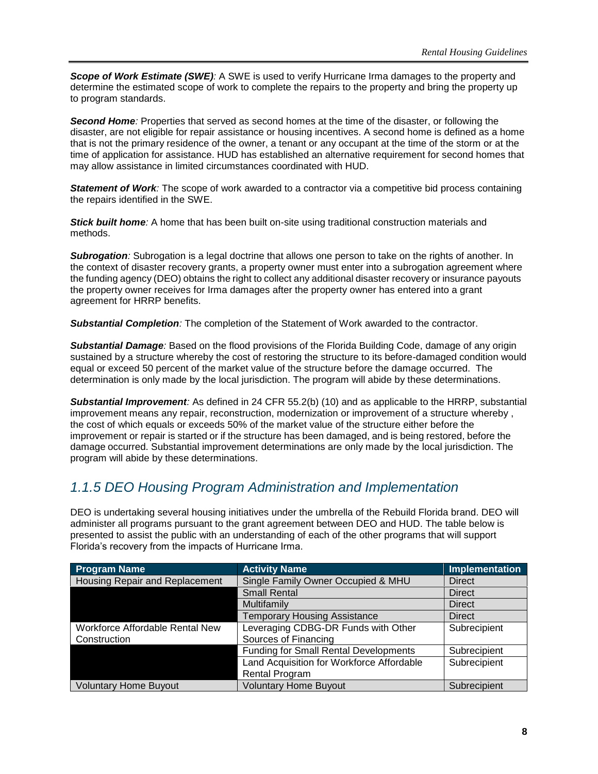*Scope of Work Estimate (SWE):* A SWE is used to verify Hurricane Irma damages to the property and determine the estimated scope of work to complete the repairs to the property and bring the property up to program standards.

*Second Home:* Properties that served as second homes at the time of the disaster, or following the disaster, are not eligible for repair assistance or housing incentives. A second home is defined as a home that is not the primary residence of the owner, a tenant or any occupant at the time of the storm or at the time of application for assistance. HUD has established an alternative requirement for second homes that may allow assistance in limited circumstances coordinated with HUD.

**Statement of Work**: The scope of work awarded to a contractor via a competitive bid process containing the repairs identified in the SWE.

**Stick built home**: A home that has been built on-site using traditional construction materials and methods.

**Subrogation**: Subrogation is a legal doctrine that allows one person to take on the rights of another. In the context of disaster recovery grants, a property owner must enter into a subrogation agreement where the funding agency (DEO) obtains the right to collect any additional disaster recovery or insurance payouts the property owner receives for Irma damages after the property owner has entered into a grant agreement for HRRP benefits.

*Substantial Completion:* The completion of the Statement of Work awarded to the contractor.

*Substantial Damage:* Based on the flood provisions of the Florida Building Code, damage of any origin sustained by a structure whereby the cost of restoring the structure to its before-damaged condition would equal or exceed 50 percent of the market value of the structure before the damage occurred. The determination is only made by the local jurisdiction. The program will abide by these determinations.

*Substantial Improvement:* As defined in 24 CFR 55.2(b) (10) and as applicable to the HRRP, substantial improvement means any repair, reconstruction, modernization or improvement of a structure whereby , the cost of which equals or exceeds 50% of the market value of the structure either before the improvement or repair is started or if the structure has been damaged, and is being restored, before the damage occurred. Substantial improvement determinations are only made by the local jurisdiction. The program will abide by these determinations.

### <span id="page-13-0"></span>*1.1.5 DEO Housing Program Administration and Implementation*

DEO is undertaking several housing initiatives under the umbrella of the Rebuild Florida brand. DEO will administer all programs pursuant to the grant agreement between DEO and HUD. The table below is presented to assist the public with an understanding of each of the other programs that will support Florida's recovery from the impacts of Hurricane Irma.

| <b>Program Name</b>             | <b>Activity Name</b>                         | Implementation |
|---------------------------------|----------------------------------------------|----------------|
| Housing Repair and Replacement  | Single Family Owner Occupied & MHU           | Direct         |
|                                 | <b>Small Rental</b>                          | <b>Direct</b>  |
|                                 | Multifamily                                  | Direct         |
|                                 | <b>Temporary Housing Assistance</b>          | Direct         |
| Workforce Affordable Rental New | Leveraging CDBG-DR Funds with Other          | Subrecipient   |
| Construction                    | Sources of Financing                         |                |
|                                 | <b>Funding for Small Rental Developments</b> | Subrecipient   |
|                                 | Land Acquisition for Workforce Affordable    | Subrecipient   |
|                                 | <b>Rental Program</b>                        |                |
| <b>Voluntary Home Buyout</b>    | <b>Voluntary Home Buyout</b>                 | Subrecipient   |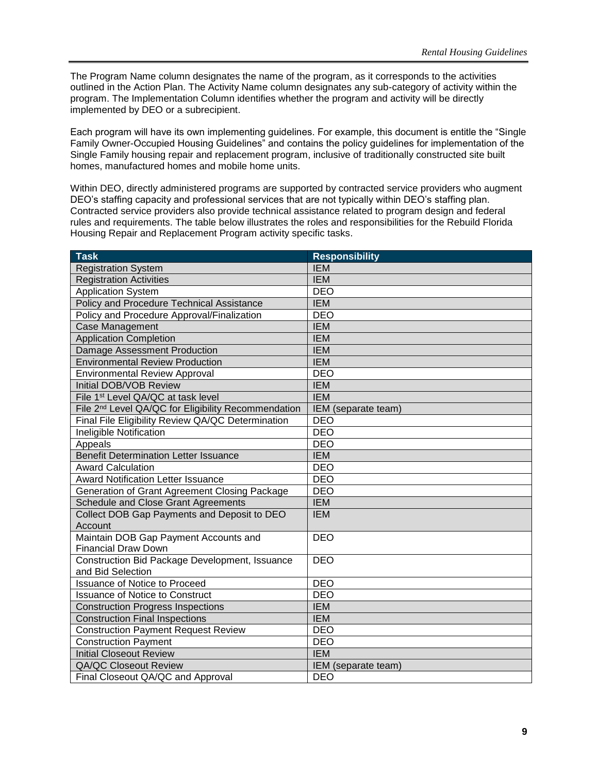The Program Name column designates the name of the program, as it corresponds to the activities outlined in the Action Plan. The Activity Name column designates any sub-category of activity within the program. The Implementation Column identifies whether the program and activity will be directly implemented by DEO or a subrecipient.

Each program will have its own implementing guidelines. For example, this document is entitle the "Single Family Owner-Occupied Housing Guidelines" and contains the policy guidelines for implementation of the Single Family housing repair and replacement program, inclusive of traditionally constructed site built homes, manufactured homes and mobile home units.

Within DEO, directly administered programs are supported by contracted service providers who augment DEO's staffing capacity and professional services that are not typically within DEO's staffing plan. Contracted service providers also provide technical assistance related to program design and federal rules and requirements. The table below illustrates the roles and responsibilities for the Rebuild Florida Housing Repair and Replacement Program activity specific tasks.

| <b>Task</b>                                                     | <b>Responsibility</b> |
|-----------------------------------------------------------------|-----------------------|
| <b>Registration System</b>                                      | <b>IEM</b>            |
| <b>Registration Activities</b>                                  | <b>IEM</b>            |
| <b>Application System</b>                                       | <b>DEO</b>            |
| Policy and Procedure Technical Assistance                       | <b>IEM</b>            |
| Policy and Procedure Approval/Finalization                      | <b>DEO</b>            |
| <b>Case Management</b>                                          | <b>IEM</b>            |
| <b>Application Completion</b>                                   | <b>IEM</b>            |
| Damage Assessment Production                                    | <b>IEM</b>            |
| <b>Environmental Review Production</b>                          | <b>IEM</b>            |
| <b>Environmental Review Approval</b>                            | <b>DEO</b>            |
| Initial DOB/VOB Review                                          | <b>IEM</b>            |
| File 1 <sup>st</sup> Level QA/QC at task level                  | <b>IEM</b>            |
| File 2 <sup>nd</sup> Level QA/QC for Eligibility Recommendation | IEM (separate team)   |
| Final File Eligibility Review QA/QC Determination               | <b>DEO</b>            |
| Ineligible Notification                                         | <b>DEO</b>            |
| Appeals                                                         | <b>DEO</b>            |
| <b>Benefit Determination Letter Issuance</b>                    | <b>IEM</b>            |
| <b>Award Calculation</b>                                        | <b>DEO</b>            |
| <b>Award Notification Letter Issuance</b>                       | <b>DEO</b>            |
| <b>Generation of Grant Agreement Closing Package</b>            | <b>DEO</b>            |
| Schedule and Close Grant Agreements                             | <b>IEM</b>            |
| Collect DOB Gap Payments and Deposit to DEO                     | <b>IEM</b>            |
| Account                                                         |                       |
| Maintain DOB Gap Payment Accounts and                           | <b>DEO</b>            |
| <b>Financial Draw Down</b>                                      |                       |
| Construction Bid Package Development, Issuance                  | <b>DEO</b>            |
| and Bid Selection                                               |                       |
| <b>Issuance of Notice to Proceed</b>                            | <b>DEO</b>            |
| <b>Issuance of Notice to Construct</b>                          | <b>DEO</b>            |
| <b>Construction Progress Inspections</b>                        | <b>IEM</b>            |
| <b>Construction Final Inspections</b>                           | <b>IEM</b>            |
| <b>Construction Payment Request Review</b>                      | <b>DEO</b>            |
| <b>Construction Payment</b>                                     | <b>DEO</b>            |
| <b>Initial Closeout Review</b>                                  | <b>IEM</b>            |
| <b>QA/QC Closeout Review</b>                                    | IEM (separate team)   |
| Final Closeout QA/QC and Approval                               | <b>DEO</b>            |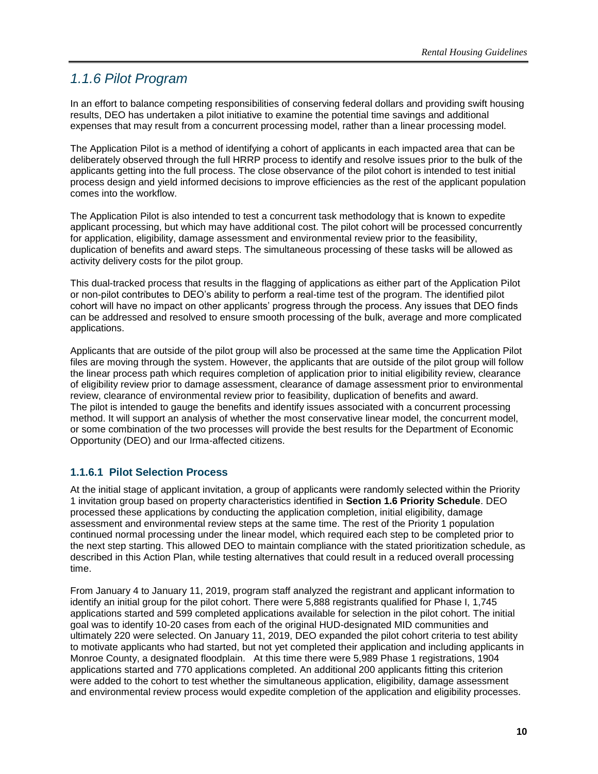### <span id="page-15-0"></span>*1.1.6 Pilot Program*

In an effort to balance competing responsibilities of conserving federal dollars and providing swift housing results, DEO has undertaken a pilot initiative to examine the potential time savings and additional expenses that may result from a concurrent processing model, rather than a linear processing model.

The Application Pilot is a method of identifying a cohort of applicants in each impacted area that can be deliberately observed through the full HRRP process to identify and resolve issues prior to the bulk of the applicants getting into the full process. The close observance of the pilot cohort is intended to test initial process design and yield informed decisions to improve efficiencies as the rest of the applicant population comes into the workflow.

The Application Pilot is also intended to test a concurrent task methodology that is known to expedite applicant processing, but which may have additional cost. The pilot cohort will be processed concurrently for application, eligibility, damage assessment and environmental review prior to the feasibility, duplication of benefits and award steps. The simultaneous processing of these tasks will be allowed as activity delivery costs for the pilot group.

This dual-tracked process that results in the flagging of applications as either part of the Application Pilot or non-pilot contributes to DEO's ability to perform a real-time test of the program. The identified pilot cohort will have no impact on other applicants' progress through the process. Any issues that DEO finds can be addressed and resolved to ensure smooth processing of the bulk, average and more complicated applications.

Applicants that are outside of the pilot group will also be processed at the same time the Application Pilot files are moving through the system. However, the applicants that are outside of the pilot group will follow the linear process path which requires completion of application prior to initial eligibility review, clearance of eligibility review prior to damage assessment, clearance of damage assessment prior to environmental review, clearance of environmental review prior to feasibility, duplication of benefits and award. The pilot is intended to gauge the benefits and identify issues associated with a concurrent processing method. It will support an analysis of whether the most conservative linear model, the concurrent model, or some combination of the two processes will provide the best results for the Department of Economic Opportunity (DEO) and our Irma-affected citizens.

### **1.1.6.1 Pilot Selection Process**

At the initial stage of applicant invitation, a group of applicants were randomly selected within the Priority 1 invitation group based on property characteristics identified in **Section 1.6 Priority Schedule**. DEO processed these applications by conducting the application completion, initial eligibility, damage assessment and environmental review steps at the same time. The rest of the Priority 1 population continued normal processing under the linear model, which required each step to be completed prior to the next step starting. This allowed DEO to maintain compliance with the stated prioritization schedule, as described in this Action Plan, while testing alternatives that could result in a reduced overall processing time.

From January 4 to January 11, 2019, program staff analyzed the registrant and applicant information to identify an initial group for the pilot cohort. There were 5,888 registrants qualified for Phase I, 1,745 applications started and 599 completed applications available for selection in the pilot cohort. The initial goal was to identify 10-20 cases from each of the original HUD-designated MID communities and ultimately 220 were selected. On January 11, 2019, DEO expanded the pilot cohort criteria to test ability to motivate applicants who had started, but not yet completed their application and including applicants in Monroe County, a designated floodplain. At this time there were 5,989 Phase 1 registrations, 1904 applications started and 770 applications completed. An additional 200 applicants fitting this criterion were added to the cohort to test whether the simultaneous application, eligibility, damage assessment and environmental review process would expedite completion of the application and eligibility processes.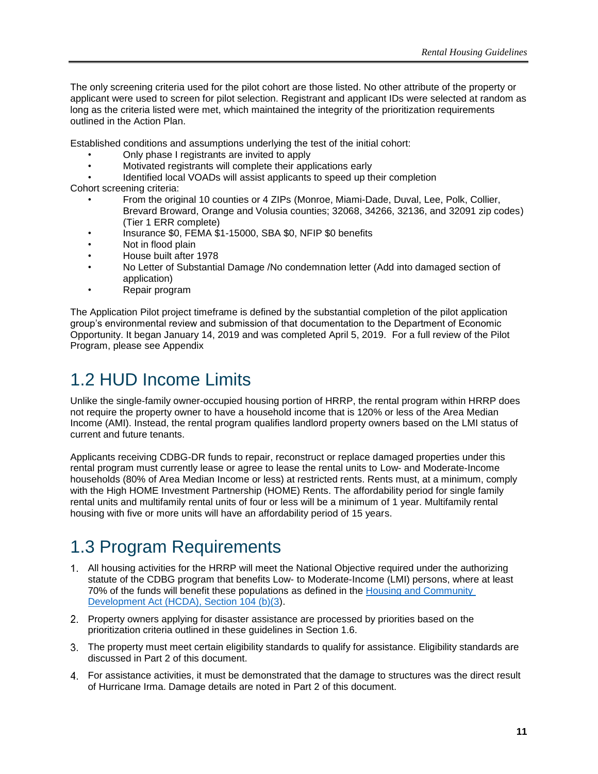The only screening criteria used for the pilot cohort are those listed. No other attribute of the property or applicant were used to screen for pilot selection. Registrant and applicant IDs were selected at random as long as the criteria listed were met, which maintained the integrity of the prioritization requirements outlined in the Action Plan.

Established conditions and assumptions underlying the test of the initial cohort:

- Only phase I registrants are invited to apply
- Motivated registrants will complete their applications early
- Identified local VOADs will assist applicants to speed up their completion

Cohort screening criteria:

- From the original 10 counties or 4 ZIPs (Monroe, Miami-Dade, Duval, Lee, Polk, Collier, Brevard Broward, Orange and Volusia counties; 32068, 34266, 32136, and 32091 zip codes) (Tier 1 ERR complete)
- Insurance \$0, FEMA \$1-15000, SBA \$0, NFIP \$0 benefits
- Not in flood plain
- House built after 1978
- No Letter of Substantial Damage /No condemnation letter (Add into damaged section of application)
- Repair program

The Application Pilot project timeframe is defined by the substantial completion of the pilot application group's environmental review and submission of that documentation to the Department of Economic Opportunity. It began January 14, 2019 and was completed April 5, 2019. For a full review of the Pilot Program, please see Appendix

# <span id="page-16-0"></span>1.2 HUD Income Limits

Unlike the single-family owner-occupied housing portion of HRRP, the rental program within HRRP does not require the property owner to have a household income that is 120% or less of the Area Median Income (AMI). Instead, the rental program qualifies landlord property owners based on the LMI status of current and future tenants.

Applicants receiving CDBG-DR funds to repair, reconstruct or replace damaged properties under this rental program must currently lease or agree to lease the rental units to Low- and Moderate-Income households (80% of Area Median Income or less) at restricted rents. Rents must, at a minimum, comply with the High HOME Investment Partnership (HOME) Rents. The affordability period for single family rental units and multifamily rental units of four or less will be a minimum of 1 year. Multifamily rental housing with five or more units will have an affordability period of 15 years.

# <span id="page-16-1"></span>1.3 Program Requirements

- All housing activities for the HRRP will meet the National Objective required under the authorizing statute of the CDBG program that benefits Low- to Moderate-Income (LMI) persons, where at least 70% of the funds will benefit these populations as defined in the Housing [and Community](https://files.hudexchange.info/resources/documents/Housing-and-Community-Development-Act-1974.pdf)  [Development Act \(HCDA\), Section 104 \(b\)\(3\)](https://files.hudexchange.info/resources/documents/Housing-and-Community-Development-Act-1974.pdf).
- Property owners applying for disaster assistance are processed by priorities based on the prioritization criteria outlined in these guidelines in Section 1.6.
- The property must meet certain eligibility standards to qualify for assistance. Eligibility standards are discussed in Part 2 of this document.
- For assistance activities, it must be demonstrated that the damage to structures was the direct result of Hurricane Irma. Damage details are noted in Part 2 of this document.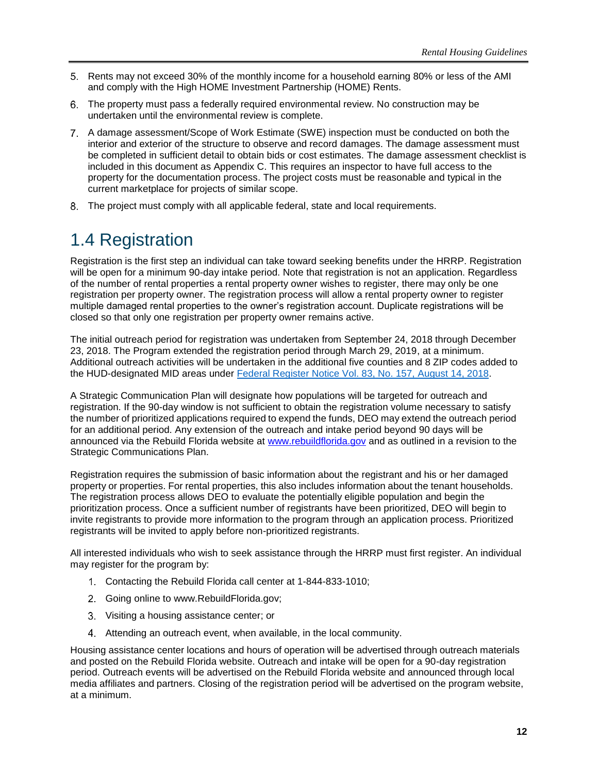- 5. Rents may not exceed 30% of the monthly income for a household earning 80% or less of the AMI and comply with the High HOME Investment Partnership (HOME) Rents.
- The property must pass a federally required environmental review. No construction may be undertaken until the environmental review is complete.
- A damage assessment/Scope of Work Estimate (SWE) inspection must be conducted on both the interior and exterior of the structure to observe and record damages. The damage assessment must be completed in sufficient detail to obtain bids or cost estimates. The damage assessment checklist is included in this document as Appendix C. This requires an inspector to have full access to the property for the documentation process. The project costs must be reasonable and typical in the current marketplace for projects of similar scope.
- The project must comply with all applicable federal, state and local requirements.

# <span id="page-17-0"></span>1.4 Registration

Registration is the first step an individual can take toward seeking benefits under the HRRP. Registration will be open for a minimum 90-day intake period. Note that registration is not an application. Regardless of the number of rental properties a rental property owner wishes to register, there may only be one registration per property owner. The registration process will allow a rental property owner to register multiple damaged rental properties to the owner's registration account. Duplicate registrations will be closed so that only one registration per property owner remains active.

The initial outreach period for registration was undertaken from September 24, 2018 through December 23, 2018. The Program extended the registration period through March 29, 2019, at a minimum. Additional outreach activities will be undertaken in the additional five counties and 8 ZIP codes added to the HUD-designated MID areas under [Federal Register Notice Vol. 83, No. 157,](https://www.govinfo.gov/content/pkg/FR-2018-08-14/pdf/2018-17365.pdf) August 14, 2018.

A Strategic Communication Plan will designate how populations will be targeted for outreach and registration. If the 90-day window is not sufficient to obtain the registration volume necessary to satisfy the number of prioritized applications required to expend the funds, DEO may extend the outreach period for an additional period. Any extension of the outreach and intake period beyond 90 days will be announced via the Rebuild Florida website at [www.rebuildflorida.gov](file:///C:/Users/callawa/AppData/Local/Microsoft/Windows/INetCache/Content.Outlook/LBS191SR/www.rebuildflorida.gov) and as outlined in a revision to the Strategic Communications Plan.

Registration requires the submission of basic information about the registrant and his or her damaged property or properties. For rental properties, this also includes information about the tenant households. The registration process allows DEO to evaluate the potentially eligible population and begin the prioritization process. Once a sufficient number of registrants have been prioritized, DEO will begin to invite registrants to provide more information to the program through an application process. Prioritized registrants will be invited to apply before non-prioritized registrants.

All interested individuals who wish to seek assistance through the HRRP must first register. An individual may register for the program by:

- Contacting the Rebuild Florida call center at 1-844-833-1010;
- 2. Going online to www.RebuildFlorida.gov:
- Visiting a housing assistance center; or
- Attending an outreach event, when available, in the local community.

Housing assistance center locations and hours of operation will be advertised through outreach materials and posted on the Rebuild Florida website. Outreach and intake will be open for a 90-day registration period. Outreach events will be advertised on the Rebuild Florida website and announced through local media affiliates and partners. Closing of the registration period will be advertised on the program website, at a minimum.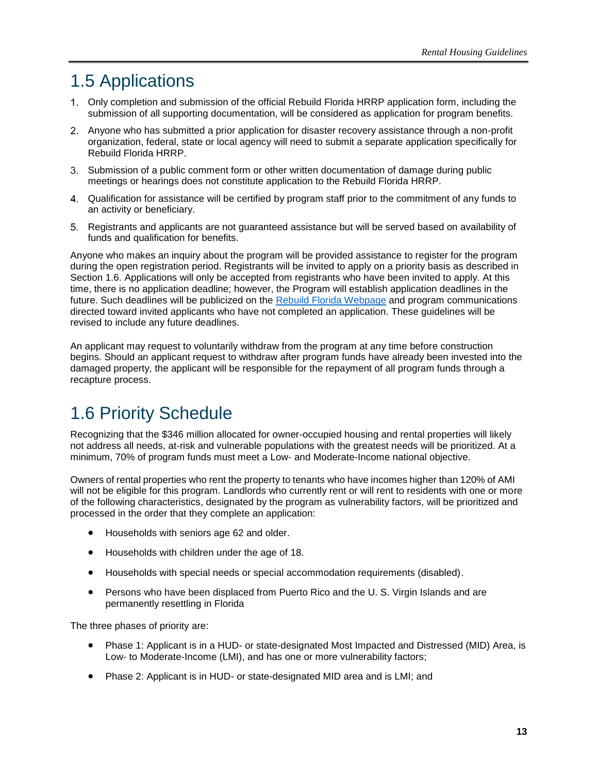# <span id="page-18-0"></span>1.5 Applications

- Only completion and submission of the official Rebuild Florida HRRP application form, including the submission of all supporting documentation, will be considered as application for program benefits.
- Anyone who has submitted a prior application for disaster recovery assistance through a non-profit organization, federal, state or local agency will need to submit a separate application specifically for Rebuild Florida HRRP.
- Submission of a public comment form or other written documentation of damage during public meetings or hearings does not constitute application to the Rebuild Florida HRRP.
- Qualification for assistance will be certified by program staff prior to the commitment of any funds to an activity or beneficiary.
- Registrants and applicants are not guaranteed assistance but will be served based on availability of funds and qualification for benefits.

Anyone who makes an inquiry about the program will be provided assistance to register for the program during the open registration period. Registrants will be invited to apply on a priority basis as described in Section 1.6. Applications will only be accepted from registrants who have been invited to apply. At this time, there is no application deadline; however, the Program will establish application deadlines in the future. Such deadlines will be publicized on the [Rebuild Florida Webpage](http://floridajobs.org/rebuildflorida) and program communications directed toward invited applicants who have not completed an application. These guidelines will be revised to include any future deadlines.

An applicant may request to voluntarily withdraw from the program at any time before construction begins. Should an applicant request to withdraw after program funds have already been invested into the damaged property, the applicant will be responsible for the repayment of all program funds through a recapture process.

# <span id="page-18-1"></span>1.6 Priority Schedule

Recognizing that the \$346 million allocated for owner-occupied housing and rental properties will likely not address all needs, at-risk and vulnerable populations with the greatest needs will be prioritized. At a minimum, 70% of program funds must meet a Low- and Moderate-Income national objective.

Owners of rental properties who rent the property to tenants who have incomes higher than 120% of AMI will not be eligible for this program. Landlords who currently rent or will rent to residents with one or more of the following characteristics, designated by the program as vulnerability factors, will be prioritized and processed in the order that they complete an application:

- Households with seniors age 62 and older.
- Households with children under the age of 18.
- Households with special needs or special accommodation requirements (disabled).
- Persons who have been displaced from Puerto Rico and the U.S. Virgin Islands and are permanently resettling in Florida

The three phases of priority are:

- Phase 1: Applicant is in a HUD- or state-designated Most Impacted and Distressed (MID) Area, is Low- to Moderate-Income (LMI), and has one or more vulnerability factors;
- Phase 2: Applicant is in HUD- or state-designated MID area and is LMI; and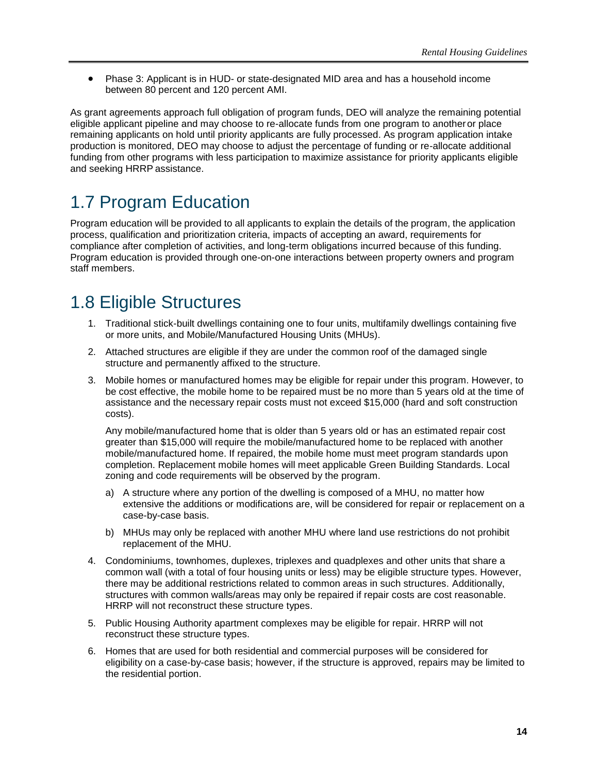• Phase 3: Applicant is in HUD- or state-designated MID area and has a household income between 80 percent and 120 percent AMI.

As grant agreements approach full obligation of program funds, DEO will analyze the remaining potential eligible applicant pipeline and may choose to re-allocate funds from one program to anotheror place remaining applicants on hold until priority applicants are fully processed. As program application intake production is monitored, DEO may choose to adjust the percentage of funding or re-allocate additional funding from other programs with less participation to maximize assistance for priority applicants eligible and seeking HRRP assistance.

# <span id="page-19-0"></span>1.7 Program Education

Program education will be provided to all applicants to explain the details of the program, the application process, qualification and prioritization criteria, impacts of accepting an award, requirements for compliance after completion of activities, and long-term obligations incurred because of this funding. Program education is provided through one-on-one interactions between property owners and program staff members.

# <span id="page-19-1"></span>1.8 Eligible Structures

- 1. Traditional stick-built dwellings containing one to four units, multifamily dwellings containing five or more units, and Mobile/Manufactured Housing Units (MHUs).
- 2. Attached structures are eligible if they are under the common roof of the damaged single structure and permanently affixed to the structure.
- 3. Mobile homes or manufactured homes may be eligible for repair under this program. However, to be cost effective, the mobile home to be repaired must be no more than 5 years old at the time of assistance and the necessary repair costs must not exceed \$15,000 (hard and soft construction costs).

Any mobile/manufactured home that is older than 5 years old or has an estimated repair cost greater than \$15,000 will require the mobile/manufactured home to be replaced with another mobile/manufactured home. If repaired, the mobile home must meet program standards upon completion. Replacement mobile homes will meet applicable Green Building Standards. Local zoning and code requirements will be observed by the program.

- a) A structure where any portion of the dwelling is composed of a MHU, no matter how extensive the additions or modifications are, will be considered for repair or replacement on a case-by-case basis.
- b) MHUs may only be replaced with another MHU where land use restrictions do not prohibit replacement of the MHU.
- 4. Condominiums, townhomes, duplexes, triplexes and quadplexes and other units that share a common wall (with a total of four housing units or less) may be eligible structure types. However, there may be additional restrictions related to common areas in such structures. Additionally, structures with common walls/areas may only be repaired if repair costs are cost reasonable. HRRP will not reconstruct these structure types.
- 5. Public Housing Authority apartment complexes may be eligible for repair. HRRP will not reconstruct these structure types.
- 6. Homes that are used for both residential and commercial purposes will be considered for eligibility on a case-by-case basis; however, if the structure is approved, repairs may be limited to the residential portion.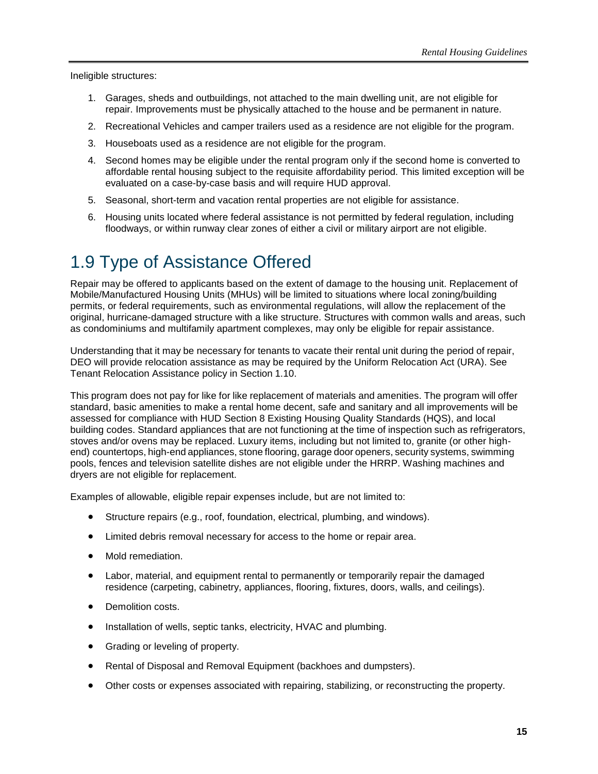Ineligible structures:

- 1. Garages, sheds and outbuildings, not attached to the main dwelling unit, are not eligible for repair. Improvements must be physically attached to the house and be permanent in nature.
- 2. Recreational Vehicles and camper trailers used as a residence are not eligible for the program.
- 3. Houseboats used as a residence are not eligible for the program.
- 4. Second homes may be eligible under the rental program only if the second home is converted to affordable rental housing subject to the requisite affordability period. This limited exception will be evaluated on a case-by-case basis and will require HUD approval.
- 5. Seasonal, short-term and vacation rental properties are not eligible for assistance.
- 6. Housing units located where federal assistance is not permitted by federal regulation, including floodways, or within runway clear zones of either a civil or military airport are not eligible.

# <span id="page-20-0"></span>1.9 Type of Assistance Offered

Repair may be offered to applicants based on the extent of damage to the housing unit. Replacement of Mobile/Manufactured Housing Units (MHUs) will be limited to situations where local zoning/building permits, or federal requirements, such as environmental regulations, will allow the replacement of the original, hurricane-damaged structure with a like structure. Structures with common walls and areas, such as condominiums and multifamily apartment complexes, may only be eligible for repair assistance.

Understanding that it may be necessary for tenants to vacate their rental unit during the period of repair, DEO will provide relocation assistance as may be required by the Uniform Relocation Act (URA). See Tenant Relocation Assistance policy in Section 1.10.

This program does not pay for like for like replacement of materials and amenities. The program will offer standard, basic amenities to make a rental home decent, safe and sanitary and all improvements will be assessed for compliance with HUD Section 8 Existing Housing Quality Standards (HQS), and local building codes. Standard appliances that are not functioning at the time of inspection such as refrigerators, stoves and/or ovens may be replaced. Luxury items, including but not limited to, granite (or other highend) countertops, high-end appliances, stone flooring, garage door openers, security systems, swimming pools, fences and television satellite dishes are not eligible under the HRRP. Washing machines and dryers are not eligible for replacement.

Examples of allowable, eligible repair expenses include, but are not limited to:

- Structure repairs (e.g., roof, foundation, electrical, plumbing, and windows).
- Limited debris removal necessary for access to the home or repair area.
- Mold remediation.
- Labor, material, and equipment rental to permanently or temporarily repair the damaged residence (carpeting, cabinetry, appliances, flooring, fixtures, doors, walls, and ceilings).
- Demolition costs.
- Installation of wells, septic tanks, electricity, HVAC and plumbing.
- Grading or leveling of property.
- Rental of Disposal and Removal Equipment (backhoes and dumpsters).
- Other costs or expenses associated with repairing, stabilizing, or reconstructing the property.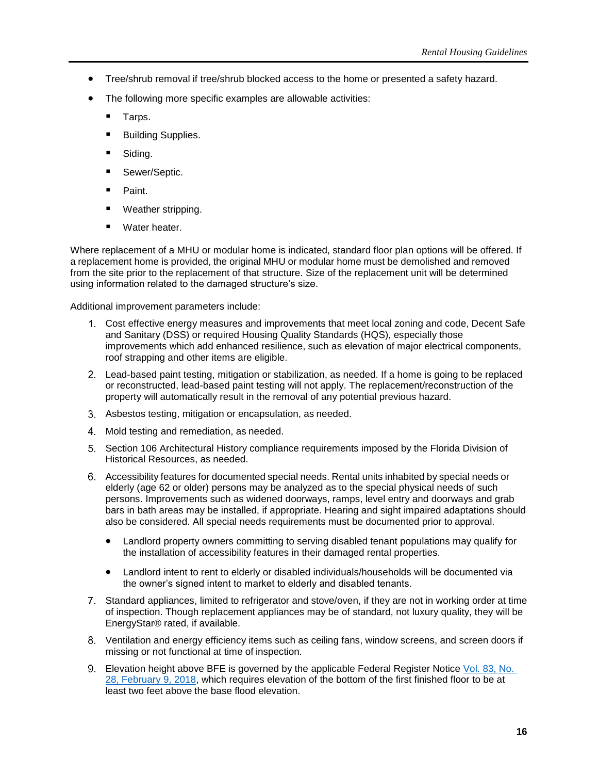- Tree/shrub removal if tree/shrub blocked access to the home or presented a safety hazard.
- The following more specific examples are allowable activities:
	- Tarps.
	- **Building Supplies.**
	- Siding.
	- Sewer/Septic.
	- Paint.
	- Weather stripping.
	- Water heater.

Where replacement of a MHU or modular home is indicated, standard floor plan options will be offered. If a replacement home is provided, the original MHU or modular home must be demolished and removed from the site prior to the replacement of that structure. Size of the replacement unit will be determined using information related to the damaged structure's size.

Additional improvement parameters include:

- Cost effective energy measures and improvements that meet local zoning and code, Decent Safe and Sanitary (DSS) or required Housing Quality Standards (HQS), especially those improvements which add enhanced resilience, such as elevation of major electrical components, roof strapping and other items are eligible.
- Lead-based paint testing, mitigation or stabilization, as needed. If a home is going to be replaced or reconstructed, lead-based paint testing will not apply. The replacement/reconstruction of the property will automatically result in the removal of any potential previous hazard.
- Asbestos testing, mitigation or encapsulation, as needed.
- Mold testing and remediation, as needed.
- Section 106 Architectural History compliance requirements imposed by the Florida Division of Historical Resources, as needed.
- Accessibility features for documented special needs. Rental units inhabited by special needs or elderly (age 62 or older) persons may be analyzed as to the special physical needs of such persons. Improvements such as widened doorways, ramps, level entry and doorways and grab bars in bath areas may be installed, if appropriate. Hearing and sight impaired adaptations should also be considered. All special needs requirements must be documented prior to approval.
	- Landlord property owners committing to serving disabled tenant populations may qualify for the installation of accessibility features in their damaged rental properties.
	- Landlord intent to rent to elderly or disabled individuals/households will be documented via the owner's signed intent to market to elderly and disabled tenants.
- Standard appliances, limited to refrigerator and stove/oven, if they are not in working order at time of inspection. Though replacement appliances may be of standard, not luxury quality, they will be EnergyStar® rated, if available.
- Ventilation and energy efficiency items such as ceiling fans, window screens, and screen doors if missing or not functional at time of inspection.
- Elevation height above BFE is governed by the applicable Federal Register Notice [Vol. 83, No.](https://www.govinfo.gov/content/pkg/FR-2018-02-09/pdf/2018-02693.pdf)  [28, February 9, 2018,](https://www.govinfo.gov/content/pkg/FR-2018-02-09/pdf/2018-02693.pdf) which requires elevation of the bottom of the first finished floor to be at least two feet above the base flood elevation.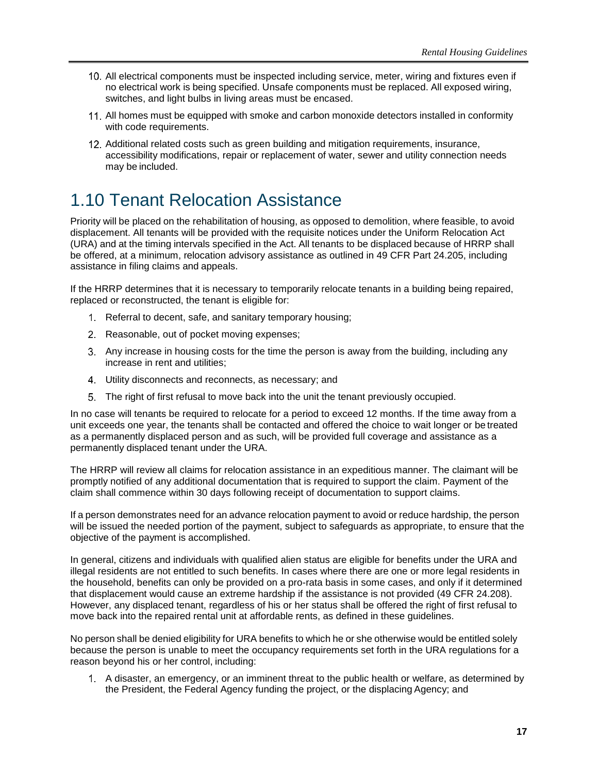- All electrical components must be inspected including service, meter, wiring and fixtures even if no electrical work is being specified. Unsafe components must be replaced. All exposed wiring, switches, and light bulbs in living areas must be encased.
- All homes must be equipped with smoke and carbon monoxide detectors installed in conformity with code requirements.
- 12. Additional related costs such as green building and mitigation requirements, insurance, accessibility modifications, repair or replacement of water, sewer and utility connection needs may be included.

# <span id="page-22-0"></span>1.10 Tenant Relocation Assistance

Priority will be placed on the rehabilitation of housing, as opposed to demolition, where feasible, to avoid displacement. All tenants will be provided with the requisite notices under the Uniform Relocation Act (URA) and at the timing intervals specified in the Act. All tenants to be displaced because of HRRP shall be offered, at a minimum, relocation advisory assistance as outlined in 49 CFR Part 24.205, including assistance in filing claims and appeals.

If the HRRP determines that it is necessary to temporarily relocate tenants in a building being repaired, replaced or reconstructed, the tenant is eligible for:

- Referral to decent, safe, and sanitary temporary housing;
- 2. Reasonable, out of pocket moving expenses;
- Any increase in housing costs for the time the person is away from the building, including any increase in rent and utilities;
- Utility disconnects and reconnects, as necessary; and
- The right of first refusal to move back into the unit the tenant previously occupied.

In no case will tenants be required to relocate for a period to exceed 12 months. If the time away from a unit exceeds one year, the tenants shall be contacted and offered the choice to wait longer or be treated as a permanently displaced person and as such, will be provided full coverage and assistance as a permanently displaced tenant under the URA.

The HRRP will review all claims for relocation assistance in an expeditious manner. The claimant will be promptly notified of any additional documentation that is required to support the claim. Payment of the claim shall commence within 30 days following receipt of documentation to support claims.

If a person demonstrates need for an advance relocation payment to avoid or reduce hardship, the person will be issued the needed portion of the payment, subject to safeguards as appropriate, to ensure that the objective of the payment is accomplished.

In general, citizens and individuals with qualified alien status are eligible for benefits under the URA and illegal residents are not entitled to such benefits. In cases where there are one or more legal residents in the household, benefits can only be provided on a pro-rata basis in some cases, and only if it determined that displacement would cause an extreme hardship if the assistance is not provided (49 CFR 24.208). However, any displaced tenant, regardless of his or her status shall be offered the right of first refusal to move back into the repaired rental unit at affordable rents, as defined in these guidelines.

No person shall be denied eligibility for URA benefits to which he or she otherwise would be entitled solely because the person is unable to meet the occupancy requirements set forth in the URA regulations for a reason beyond his or her control, including:

A disaster, an emergency, or an imminent threat to the public health or welfare, as determined by the President, the Federal Agency funding the project, or the displacing Agency; and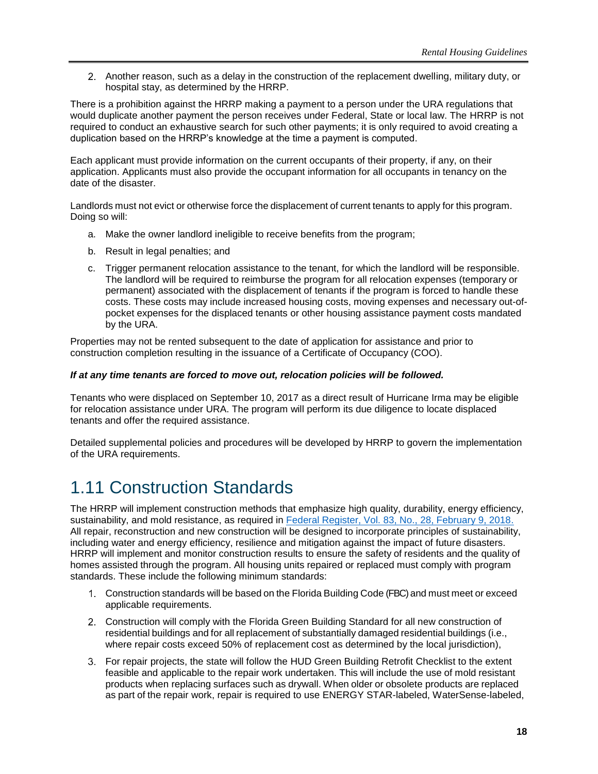Another reason, such as a delay in the construction of the replacement dwelling, military duty, or hospital stay, as determined by the HRRP.

There is a prohibition against the HRRP making a payment to a person under the URA regulations that would duplicate another payment the person receives under Federal, State or local law. The HRRP is not required to conduct an exhaustive search for such other payments; it is only required to avoid creating a duplication based on the HRRP's knowledge at the time a payment is computed.

Each applicant must provide information on the current occupants of their property, if any, on their application. Applicants must also provide the occupant information for all occupants in tenancy on the date of the disaster.

Landlords must not evict or otherwise force the displacement of current tenants to apply for this program. Doing so will:

- a. Make the owner landlord ineligible to receive benefits from the program;
- b. Result in legal penalties; and
- c. Trigger permanent relocation assistance to the tenant, for which the landlord will be responsible. The landlord will be required to reimburse the program for all relocation expenses (temporary or permanent) associated with the displacement of tenants if the program is forced to handle these costs. These costs may include increased housing costs, moving expenses and necessary out-ofpocket expenses for the displaced tenants or other housing assistance payment costs mandated by the URA.

Properties may not be rented subsequent to the date of application for assistance and prior to construction completion resulting in the issuance of a Certificate of Occupancy (COO).

#### *If at any time tenants are forced to move out, relocation policies will be followed.*

Tenants who were displaced on September 10, 2017 as a direct result of Hurricane Irma may be eligible for relocation assistance under URA. The program will perform its due diligence to locate displaced tenants and offer the required assistance.

Detailed supplemental policies and procedures will be developed by HRRP to govern the implementation of the URA requirements.

# <span id="page-23-0"></span>1.11 Construction Standards

The HRRP will implement construction methods that emphasize high quality, durability, energy efficiency, sustainability, and mold resistance, as required in [Federal Register, Vol. 83, No., 28, February 9, 2018.](https://www.govinfo.gov/content/pkg/FR-2018-02-09/pdf/2018-02693.pdf) All repair, reconstruction and new construction will be designed to incorporate principles of sustainability, including water and energy efficiency, resilience and mitigation against the impact of future disasters. HRRP will implement and monitor construction results to ensure the safety of residents and the quality of homes assisted through the program. All housing units repaired or replaced must comply with program standards. These include the following minimum standards:

- Construction standards will be based on the Florida Building Code (FBC) and must meet or exceed applicable requirements.
- Construction will comply with the Florida Green Building Standard for all new construction of residential buildings and for all replacement of substantially damaged residential buildings (i.e., where repair costs exceed 50% of replacement cost as determined by the local jurisdiction),
- For repair projects, the state will follow the HUD Green Building Retrofit Checklist to the extent feasible and applicable to the repair work undertaken. This will include the use of mold resistant products when replacing surfaces such as drywall. When older or obsolete products are replaced as part of the repair work, repair is required to use ENERGY STAR-labeled, WaterSense-labeled,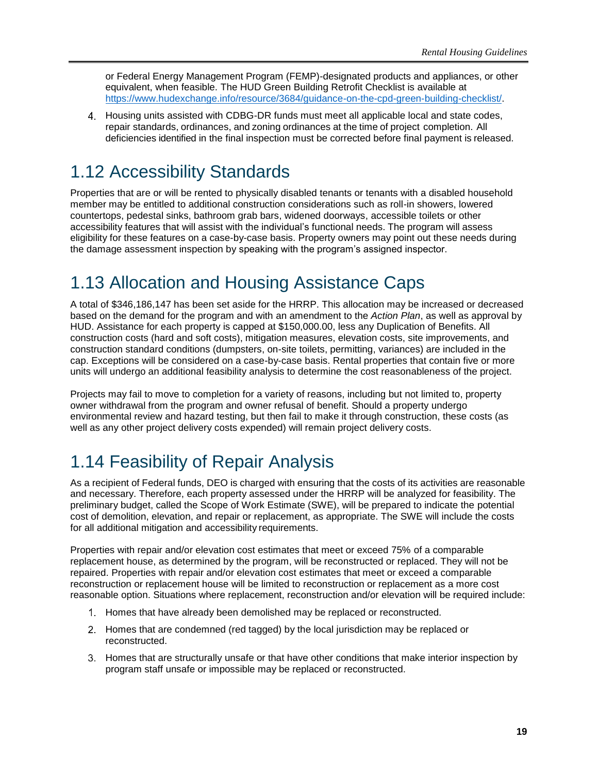or Federal Energy Management Program (FEMP)-designated products and appliances, or other equivalent, when feasible. The HUD Green Building Retrofit Checklist is available at [https://www.hudexchange.info/resource/3684/guidance-on-the-cpd-green-building-checklist/.](https://www.hudexchange.info/resource/3684/guidance-on-the-cpd-green-building-checklist/)

Housing units assisted with CDBG-DR funds must meet all applicable local and state codes, repair standards, ordinances, and zoning ordinances at the time of project completion. All deficiencies identified in the final inspection must be corrected before final payment is released.

# <span id="page-24-0"></span>1.12 Accessibility Standards

Properties that are or will be rented to physically disabled tenants or tenants with a disabled household member may be entitled to additional construction considerations such as roll-in showers, lowered countertops, pedestal sinks, bathroom grab bars, widened doorways, accessible toilets or other accessibility features that will assist with the individual's functional needs. The program will assess eligibility for these features on a case-by-case basis. Property owners may point out these needs during the damage assessment inspection by speaking with the program's assigned inspector.

# <span id="page-24-1"></span>1.13 Allocation and Housing Assistance Caps

A total of \$346,186,147 has been set aside for the HRRP. This allocation may be increased or decreased based on the demand for the program and with an amendment to the *Action Plan*, as well as approval by HUD. Assistance for each property is capped at \$150,000.00, less any Duplication of Benefits. All construction costs (hard and soft costs), mitigation measures, elevation costs, site improvements, and construction standard conditions (dumpsters, on-site toilets, permitting, variances) are included in the cap. Exceptions will be considered on a case-by-case basis. Rental properties that contain five or more units will undergo an additional feasibility analysis to determine the cost reasonableness of the project.

Projects may fail to move to completion for a variety of reasons, including but not limited to, property owner withdrawal from the program and owner refusal of benefit. Should a property undergo environmental review and hazard testing, but then fail to make it through construction, these costs (as well as any other project delivery costs expended) will remain project delivery costs.

# <span id="page-24-2"></span>1.14 Feasibility of Repair Analysis

As a recipient of Federal funds, DEO is charged with ensuring that the costs of its activities are reasonable and necessary. Therefore, each property assessed under the HRRP will be analyzed for feasibility. The preliminary budget, called the Scope of Work Estimate (SWE), will be prepared to indicate the potential cost of demolition, elevation, and repair or replacement, as appropriate. The SWE will include the costs for all additional mitigation and accessibility requirements.

Properties with repair and/or elevation cost estimates that meet or exceed 75% of a comparable replacement house, as determined by the program, will be reconstructed or replaced. They will not be repaired. Properties with repair and/or elevation cost estimates that meet or exceed a comparable reconstruction or replacement house will be limited to reconstruction or replacement as a more cost reasonable option. Situations where replacement, reconstruction and/or elevation will be required include:

- 1. Homes that have already been demolished may be replaced or reconstructed.
- Homes that are condemned (red tagged) by the local jurisdiction may be replaced or reconstructed.
- Homes that are structurally unsafe or that have other conditions that make interior inspection by program staff unsafe or impossible may be replaced or reconstructed.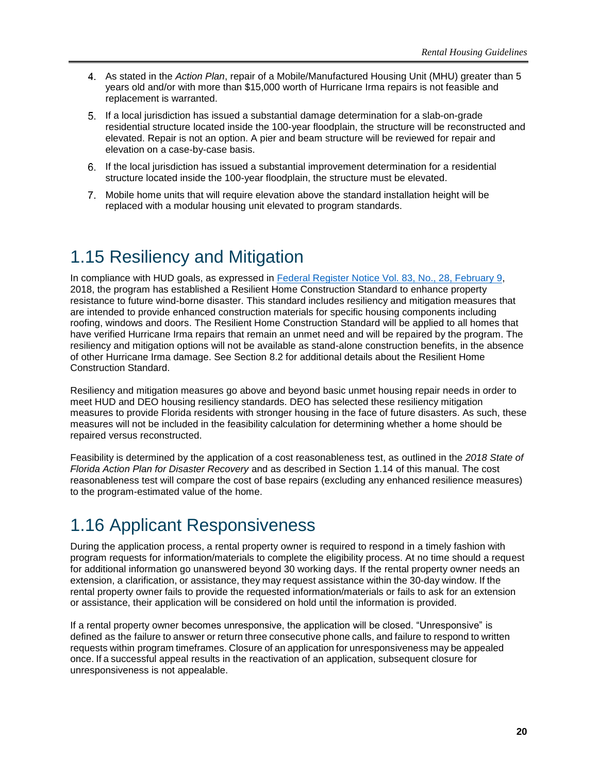- As stated in the *Action Plan*, repair of a Mobile/Manufactured Housing Unit (MHU) greater than 5 years old and/or with more than \$15,000 worth of Hurricane Irma repairs is not feasible and replacement is warranted.
- If a local jurisdiction has issued a substantial damage determination for a slab-on-grade residential structure located inside the 100-year floodplain, the structure will be reconstructed and elevated. Repair is not an option. A pier and beam structure will be reviewed for repair and elevation on a case-by-case basis.
- If the local jurisdiction has issued a substantial improvement determination for a residential structure located inside the 100-year floodplain, the structure must be elevated.
- Mobile home units that will require elevation above the standard installation height will be replaced with a modular housing unit elevated to program standards.

# <span id="page-25-0"></span>1.15 Resiliency and Mitigation

In compliance with HUD goals, as expressed in [Federal Register Notice Vol. 83, No., 28, February 9,](https://www.govinfo.gov/app/details/FR-2018-02-09) 2018, the program has established a Resilient Home Construction Standard to enhance property resistance to future wind-borne disaster. This standard includes resiliency and mitigation measures that are intended to provide enhanced construction materials for specific housing components including roofing, windows and doors. The Resilient Home Construction Standard will be applied to all homes that have verified Hurricane Irma repairs that remain an unmet need and will be repaired by the program. The resiliency and mitigation options will not be available as stand-alone construction benefits, in the absence of other Hurricane Irma damage. See Section 8.2 for additional details about the Resilient Home Construction Standard.

Resiliency and mitigation measures go above and beyond basic unmet housing repair needs in order to meet HUD and DEO housing resiliency standards. DEO has selected these resiliency mitigation measures to provide Florida residents with stronger housing in the face of future disasters. As such, these measures will not be included in the feasibility calculation for determining whether a home should be repaired versus reconstructed.

Feasibility is determined by the application of a cost reasonableness test, as outlined in the *2018 State of Florida Action Plan for Disaster Recovery* and as described in Section 1.14 of this manual. The cost reasonableness test will compare the cost of base repairs (excluding any enhanced resilience measures) to the program-estimated value of the home.

# <span id="page-25-1"></span>1.16 Applicant Responsiveness

During the application process, a rental property owner is required to respond in a timely fashion with program requests for information/materials to complete the eligibility process. At no time should a request for additional information go unanswered beyond 30 working days. If the rental property owner needs an extension, a clarification, or assistance, they may request assistance within the 30-day window. If the rental property owner fails to provide the requested information/materials or fails to ask for an extension or assistance, their application will be considered on hold until the information is provided.

If a rental property owner becomes unresponsive, the application will be closed. "Unresponsive" is defined as the failure to answer or return three consecutive phone calls, and failure to respond to written requests within program timeframes. Closure of an application for unresponsiveness may be appealed once. If a successful appeal results in the reactivation of an application, subsequent closure for unresponsiveness is not appealable.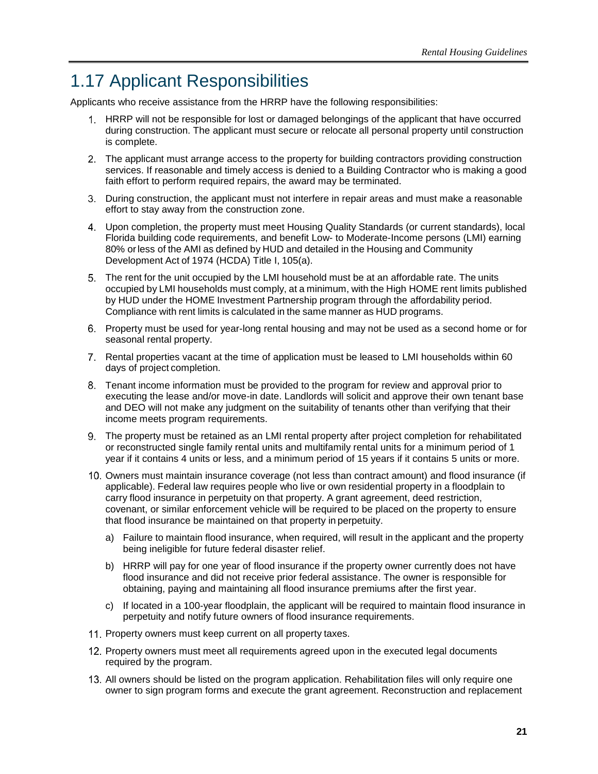# <span id="page-26-0"></span>1.17 Applicant Responsibilities

Applicants who receive assistance from the HRRP have the following responsibilities:

- HRRP will not be responsible for lost or damaged belongings of the applicant that have occurred during construction. The applicant must secure or relocate all personal property until construction is complete.
- The applicant must arrange access to the property for building contractors providing construction services. If reasonable and timely access is denied to a Building Contractor who is making a good faith effort to perform required repairs, the award may be terminated.
- During construction, the applicant must not interfere in repair areas and must make a reasonable effort to stay away from the construction zone.
- Upon completion, the property must meet Housing Quality Standards (or current standards), local Florida building code requirements, and benefit Low- to Moderate-Income persons (LMI) earning 80% orless of the AMI as defined by HUD and detailed in the Housing and Community Development Act of 1974 (HCDA) Title I, 105(a).
- The rent for the unit occupied by the LMI household must be at an affordable rate. The units occupied by LMI households must comply, at a minimum, with the High HOME rent limits published by HUD under the HOME Investment Partnership program through the affordability period. Compliance with rent limits is calculated in the same manner as HUD programs.
- Property must be used for year-long rental housing and may not be used as a second home or for seasonal rental property.
- Rental properties vacant at the time of application must be leased to LMI households within 60 days of project completion.
- Tenant income information must be provided to the program for review and approval prior to executing the lease and/or move-in date. Landlords will solicit and approve their own tenant base and DEO will not make any judgment on the suitability of tenants other than verifying that their income meets program requirements.
- The property must be retained as an LMI rental property after project completion for rehabilitated or reconstructed single family rental units and multifamily rental units for a minimum period of 1 year if it contains 4 units or less, and a minimum period of 15 years if it contains 5 units or more.
- 10. Owners must maintain insurance coverage (not less than contract amount) and flood insurance (if applicable). Federal law requires people who live or own residential property in a floodplain to carry flood insurance in perpetuity on that property. A grant agreement, deed restriction, covenant, or similar enforcement vehicle will be required to be placed on the property to ensure that flood insurance be maintained on that property in perpetuity.
	- a) Failure to maintain flood insurance, when required, will result in the applicant and the property being ineligible for future federal disaster relief.
	- b) HRRP will pay for one year of flood insurance if the property owner currently does not have flood insurance and did not receive prior federal assistance. The owner is responsible for obtaining, paying and maintaining all flood insurance premiums after the first year.
	- c) If located in a 100-year floodplain, the applicant will be required to maintain flood insurance in perpetuity and notify future owners of flood insurance requirements.
- 11. Property owners must keep current on all property taxes.
- 12. Property owners must meet all requirements agreed upon in the executed legal documents required by the program.
- All owners should be listed on the program application. Rehabilitation files will only require one owner to sign program forms and execute the grant agreement. Reconstruction and replacement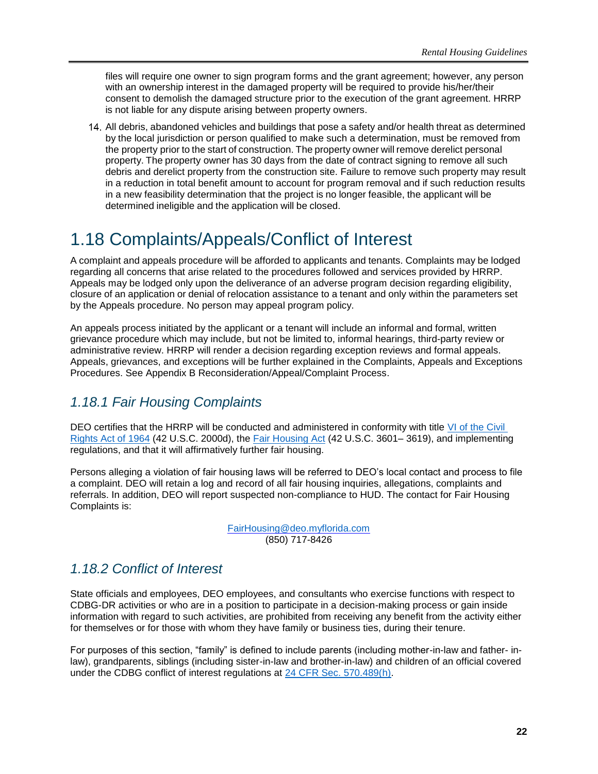files will require one owner to sign program forms and the grant agreement; however, any person with an ownership interest in the damaged property will be required to provide his/her/their consent to demolish the damaged structure prior to the execution of the grant agreement. HRRP is not liable for any dispute arising between property owners.

All debris, abandoned vehicles and buildings that pose a safety and/or health threat as determined by the local jurisdiction or person qualified to make such a determination, must be removed from the property prior to the start of construction. The property owner will remove derelict personal property. The property owner has 30 days from the date of contract signing to remove all such debris and derelict property from the construction site. Failure to remove such property may result in a reduction in total benefit amount to account for program removal and if such reduction results in a new feasibility determination that the project is no longer feasible, the applicant will be determined ineligible and the application will be closed.

# <span id="page-27-0"></span>1.18 Complaints/Appeals/Conflict of Interest

A complaint and appeals procedure will be afforded to applicants and tenants. Complaints may be lodged regarding all concerns that arise related to the procedures followed and services provided by HRRP. Appeals may be lodged only upon the deliverance of an adverse program decision regarding eligibility, closure of an application or denial of relocation assistance to a tenant and only within the parameters set by the Appeals procedure. No person may appeal program policy.

An appeals process initiated by the applicant or a tenant will include an informal and formal, written grievance procedure which may include, but not be limited to, informal hearings, third-party review or administrative review. HRRP will render a decision regarding exception reviews and formal appeals. Appeals, grievances, and exceptions will be further explained in the Complaints, Appeals and Exceptions Procedures. See Appendix B Reconsideration/Appeal/Complaint Process.

### <span id="page-27-1"></span>*1.18.1 Fair Housing Complaints*

DEO certifies that the HRRP will be conducted and administered in conformity with title [VI of the Civil](https://www.justice.gov/crt/fcs/TitleVI)  [Rights Act of 1964](https://www.justice.gov/crt/fcs/TitleVI) (42 U.S.C. 2000d), the [Fair Housing Act](https://www.justice.gov/crt/fair-housing-act-2) (42 U.S.C. 3601– 3619), and implementing regulations, and that it will affirmatively further fair housing.

Persons alleging a violation of fair housing laws will be referred to DEO's local contact and process to file a complaint. DEO will retain a log and record of all fair housing inquiries, allegations, complaints and referrals. In addition, DEO will report suspected non-compliance to HUD. The contact for Fair Housing Complaints is:

> [FairHousing@deo.myflorida.com](mailto:FairHousing@deo.myflorida.com) (850) 717-8426

### <span id="page-27-2"></span>*1.18.2 Conflict of Interest*

State officials and employees, DEO employees, and consultants who exercise functions with respect to CDBG-DR activities or who are in a position to participate in a decision-making process or gain inside information with regard to such activities, are prohibited from receiving any benefit from the activity either for themselves or for those with whom they have family or business ties, during their tenure.

For purposes of this section, "family" is defined to include parents (including mother-in-law and father- inlaw), grandparents, siblings (including sister-in-law and brother-in-law) and children of an official covered under the CDBG conflict of interest regulations at [24 CFR Sec. 570.489\(h\).](https://www.govinfo.gov/content/pkg/CFR-2012-title24-vol3/pdf/CFR-2012-title24-vol3-sec570-489.pdf)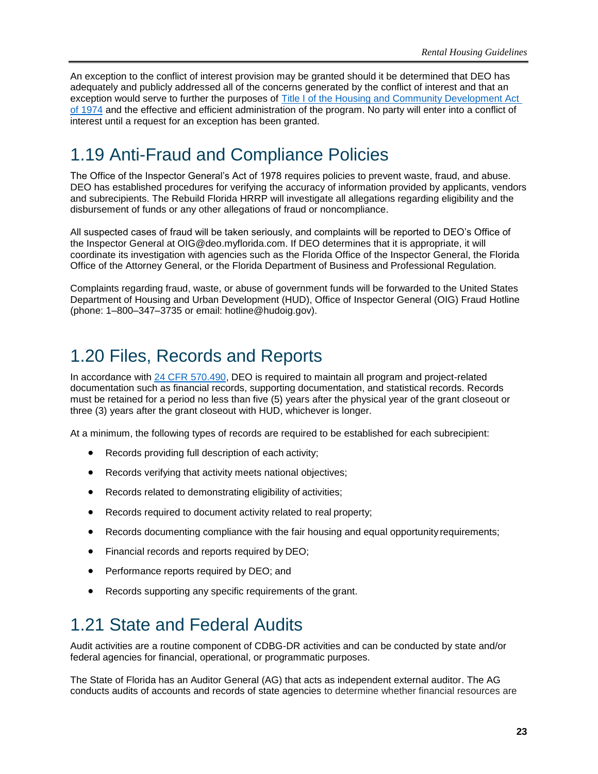An exception to the conflict of interest provision may be granted should it be determined that DEO has adequately and publicly addressed all of the concerns generated by the conflict of interest and that an exception would serve to further the purposes of [Title I of the Housing and Community Development Act](https://files.hudexchange.info/resources/documents/Housing-and-Community-Development-Act-1974.pdf)  [of 1974](https://files.hudexchange.info/resources/documents/Housing-and-Community-Development-Act-1974.pdf) and the effective and efficient administration of the program. No party will enter into a conflict of interest until a request for an exception has been granted.

# <span id="page-28-0"></span>1.19 Anti-Fraud and Compliance Policies

The Office of the Inspector General's Act of 1978 requires policies to prevent waste, fraud, and abuse. DEO has established procedures for verifying the accuracy of information provided by applicants, vendors and subrecipients. The Rebuild Florida HRRP will investigate all allegations regarding eligibility and the disbursement of funds or any other allegations of fraud or noncompliance.

All suspected cases of fraud will be taken seriously, and complaints will be reported to DEO's Office of the Inspector General at OIG@deo.myflorida.com. If DEO determines that it is appropriate, it will coordinate its investigation with agencies such as the Florida Office of the Inspector General, the Florida Office of the Attorney General, or the Florida Department of Business and Professional Regulation.

Complaints regarding fraud, waste, or abuse of government funds will be forwarded to the United States Department of Housing and Urban Development (HUD), Office of Inspector General (OIG) Fraud Hotline (phone: 1–800–347–3735 or email: hotline@hudoig.gov).

# <span id="page-28-1"></span>1.20 Files, Records and Reports

In accordance with [24 CFR 570.490,](https://www.govinfo.gov/content/pkg/CFR-2013-title24-vol3/pdf/CFR-2013-title24-vol3-sec570-490.pdf) DEO is required to maintain all program and project-related documentation such as financial records, supporting documentation, and statistical records. Records must be retained for a period no less than five (5) years after the physical year of the grant closeout or three (3) years after the grant closeout with HUD, whichever is longer.

At a minimum, the following types of records are required to be established for each subrecipient:

- Records providing full description of each activity;
- Records verifying that activity meets national objectives;
- Records related to demonstrating eligibility of activities;
- Records required to document activity related to real property;
- Records documenting compliance with the fair housing and equal opportunity requirements;
- Financial records and reports required by DEO;
- Performance reports required by DEO; and
- Records supporting any specific requirements of the grant.

# <span id="page-28-2"></span>1.21 State and Federal Audits

Audit activities are a routine component of CDBG-DR activities and can be conducted by state and/or federal agencies for financial, operational, or programmatic purposes.

The State of Florida has an Auditor General (AG) that acts as independent external auditor. The AG conducts audits of accounts and records of state agencies to determine whether financial resources are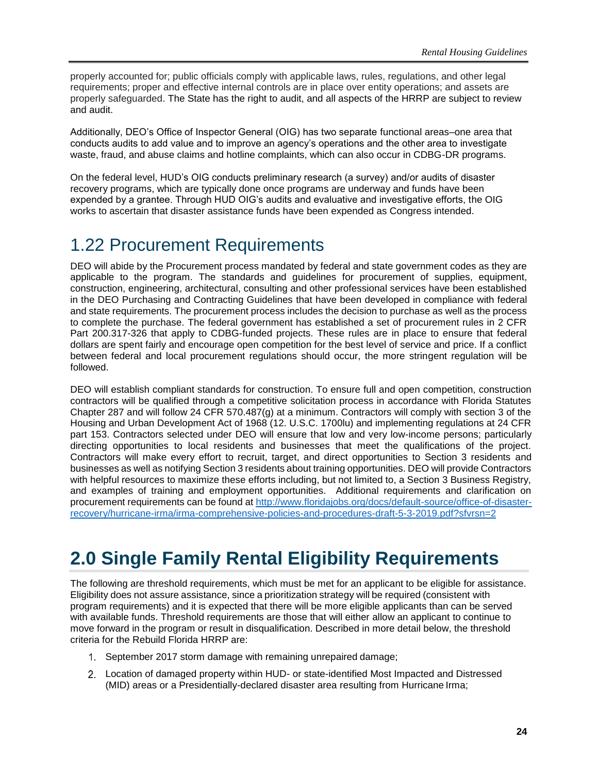properly accounted for; public officials comply with applicable laws, rules, regulations, and other legal requirements; proper and effective internal controls are in place over entity operations; and assets are properly safeguarded. The State has the right to audit, and all aspects of the HRRP are subject to review and audit.

Additionally, DEO's Office of Inspector General (OIG) has two separate functional areas–one area that conducts audits to add value and to improve an agency's operations and the other area to investigate waste, fraud, and abuse claims and hotline complaints, which can also occur in CDBG-DR programs.

On the federal level, HUD's OIG conducts preliminary research (a survey) and/or audits of disaster recovery programs, which are typically done once programs are underway and funds have been expended by a grantee. Through HUD OIG's audits and evaluative and investigative efforts, the OIG works to ascertain that disaster assistance funds have been expended as Congress intended.

# <span id="page-29-0"></span>1.22 Procurement Requirements

DEO will abide by the Procurement process mandated by federal and state government codes as they are applicable to the program. The standards and guidelines for procurement of supplies, equipment, construction, engineering, architectural, consulting and other professional services have been established in the DEO Purchasing and Contracting Guidelines that have been developed in compliance with federal and state requirements. The procurement process includes the decision to purchase as well as the process to complete the purchase. The federal government has established a set of procurement rules in 2 CFR Part 200.317-326 that apply to CDBG-funded projects. These rules are in place to ensure that federal dollars are spent fairly and encourage open competition for the best level of service and price. If a conflict between federal and local procurement regulations should occur, the more stringent regulation will be followed.

DEO will establish compliant standards for construction. To ensure full and open competition, construction contractors will be qualified through a competitive solicitation process in accordance with Florida Statutes Chapter 287 and will follow 24 CFR 570.487(g) at a minimum. Contractors will comply with section 3 of the Housing and Urban Development Act of 1968 (12. U.S.C. 1700lu) and implementing regulations at 24 CFR part 153. Contractors selected under DEO will ensure that low and very low-income persons; particularly directing opportunities to local residents and businesses that meet the qualifications of the project. Contractors will make every effort to recruit, target, and direct opportunities to Section 3 residents and businesses as well as notifying Section 3 residents about training opportunities. DEO will provide Contractors with helpful resources to maximize these efforts including, but not limited to, a Section 3 Business Registry, and examples of training and employment opportunities. Additional requirements and clarification on procurement requirements can be found at [http://www.floridajobs.org/docs/default-source/office-of-disaster](http://www.floridajobs.org/docs/default-source/office-of-disaster-recovery/hurricane-irma/irma-comprehensive-policies-and-procedures-draft-5-3-2019.pdf?sfvrsn=2)[recovery/hurricane-irma/irma-comprehensive-policies-and-procedures-draft-5-3-2019.pdf?sfvrsn=2](http://www.floridajobs.org/docs/default-source/office-of-disaster-recovery/hurricane-irma/irma-comprehensive-policies-and-procedures-draft-5-3-2019.pdf?sfvrsn=2)

# <span id="page-29-1"></span>**2.0 Single Family Rental Eligibility Requirements**

The following are threshold requirements, which must be met for an applicant to be eligible for assistance. Eligibility does not assure assistance, since a prioritization strategy will be required (consistent with program requirements) and it is expected that there will be more eligible applicants than can be served with available funds. Threshold requirements are those that will either allow an applicant to continue to move forward in the program or result in disqualification. Described in more detail below, the threshold criteria for the Rebuild Florida HRRP are:

- 1. September 2017 storm damage with remaining unrepaired damage;
- Location of damaged property within HUD- or state-identified Most Impacted and Distressed (MID) areas or a Presidentially-declared disaster area resulting from Hurricane Irma;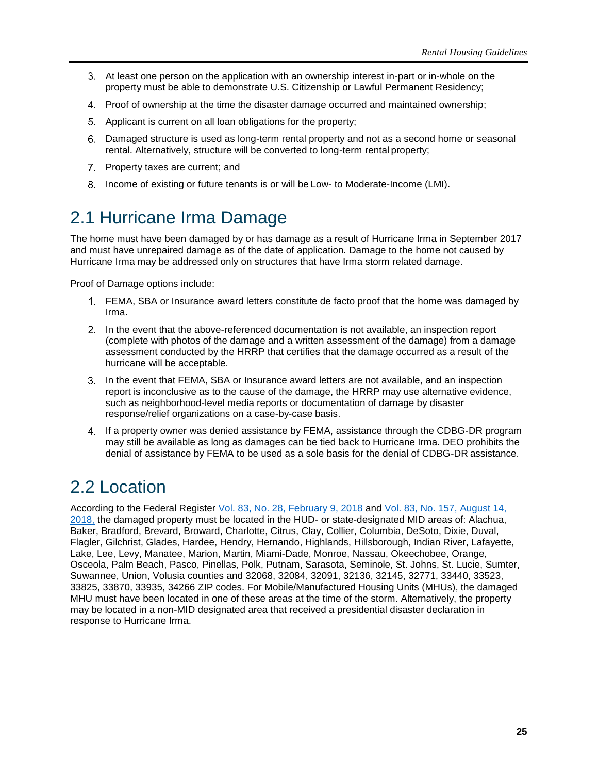- At least one person on the application with an ownership interest in-part or in-whole on the property must be able to demonstrate U.S. Citizenship or Lawful Permanent Residency;
- Proof of ownership at the time the disaster damage occurred and maintained ownership;
- Applicant is current on all loan obligations for the property;
- Damaged structure is used as long-term rental property and not as a second home or seasonal rental. Alternatively, structure will be converted to long-term rental property;
- 7. Property taxes are current; and
- 8. Income of existing or future tenants is or will be Low- to Moderate-Income (LMI).

# <span id="page-30-0"></span>2.1 Hurricane Irma Damage

The home must have been damaged by or has damage as a result of Hurricane Irma in September 2017 and must have unrepaired damage as of the date of application. Damage to the home not caused by Hurricane Irma may be addressed only on structures that have Irma storm related damage.

Proof of Damage options include:

- FEMA, SBA or Insurance award letters constitute de facto proof that the home was damaged by Irma.
- In the event that the above-referenced documentation is not available, an inspection report (complete with photos of the damage and a written assessment of the damage) from a damage assessment conducted by the HRRP that certifies that the damage occurred as a result of the hurricane will be acceptable.
- In the event that FEMA, SBA or Insurance award letters are not available, and an inspection report is inconclusive as to the cause of the damage, the HRRP may use alternative evidence, such as neighborhood-level media reports or documentation of damage by disaster response/relief organizations on a case-by-case basis.
- If a property owner was denied assistance by FEMA, assistance through the CDBG-DR program may still be available as long as damages can be tied back to Hurricane Irma. DEO prohibits the denial of assistance by FEMA to be used as a sole basis for the denial of CDBG-DR assistance.

# <span id="page-30-1"></span>2.2 Location

According to the Federal Register [Vol. 83, No. 28, February 9, 2018](https://www.govinfo.gov/content/pkg/FR-2018-02-09/pdf/2018-02693.pdf) and [Vol. 83, No. 157, August 14,](https://www.govinfo.gov/content/pkg/FR-2018-08-14/pdf/2018-17365.pdf)  [2018,](https://www.govinfo.gov/content/pkg/FR-2018-08-14/pdf/2018-17365.pdf) the damaged property must be located in the HUD- or state-designated MID areas of: Alachua, Baker, Bradford, Brevard, Broward, Charlotte, Citrus, Clay, Collier, Columbia, DeSoto, Dixie, Duval, Flagler, Gilchrist, Glades, Hardee, Hendry, Hernando, Highlands, Hillsborough, Indian River, Lafayette, Lake, Lee, Levy, Manatee, Marion, Martin, Miami-Dade, Monroe, Nassau, Okeechobee, Orange, Osceola, Palm Beach, Pasco, Pinellas, Polk, Putnam, Sarasota, Seminole, St. Johns, St. Lucie, Sumter, Suwannee, Union, Volusia counties and 32068, 32084, 32091, 32136, 32145, 32771, 33440, 33523, 33825, 33870, 33935, 34266 ZIP codes. For Mobile/Manufactured Housing Units (MHUs), the damaged MHU must have been located in one of these areas at the time of the storm. Alternatively, the property may be located in a non-MID designated area that received a presidential disaster declaration in response to Hurricane Irma.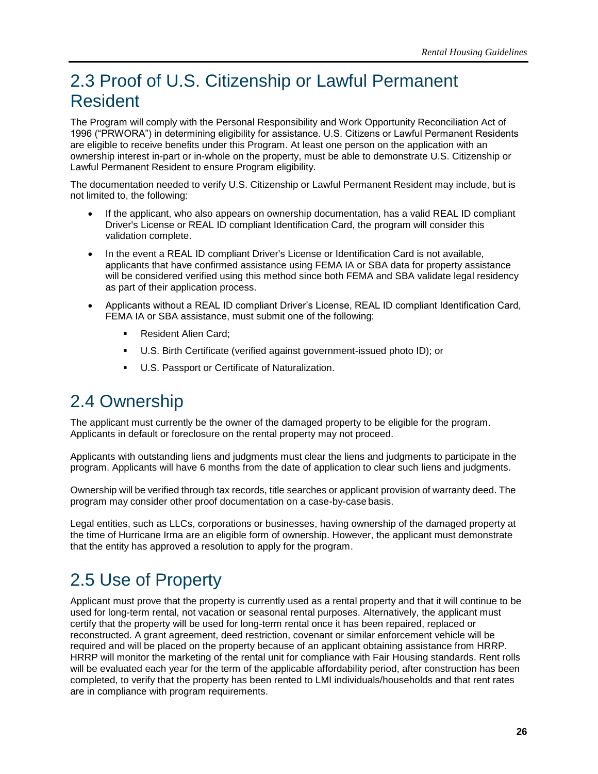# <span id="page-31-0"></span>2.3 Proof of U.S. Citizenship or Lawful Permanent Resident

The Program will comply with the Personal Responsibility and Work Opportunity Reconciliation Act of 1996 ("PRWORA") in determining eligibility for assistance. U.S. Citizens or Lawful Permanent Residents are eligible to receive benefits under this Program. At least one person on the application with an ownership interest in-part or in-whole on the property, must be able to demonstrate U.S. Citizenship or Lawful Permanent Resident to ensure Program eligibility.

The documentation needed to verify U.S. Citizenship or Lawful Permanent Resident may include, but is not limited to, the following:

- If the applicant, who also appears on ownership documentation, has a valid REAL ID compliant Driver's License or REAL ID compliant Identification Card, the program will consider this validation complete.
- In the event a REAL ID compliant Driver's License or Identification Card is not available, applicants that have confirmed assistance using FEMA IA or SBA data for property assistance will be considered verified using this method since both FEMA and SBA validate legal residency as part of their application process.
- Applicants without a REAL ID compliant Driver's License, REAL ID compliant Identification Card, FEMA IA or SBA assistance, must submit one of the following:
	- Resident Alien Card;
	- U.S. Birth Certificate (verified against government-issued photo ID); or
	- U.S. Passport or Certificate of Naturalization.

### <span id="page-31-1"></span>2.4 Ownership

The applicant must currently be the owner of the damaged property to be eligible for the program. Applicants in default or foreclosure on the rental property may not proceed.

Applicants with outstanding liens and judgments must clear the liens and judgments to participate in the program. Applicants will have 6 months from the date of application to clear such liens and judgments.

Ownership will be verified through tax records, title searches or applicant provision of warranty deed. The program may consider other proof documentation on a case-by-case basis.

Legal entities, such as LLCs, corporations or businesses, having ownership of the damaged property at the time of Hurricane Irma are an eligible form of ownership. However, the applicant must demonstrate that the entity has approved a resolution to apply for the program.

# <span id="page-31-2"></span>2.5 Use of Property

Applicant must prove that the property is currently used as a rental property and that it will continue to be used for long-term rental, not vacation or seasonal rental purposes. Alternatively, the applicant must certify that the property will be used for long-term rental once it has been repaired, replaced or reconstructed. A grant agreement, deed restriction, covenant or similar enforcement vehicle will be required and will be placed on the property because of an applicant obtaining assistance from HRRP. HRRP will monitor the marketing of the rental unit for compliance with Fair Housing standards. Rent rolls will be evaluated each year for the term of the applicable affordability period, after construction has been completed, to verify that the property has been rented to LMI individuals/households and that rent rates are in compliance with program requirements.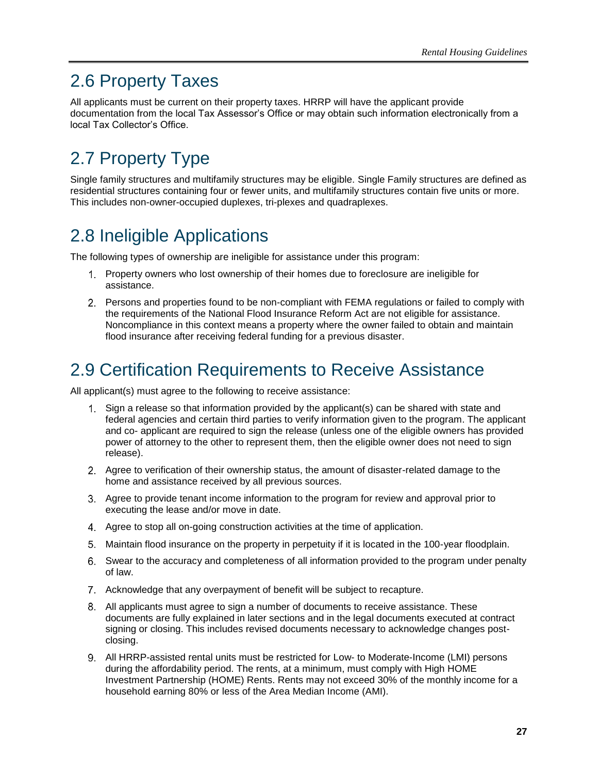# <span id="page-32-0"></span>2.6 Property Taxes

All applicants must be current on their property taxes. HRRP will have the applicant provide documentation from the local Tax Assessor's Office or may obtain such information electronically from a local Tax Collector's Office.

# <span id="page-32-1"></span>2.7 Property Type

Single family structures and multifamily structures may be eligible. Single Family structures are defined as residential structures containing four or fewer units, and multifamily structures contain five units or more. This includes non-owner-occupied duplexes, tri-plexes and quadraplexes.

# <span id="page-32-2"></span>2.8 Ineligible Applications

The following types of ownership are ineligible for assistance under this program:

- Property owners who lost ownership of their homes due to foreclosure are ineligible for assistance.
- Persons and properties found to be non-compliant with FEMA regulations or failed to comply with the requirements of the National Flood Insurance Reform Act are not eligible for assistance. Noncompliance in this context means a property where the owner failed to obtain and maintain flood insurance after receiving federal funding for a previous disaster.

# <span id="page-32-3"></span>2.9 Certification Requirements to Receive Assistance

All applicant(s) must agree to the following to receive assistance:

- Sign a release so that information provided by the applicant(s) can be shared with state and federal agencies and certain third parties to verify information given to the program. The applicant and co- applicant are required to sign the release (unless one of the eligible owners has provided power of attorney to the other to represent them, then the eligible owner does not need to sign release).
- Agree to verification of their ownership status, the amount of disaster-related damage to the home and assistance received by all previous sources.
- Agree to provide tenant income information to the program for review and approval prior to executing the lease and/or move in date.
- Agree to stop all on-going construction activities at the time of application.
- Maintain flood insurance on the property in perpetuity if it is located in the 100-year floodplain.
- Swear to the accuracy and completeness of all information provided to the program under penalty of law.
- Acknowledge that any overpayment of benefit will be subject to recapture.
- All applicants must agree to sign a number of documents to receive assistance. These documents are fully explained in later sections and in the legal documents executed at contract signing or closing. This includes revised documents necessary to acknowledge changes postclosing.
- All HRRP-assisted rental units must be restricted for Low- to Moderate-Income (LMI) persons during the affordability period. The rents, at a minimum, must comply with High HOME Investment Partnership (HOME) Rents. Rents may not exceed 30% of the monthly income for a household earning 80% or less of the Area Median Income (AMI).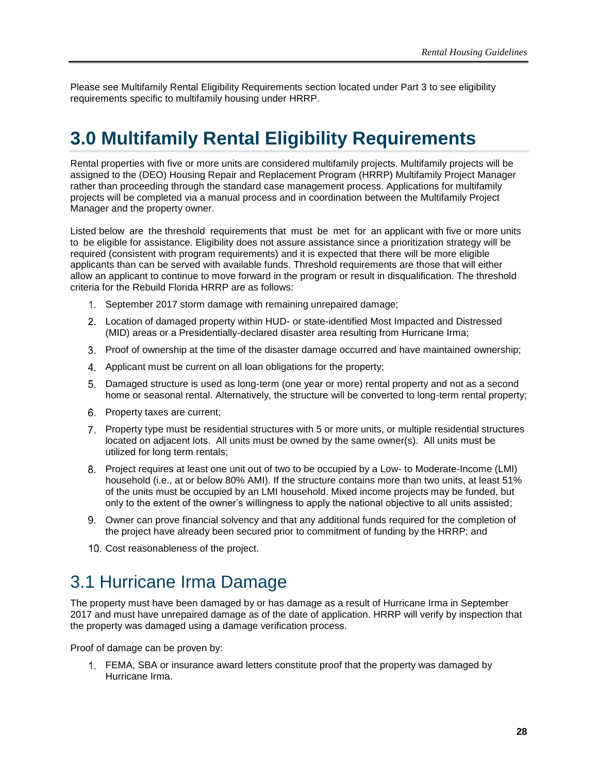<span id="page-33-0"></span>Please see Multifamily Rental Eligibility Requirements section located under Part 3 to see eligibility requirements specific to multifamily housing under HRRP.

# **3.0 Multifamily Rental Eligibility Requirements**

Rental properties with five or more units are considered multifamily projects. Multifamily projects will be assigned to the (DEO) Housing Repair and Replacement Program (HRRP) Multifamily Project Manager rather than proceeding through the standard case management process. Applications for multifamily projects will be completed via a manual process and in coordination between the Multifamily Project Manager and the property owner.

Listed below are the threshold requirements that must be met for an applicant with five or more units to be eligible for assistance. Eligibility does not assure assistance since a prioritization strategy will be required (consistent with program requirements) and it is expected that there will be more eligible applicants than can be served with available funds. Threshold requirements are those that will either allow an applicant to continue to move forward in the program or result in disqualification. The threshold criteria for the Rebuild Florida HRRP are as follows:

- September 2017 storm damage with remaining unrepaired damage;
- Location of damaged property within HUD- or state-identified Most Impacted and Distressed (MID) areas or a Presidentially-declared disaster area resulting from Hurricane Irma;
- Proof of ownership at the time of the disaster damage occurred and have maintained ownership;
- Applicant must be current on all loan obligations for the property;
- Damaged structure is used as long-term (one year or more) rental property and not as a second home or seasonal rental. Alternatively, the structure will be converted to long-term rental property;
- 6. Property taxes are current;
- Property type must be residential structures with 5 or more units, or multiple residential structures located on adjacent lots. All units must be owned by the same owner(s). All units must be utilized for long term rentals;
- Project requires at least one unit out of two to be occupied by a Low- to Moderate-Income (LMI) household (i.e., at or below 80% AMI). If the structure contains more than two units, at least 51% of the units must be occupied by an LMI household. Mixed income projects may be funded, but only to the extent of the owner's willingness to apply the national objective to all units assisted;
- Owner can prove financial solvency and that any additional funds required for the completion of the project have already been secured prior to commitment of funding by the HRRP; and
- 10. Cost reasonableness of the project.

### <span id="page-33-1"></span>3.1 Hurricane Irma Damage

The property must have been damaged by or has damage as a result of Hurricane Irma in September 2017 and must have unrepaired damage as of the date of application. HRRP will verify by inspection that the property was damaged using a damage verification process.

Proof of damage can be proven by:

FEMA, SBA or insurance award letters constitute proof that the property was damaged by Hurricane Irma.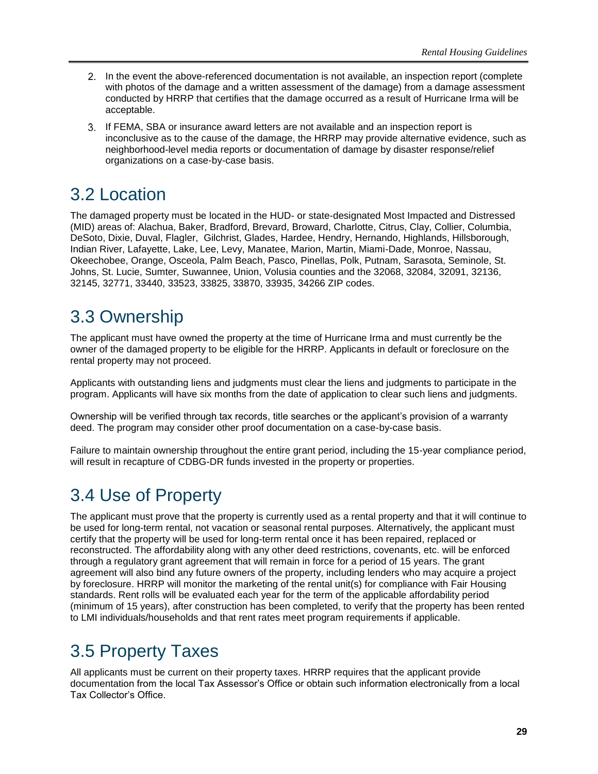- 2. In the event the above-referenced documentation is not available, an inspection report (complete with photos of the damage and a written assessment of the damage) from a damage assessment conducted by HRRP that certifies that the damage occurred as a result of Hurricane Irma will be acceptable.
- If FEMA, SBA or insurance award letters are not available and an inspection report is inconclusive as to the cause of the damage, the HRRP may provide alternative evidence, such as neighborhood-level media reports or documentation of damage by disaster response/relief organizations on a case-by-case basis.

# <span id="page-34-0"></span>3.2 Location

The damaged property must be located in the HUD- or state-designated Most Impacted and Distressed (MID) areas of: Alachua, Baker, Bradford, Brevard, Broward, Charlotte, Citrus, Clay, Collier, Columbia, DeSoto, Dixie, Duval, Flagler, Gilchrist, Glades, Hardee, Hendry, Hernando, Highlands, Hillsborough, Indian River, Lafayette, Lake, Lee, Levy, Manatee, Marion, Martin, Miami-Dade, Monroe, Nassau, Okeechobee, Orange, Osceola, Palm Beach, Pasco, Pinellas, Polk, Putnam, Sarasota, Seminole, St. Johns, St. Lucie, Sumter, Suwannee, Union, Volusia counties and the 32068, 32084, 32091, 32136, 32145, 32771, 33440, 33523, 33825, 33870, 33935, 34266 ZIP codes.

# <span id="page-34-1"></span>3.3 Ownership

The applicant must have owned the property at the time of Hurricane Irma and must currently be the owner of the damaged property to be eligible for the HRRP. Applicants in default or foreclosure on the rental property may not proceed.

Applicants with outstanding liens and judgments must clear the liens and judgments to participate in the program. Applicants will have six months from the date of application to clear such liens and judgments.

Ownership will be verified through tax records, title searches or the applicant's provision of a warranty deed. The program may consider other proof documentation on a case-by-case basis.

Failure to maintain ownership throughout the entire grant period, including the 15-year compliance period, will result in recapture of CDBG-DR funds invested in the property or properties.

# <span id="page-34-2"></span>3.4 Use of Property

The applicant must prove that the property is currently used as a rental property and that it will continue to be used for long-term rental, not vacation or seasonal rental purposes. Alternatively, the applicant must certify that the property will be used for long-term rental once it has been repaired, replaced or reconstructed. The affordability along with any other deed restrictions, covenants, etc. will be enforced through a regulatory grant agreement that will remain in force for a period of 15 years. The grant agreement will also bind any future owners of the property, including lenders who may acquire a project by foreclosure. HRRP will monitor the marketing of the rental unit(s) for compliance with Fair Housing standards. Rent rolls will be evaluated each year for the term of the applicable affordability period (minimum of 15 years), after construction has been completed, to verify that the property has been rented to LMI individuals/households and that rent rates meet program requirements if applicable.

# <span id="page-34-3"></span>3.5 Property Taxes

All applicants must be current on their property taxes. HRRP requires that the applicant provide documentation from the local Tax Assessor's Office or obtain such information electronically from a local Tax Collector's Office.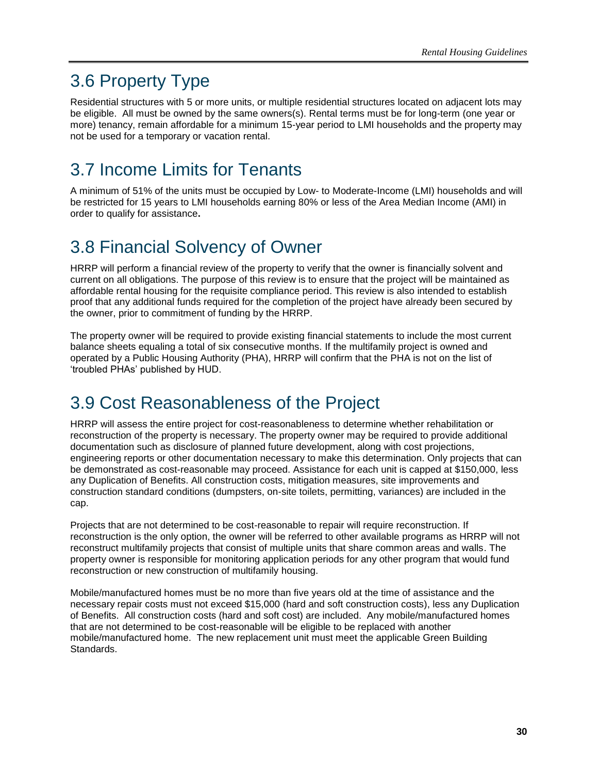# <span id="page-35-0"></span>3.6 Property Type

Residential structures with 5 or more units, or multiple residential structures located on adjacent lots may be eligible. All must be owned by the same owners(s). Rental terms must be for long-term (one year or more) tenancy, remain affordable for a minimum 15-year period to LMI households and the property may not be used for a temporary or vacation rental.

# <span id="page-35-1"></span>3.7 Income Limits for Tenants

A minimum of 51% of the units must be occupied by Low- to Moderate-Income (LMI) households and will be restricted for 15 years to LMI households earning 80% or less of the Area Median Income (AMI) in order to qualify for assistance**.** 

# <span id="page-35-2"></span>3.8 Financial Solvency of Owner

HRRP will perform a financial review of the property to verify that the owner is financially solvent and current on all obligations. The purpose of this review is to ensure that the project will be maintained as affordable rental housing for the requisite compliance period. This review is also intended to establish proof that any additional funds required for the completion of the project have already been secured by the owner, prior to commitment of funding by the HRRP.

The property owner will be required to provide existing financial statements to include the most current balance sheets equaling a total of six consecutive months. If the multifamily project is owned and operated by a Public Housing Authority (PHA), HRRP will confirm that the PHA is not on the list of 'troubled PHAs' published by HUD.

# <span id="page-35-3"></span>3.9 Cost Reasonableness of the Project

HRRP will assess the entire project for cost-reasonableness to determine whether rehabilitation or reconstruction of the property is necessary. The property owner may be required to provide additional documentation such as disclosure of planned future development, along with cost projections, engineering reports or other documentation necessary to make this determination. Only projects that can be demonstrated as cost-reasonable may proceed. Assistance for each unit is capped at \$150,000, less any Duplication of Benefits. All construction costs, mitigation measures, site improvements and construction standard conditions (dumpsters, on-site toilets, permitting, variances) are included in the cap.

Projects that are not determined to be cost-reasonable to repair will require reconstruction. If reconstruction is the only option, the owner will be referred to other available programs as HRRP will not reconstruct multifamily projects that consist of multiple units that share common areas and walls. The property owner is responsible for monitoring application periods for any other program that would fund reconstruction or new construction of multifamily housing.

Mobile/manufactured homes must be no more than five years old at the time of assistance and the necessary repair costs must not exceed \$15,000 (hard and soft construction costs), less any Duplication of Benefits. All construction costs (hard and soft cost) are included. Any mobile/manufactured homes that are not determined to be cost-reasonable will be eligible to be replaced with another mobile/manufactured home. The new replacement unit must meet the applicable Green Building Standards.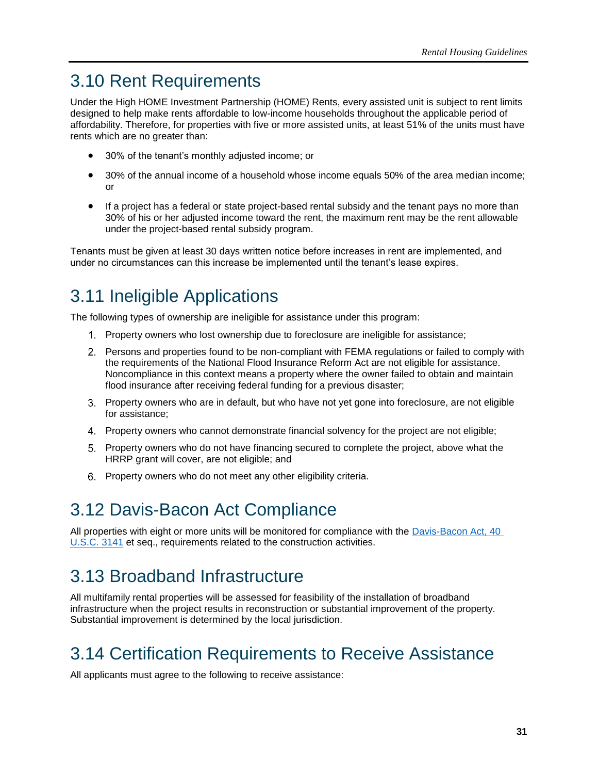# <span id="page-36-0"></span>3.10 Rent Requirements

Under the High HOME Investment Partnership (HOME) Rents, every assisted unit is subject to rent limits designed to help make rents affordable to low-income households throughout the applicable period of affordability. Therefore, for properties with five or more assisted units, at least 51% of the units must have rents which are no greater than:

- 30% of the tenant's monthly adjusted income; or
- 30% of the annual income of a household whose income equals 50% of the area median income; or
- If a project has a federal or state project-based rental subsidy and the tenant pays no more than 30% of his or her adjusted income toward the rent, the maximum rent may be the rent allowable under the project-based rental subsidy program.

Tenants must be given at least 30 days written notice before increases in rent are implemented, and under no circumstances can this increase be implemented until the tenant's lease expires.

# <span id="page-36-1"></span>3.11 Ineligible Applications

The following types of ownership are ineligible for assistance under this program:

- Property owners who lost ownership due to foreclosure are ineligible for assistance;
- Persons and properties found to be non-compliant with FEMA regulations or failed to comply with the requirements of the National Flood Insurance Reform Act are not eligible for assistance. Noncompliance in this context means a property where the owner failed to obtain and maintain flood insurance after receiving federal funding for a previous disaster;
- Property owners who are in default, but who have not yet gone into foreclosure, are not eligible for assistance;
- Property owners who cannot demonstrate financial solvency for the project are not eligible;
- Property owners who do not have financing secured to complete the project, above what the HRRP grant will cover, are not eligible; and
- 6. Property owners who do not meet any other eligibility criteria.

# <span id="page-36-2"></span>3.12 Davis-Bacon Act Compliance

All properties with eight or more units will be monitored for compliance with the [Davis-Bacon Act, 40](https://www.dol.gov/whd/regs/statutes/dbra.htm)  [U.S.C. 3141](https://www.dol.gov/whd/regs/statutes/dbra.htm) et seq., requirements related to the construction activities.

# <span id="page-36-3"></span>3.13 Broadband Infrastructure

All multifamily rental properties will be assessed for feasibility of the installation of broadband infrastructure when the project results in reconstruction or substantial improvement of the property. Substantial improvement is determined by the local jurisdiction.

# <span id="page-36-4"></span>3.14 Certification Requirements to Receive Assistance

All applicants must agree to the following to receive assistance: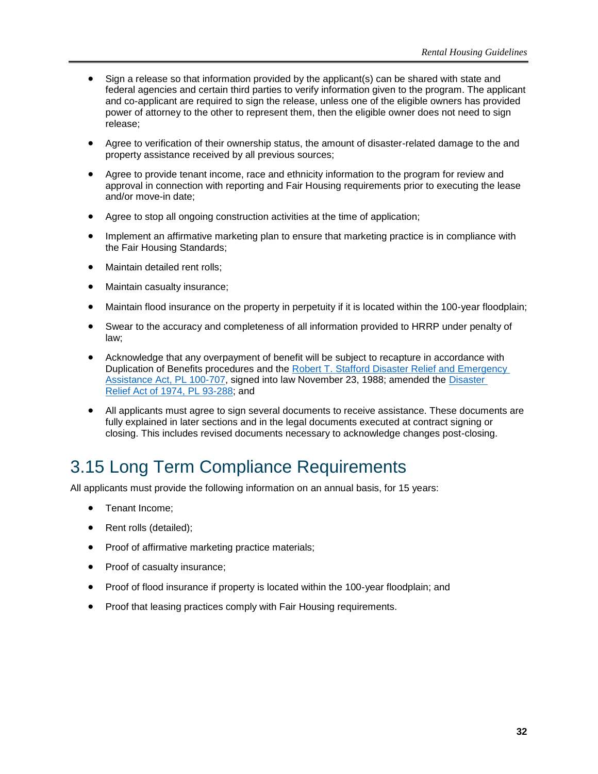- Sign a release so that information provided by the applicant(s) can be shared with state and federal agencies and certain third parties to verify information given to the program. The applicant and co-applicant are required to sign the release, unless one of the eligible owners has provided power of attorney to the other to represent them, then the eligible owner does not need to sign release;
- Agree to verification of their ownership status, the amount of disaster-related damage to the and property assistance received by all previous sources;
- Agree to provide tenant income, race and ethnicity information to the program for review and approval in connection with reporting and Fair Housing requirements prior to executing the lease and/or move-in date;
- Agree to stop all ongoing construction activities at the time of application;
- Implement an affirmative marketing plan to ensure that marketing practice is in compliance with the Fair Housing Standards;
- Maintain detailed rent rolls;
- Maintain casualty insurance;
- Maintain flood insurance on the property in perpetuity if it is located within the 100-year floodplain;
- Swear to the accuracy and completeness of all information provided to HRRP under penalty of law;
- Acknowledge that any overpayment of benefit will be subject to recapture in accordance with Duplication of Benefits procedures and the Robert T. Stafford [Disaster Relief and Emergency](https://www.fema.gov/robert-t-stafford-disaster-relief-and-emergency-assistance-act-public-law-93-288-amended)  Assistance [Act, PL 100-707,](https://www.fema.gov/robert-t-stafford-disaster-relief-and-emergency-assistance-act-public-law-93-288-amended) signed into law November 23, 1988; amended the [Disaster](https://www.hsdl.org/?abstract&did=458661)  Relief Act [of 1974, PL 93-288;](https://www.hsdl.org/?abstract&did=458661) and
- All applicants must agree to sign several documents to receive assistance. These documents are fully explained in later sections and in the legal documents executed at contract signing or closing. This includes revised documents necessary to acknowledge changes post-closing.

# <span id="page-37-0"></span>3.15 Long Term Compliance Requirements

All applicants must provide the following information on an annual basis, for 15 years:

- Tenant Income;
- Rent rolls (detailed);
- Proof of affirmative marketing practice materials;
- Proof of casualty insurance;
- Proof of flood insurance if property is located within the 100-year floodplain; and
- Proof that leasing practices comply with Fair Housing requirements.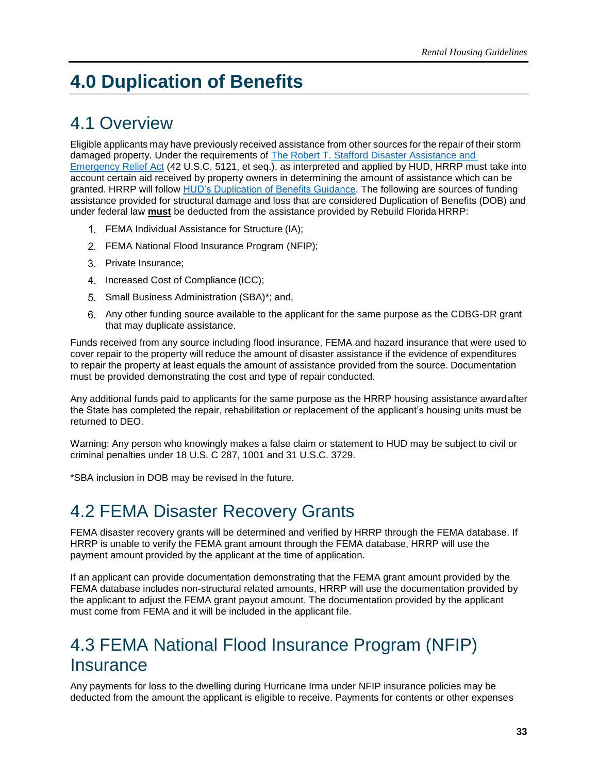# <span id="page-38-0"></span>**4.0 Duplication of Benefits**

# <span id="page-38-1"></span>4.1 Overview

Eligible applicants may have previously received assistance from other sources for the repair of their storm damaged property. Under the requirements of The Robert T. Stafford Disaster Assistance and [Emergency Relief Act](https://www.fema.gov/media-library-data/1519395888776-af5f95a1a9237302af7e3fd5b0d07d71/StaffordAct.pdf) (42 U.S.C. 5121, et seq.), as interpreted and applied by HUD, HRRP must take into account certain aid received by property owners in determining the amount of assistance which can be granted. HRRP will follow [HUD's Duplication of Benefits Guidance.](https://www.govinfo.gov/content/pkg/FR-2019-06-20/pdf/2019-13147.pdf) The following are sources of funding assistance provided for structural damage and loss that are considered Duplication of Benefits (DOB) and under federal law **must** be deducted from the assistance provided by Rebuild Florida HRRP:

- FEMA Individual Assistance for Structure (IA);
- FEMA National Flood Insurance Program (NFIP);
- Private Insurance;
- 4. Increased Cost of Compliance (ICC);
- 5. Small Business Administration (SBA)\*; and,
- Any other funding source available to the applicant for the same purpose as the CDBG-DR grant that may duplicate assistance.

Funds received from any source including flood insurance, FEMA and hazard insurance that were used to cover repair to the property will reduce the amount of disaster assistance if the evidence of expenditures to repair the property at least equals the amount of assistance provided from the source. Documentation must be provided demonstrating the cost and type of repair conducted.

Any additional funds paid to applicants for the same purpose as the HRRP housing assistance awardafter the State has completed the repair, rehabilitation or replacement of the applicant's housing units must be returned to DEO.

Warning: Any person who knowingly makes a false claim or statement to HUD may be subject to civil or criminal penalties under 18 U.S. C 287, 1001 and 31 U.S.C. 3729.

<span id="page-38-2"></span>\*SBA inclusion in DOB may be revised in the future.

### 4.2 FEMA Disaster Recovery Grants

FEMA disaster recovery grants will be determined and verified by HRRP through the FEMA database. If HRRP is unable to verify the FEMA grant amount through the FEMA database, HRRP will use the payment amount provided by the applicant at the time of application.

If an applicant can provide documentation demonstrating that the FEMA grant amount provided by the FEMA database includes non-structural related amounts, HRRP will use the documentation provided by the applicant to adjust the FEMA grant payout amount. The documentation provided by the applicant must come from FEMA and it will be included in the applicant file.

# <span id="page-38-3"></span>4.3 FEMA National Flood Insurance Program (NFIP) **Insurance**

Any payments for loss to the dwelling during Hurricane Irma under NFIP insurance policies may be deducted from the amount the applicant is eligible to receive. Payments for contents or other expenses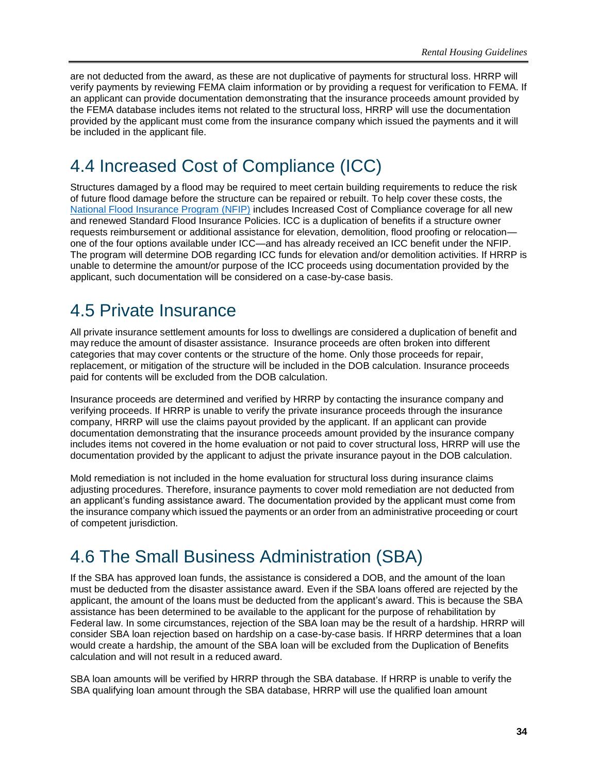are not deducted from the award, as these are not duplicative of payments for structural loss. HRRP will verify payments by reviewing FEMA claim information or by providing a request for verification to FEMA. If an applicant can provide documentation demonstrating that the insurance proceeds amount provided by the FEMA database includes items not related to the structural loss, HRRP will use the documentation provided by the applicant must come from the insurance company which issued the payments and it will be included in the applicant file.

# <span id="page-39-0"></span>4.4 Increased Cost of Compliance (ICC)

Structures damaged by a flood may be required to meet certain building requirements to reduce the risk of future flood damage before the structure can be repaired or rebuilt. To help cover these costs, the [National Flood Insurance Program \(NFIP\)](https://www.fema.gov/national-flood-insurance-program) includes Increased Cost of Compliance coverage for all new and renewed Standard Flood Insurance Policies. ICC is a duplication of benefits if a structure owner requests reimbursement or additional assistance for elevation, demolition, flood proofing or relocation one of the four options available under ICC—and has already received an ICC benefit under the NFIP. The program will determine DOB regarding ICC funds for elevation and/or demolition activities. If HRRP is unable to determine the amount/or purpose of the ICC proceeds using documentation provided by the applicant, such documentation will be considered on a case-by-case basis.

### <span id="page-39-1"></span>4.5 Private Insurance

All private insurance settlement amounts for loss to dwellings are considered a duplication of benefit and may reduce the amount of disaster assistance. Insurance proceeds are often broken into different categories that may cover contents or the structure of the home. Only those proceeds for repair, replacement, or mitigation of the structure will be included in the DOB calculation. Insurance proceeds paid for contents will be excluded from the DOB calculation.

Insurance proceeds are determined and verified by HRRP by contacting the insurance company and verifying proceeds. If HRRP is unable to verify the private insurance proceeds through the insurance company, HRRP will use the claims payout provided by the applicant. If an applicant can provide documentation demonstrating that the insurance proceeds amount provided by the insurance company includes items not covered in the home evaluation or not paid to cover structural loss, HRRP will use the documentation provided by the applicant to adjust the private insurance payout in the DOB calculation.

Mold remediation is not included in the home evaluation for structural loss during insurance claims adjusting procedures. Therefore, insurance payments to cover mold remediation are not deducted from an applicant's funding assistance award. The documentation provided by the applicant must come from the insurance company which issued the payments or an order from an administrative proceeding or court of competent jurisdiction.

# <span id="page-39-2"></span>4.6 The Small Business Administration (SBA)

If the SBA has approved loan funds, the assistance is considered a DOB, and the amount of the loan must be deducted from the disaster assistance award. Even if the SBA loans offered are rejected by the applicant, the amount of the loans must be deducted from the applicant's award. This is because the SBA assistance has been determined to be available to the applicant for the purpose of rehabilitation by Federal law. In some circumstances, rejection of the SBA loan may be the result of a hardship. HRRP will consider SBA loan rejection based on hardship on a case-by-case basis. If HRRP determines that a loan would create a hardship, the amount of the SBA loan will be excluded from the Duplication of Benefits calculation and will not result in a reduced award.

SBA loan amounts will be verified by HRRP through the SBA database. If HRRP is unable to verify the SBA qualifying loan amount through the SBA database, HRRP will use the qualified loan amount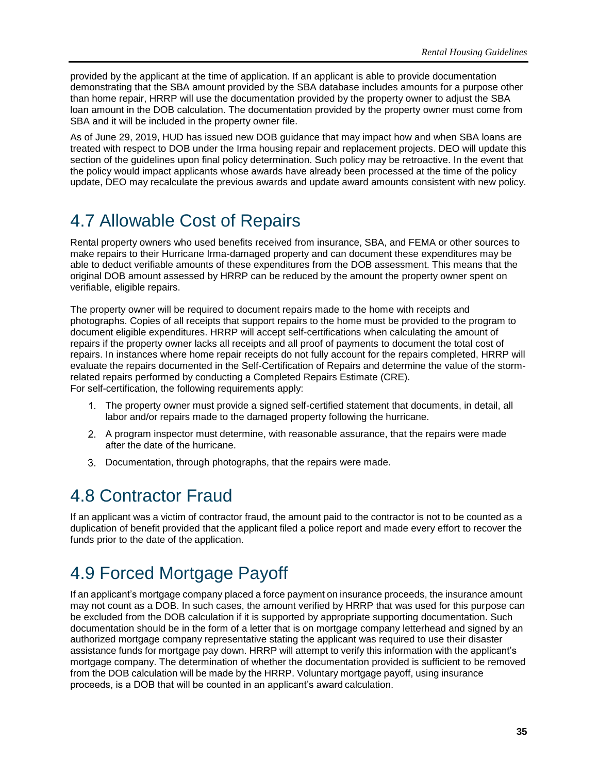provided by the applicant at the time of application. If an applicant is able to provide documentation demonstrating that the SBA amount provided by the SBA database includes amounts for a purpose other than home repair, HRRP will use the documentation provided by the property owner to adjust the SBA loan amount in the DOB calculation. The documentation provided by the property owner must come from SBA and it will be included in the property owner file.

As of June 29, 2019, HUD has issued new DOB guidance that may impact how and when SBA loans are treated with respect to DOB under the Irma housing repair and replacement projects. DEO will update this section of the guidelines upon final policy determination. Such policy may be retroactive. In the event that the policy would impact applicants whose awards have already been processed at the time of the policy update, DEO may recalculate the previous awards and update award amounts consistent with new policy.

# <span id="page-40-0"></span>4.7 Allowable Cost of Repairs

Rental property owners who used benefits received from insurance, SBA, and FEMA or other sources to make repairs to their Hurricane Irma-damaged property and can document these expenditures may be able to deduct verifiable amounts of these expenditures from the DOB assessment. This means that the original DOB amount assessed by HRRP can be reduced by the amount the property owner spent on verifiable, eligible repairs.

The property owner will be required to document repairs made to the home with receipts and photographs. Copies of all receipts that support repairs to the home must be provided to the program to document eligible expenditures. HRRP will accept self-certifications when calculating the amount of repairs if the property owner lacks all receipts and all proof of payments to document the total cost of repairs. In instances where home repair receipts do not fully account for the repairs completed, HRRP will evaluate the repairs documented in the Self-Certification of Repairs and determine the value of the stormrelated repairs performed by conducting a Completed Repairs Estimate (CRE). For self-certification, the following requirements apply:

The property owner must provide a signed self-certified statement that documents, in detail, all

- labor and/or repairs made to the damaged property following the hurricane.
- A program inspector must determine, with reasonable assurance, that the repairs were made after the date of the hurricane.
- Documentation, through photographs, that the repairs were made.

# <span id="page-40-1"></span>4.8 Contractor Fraud

If an applicant was a victim of contractor fraud, the amount paid to the contractor is not to be counted as a duplication of benefit provided that the applicant filed a police report and made every effort to recover the funds prior to the date of the application.

# <span id="page-40-2"></span>4.9 Forced Mortgage Payoff

If an applicant's mortgage company placed a force payment on insurance proceeds, the insurance amount may not count as a DOB. In such cases, the amount verified by HRRP that was used for this purpose can be excluded from the DOB calculation if it is supported by appropriate supporting documentation. Such documentation should be in the form of a letter that is on mortgage company letterhead and signed by an authorized mortgage company representative stating the applicant was required to use their disaster assistance funds for mortgage pay down. HRRP will attempt to verify this information with the applicant's mortgage company. The determination of whether the documentation provided is sufficient to be removed from the DOB calculation will be made by the HRRP. Voluntary mortgage payoff, using insurance proceeds, is a DOB that will be counted in an applicant's award calculation.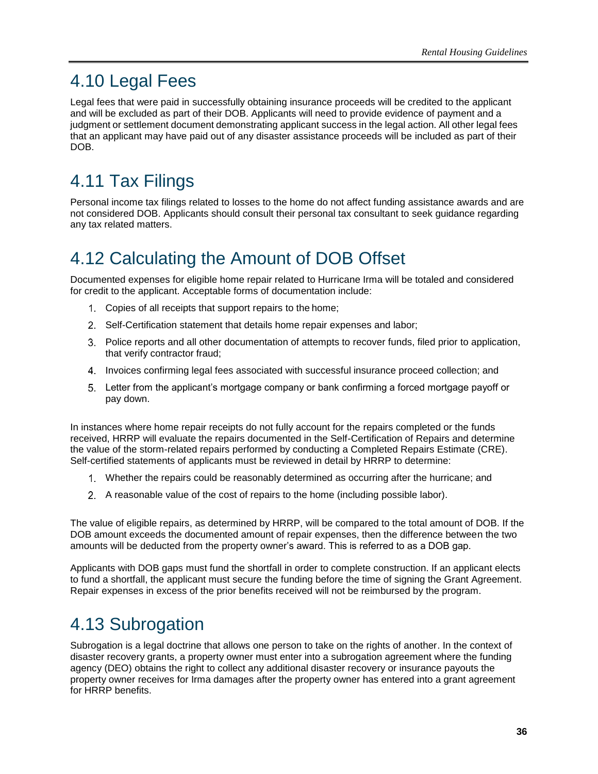# <span id="page-41-0"></span>4.10 Legal Fees

Legal fees that were paid in successfully obtaining insurance proceeds will be credited to the applicant and will be excluded as part of their DOB. Applicants will need to provide evidence of payment and a judgment or settlement document demonstrating applicant success in the legal action. All other legal fees that an applicant may have paid out of any disaster assistance proceeds will be included as part of their DOB.

# <span id="page-41-1"></span>4.11 Tax Filings

Personal income tax filings related to losses to the home do not affect funding assistance awards and are not considered DOB. Applicants should consult their personal tax consultant to seek guidance regarding any tax related matters.

# <span id="page-41-2"></span>4.12 Calculating the Amount of DOB Offset

Documented expenses for eligible home repair related to Hurricane Irma will be totaled and considered for credit to the applicant. Acceptable forms of documentation include:

- Copies of all receipts that support repairs to the home;
- 2. Self-Certification statement that details home repair expenses and labor;
- Police reports and all other documentation of attempts to recover funds, filed prior to application, that verify contractor fraud;
- Invoices confirming legal fees associated with successful insurance proceed collection; and
- Letter from the applicant's mortgage company or bank confirming a forced mortgage payoff or pay down.

In instances where home repair receipts do not fully account for the repairs completed or the funds received, HRRP will evaluate the repairs documented in the Self-Certification of Repairs and determine the value of the storm-related repairs performed by conducting a Completed Repairs Estimate (CRE). Self-certified statements of applicants must be reviewed in detail by HRRP to determine:

- Whether the repairs could be reasonably determined as occurring after the hurricane; and
- A reasonable value of the cost of repairs to the home (including possible labor).

The value of eligible repairs, as determined by HRRP, will be compared to the total amount of DOB. If the DOB amount exceeds the documented amount of repair expenses, then the difference between the two amounts will be deducted from the property owner's award. This is referred to as a DOB gap.

Applicants with DOB gaps must fund the shortfall in order to complete construction. If an applicant elects to fund a shortfall, the applicant must secure the funding before the time of signing the Grant Agreement. Repair expenses in excess of the prior benefits received will not be reimbursed by the program.

# <span id="page-41-3"></span>4.13 Subrogation

Subrogation is a legal doctrine that allows one person to take on the rights of another. In the context of disaster recovery grants, a property owner must enter into a subrogation agreement where the funding agency (DEO) obtains the right to collect any additional disaster recovery or insurance payouts the property owner receives for Irma damages after the property owner has entered into a grant agreement for HRRP benefits.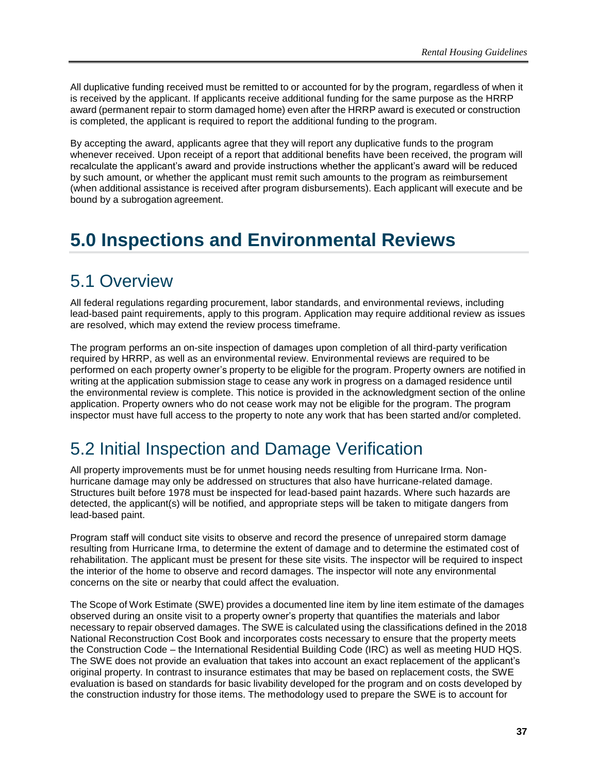All duplicative funding received must be remitted to or accounted for by the program, regardless of when it is received by the applicant. If applicants receive additional funding for the same purpose as the HRRP award (permanent repair to storm damaged home) even after the HRRP award is executed or construction is completed, the applicant is required to report the additional funding to the program.

By accepting the award, applicants agree that they will report any duplicative funds to the program whenever received. Upon receipt of a report that additional benefits have been received, the program will recalculate the applicant's award and provide instructions whether the applicant's award will be reduced by such amount, or whether the applicant must remit such amounts to the program as reimbursement (when additional assistance is received after program disbursements). Each applicant will execute and be bound by a subrogation agreement.

# <span id="page-42-0"></span>**5.0 Inspections and Environmental Reviews**

# <span id="page-42-1"></span>5.1 Overview

All federal regulations regarding procurement, labor standards, and environmental reviews, including lead-based paint requirements, apply to this program. Application may require additional review as issues are resolved, which may extend the review process timeframe.

The program performs an on-site inspection of damages upon completion of all third-party verification required by HRRP, as well as an environmental review. Environmental reviews are required to be performed on each property owner's property to be eligible for the program. Property owners are notified in writing at the application submission stage to cease any work in progress on a damaged residence until the environmental review is complete. This notice is provided in the acknowledgment section of the online application. Property owners who do not cease work may not be eligible for the program. The program inspector must have full access to the property to note any work that has been started and/or completed.

# <span id="page-42-2"></span>5.2 Initial Inspection and Damage Verification

All property improvements must be for unmet housing needs resulting from Hurricane Irma. Nonhurricane damage may only be addressed on structures that also have hurricane-related damage. Structures built before 1978 must be inspected for lead-based paint hazards. Where such hazards are detected, the applicant(s) will be notified, and appropriate steps will be taken to mitigate dangers from lead-based paint.

Program staff will conduct site visits to observe and record the presence of unrepaired storm damage resulting from Hurricane Irma, to determine the extent of damage and to determine the estimated cost of rehabilitation. The applicant must be present for these site visits. The inspector will be required to inspect the interior of the home to observe and record damages. The inspector will note any environmental concerns on the site or nearby that could affect the evaluation.

The Scope of Work Estimate (SWE) provides a documented line item by line item estimate of the damages observed during an onsite visit to a property owner's property that quantifies the materials and labor necessary to repair observed damages. The SWE is calculated using the classifications defined in the 2018 National Reconstruction Cost Book and incorporates costs necessary to ensure that the property meets the Construction Code – the International Residential Building Code (IRC) as well as meeting HUD HQS. The SWE does not provide an evaluation that takes into account an exact replacement of the applicant's original property. In contrast to insurance estimates that may be based on replacement costs, the SWE evaluation is based on standards for basic livability developed for the program and on costs developed by the construction industry for those items. The methodology used to prepare the SWE is to account for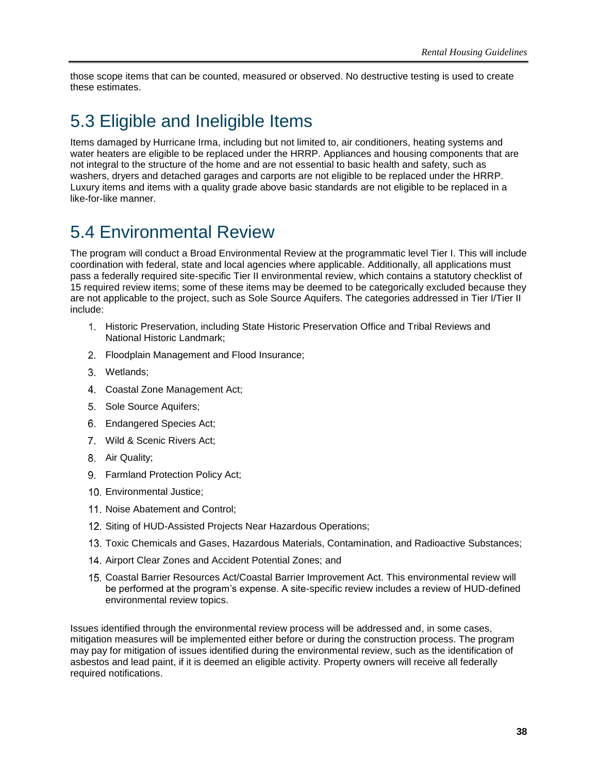those scope items that can be counted, measured or observed. No destructive testing is used to create these estimates.

# <span id="page-43-0"></span>5.3 Eligible and Ineligible Items

Items damaged by Hurricane Irma, including but not limited to, air conditioners, heating systems and water heaters are eligible to be replaced under the HRRP. Appliances and housing components that are not integral to the structure of the home and are not essential to basic health and safety, such as washers, dryers and detached garages and carports are not eligible to be replaced under the HRRP. Luxury items and items with a quality grade above basic standards are not eligible to be replaced in a like-for-like manner.

# <span id="page-43-1"></span>5.4 Environmental Review

The program will conduct a Broad Environmental Review at the programmatic level Tier I. This will include coordination with federal, state and local agencies where applicable. Additionally, all applications must pass a federally required site-specific Tier II environmental review, which contains a statutory checklist of 15 required review items; some of these items may be deemed to be categorically excluded because they are not applicable to the project, such as Sole Source Aquifers. The categories addressed in Tier I/Tier II include:

- Historic Preservation, including State Historic Preservation Office and Tribal Reviews and National Historic Landmark;
- 2. Floodplain Management and Flood Insurance;
- Wetlands;
- Coastal Zone Management Act;
- 5. Sole Source Aquifers;
- Endangered Species Act;
- Wild & Scenic Rivers Act;
- 8. Air Quality;
- 9. Farmland Protection Policy Act:
- 10. Environmental Justice:
- 11. Noise Abatement and Control;
- 12. Siting of HUD-Assisted Projects Near Hazardous Operations;
- 13. Toxic Chemicals and Gases, Hazardous Materials, Contamination, and Radioactive Substances;
- 14. Airport Clear Zones and Accident Potential Zones; and
- Coastal Barrier Resources Act/Coastal Barrier Improvement Act. This environmental review will be performed at the program's expense. A site-specific review includes a review of HUD-defined environmental review topics.

Issues identified through the environmental review process will be addressed and, in some cases, mitigation measures will be implemented either before or during the construction process. The program may pay for mitigation of issues identified during the environmental review, such as the identification of asbestos and lead paint, if it is deemed an eligible activity. Property owners will receive all federally required notifications.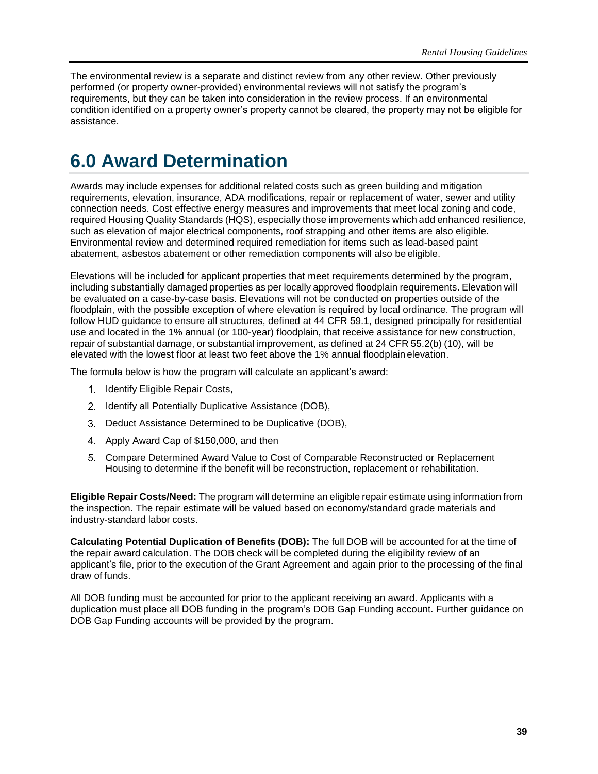The environmental review is a separate and distinct review from any other review. Other previously performed (or property owner-provided) environmental reviews will not satisfy the program's requirements, but they can be taken into consideration in the review process. If an environmental condition identified on a property owner's property cannot be cleared, the property may not be eligible for assistance.

# <span id="page-44-0"></span>**6.0 Award Determination**

Awards may include expenses for additional related costs such as green building and mitigation requirements, elevation, insurance, ADA modifications, repair or replacement of water, sewer and utility connection needs. Cost effective energy measures and improvements that meet local zoning and code, required Housing Quality Standards (HQS), especially those improvements which add enhanced resilience, such as elevation of major electrical components, roof strapping and other items are also eligible. Environmental review and determined required remediation for items such as lead-based paint abatement, asbestos abatement or other remediation components will also be eligible.

Elevations will be included for applicant properties that meet requirements determined by the program, including substantially damaged properties as per locally approved floodplain requirements. Elevation will be evaluated on a case-by-case basis. Elevations will not be conducted on properties outside of the floodplain, with the possible exception of where elevation is required by local ordinance. The program will follow HUD guidance to ensure all structures, defined at 44 CFR 59.1, designed principally for residential use and located in the 1% annual (or 100-year) floodplain, that receive assistance for new construction, repair of substantial damage, or substantial improvement, as defined at 24 CFR 55.2(b) (10), will be elevated with the lowest floor at least two feet above the 1% annual floodplain elevation.

The formula below is how the program will calculate an applicant's award:

- 1. Identify Eligible Repair Costs,
- 2. Identify all Potentially Duplicative Assistance (DOB),
- 3. Deduct Assistance Determined to be Duplicative (DOB),
- 4. Apply Award Cap of \$150,000, and then
- Compare Determined Award Value to Cost of Comparable Reconstructed or Replacement Housing to determine if the benefit will be reconstruction, replacement or rehabilitation.

**Eligible Repair Costs/Need:** The program will determine an eligible repair estimate using information from the inspection. The repair estimate will be valued based on economy/standard grade materials and industry-standard labor costs.

**Calculating Potential Duplication of Benefits (DOB):** The full DOB will be accounted for at the time of the repair award calculation. The DOB check will be completed during the eligibility review of an applicant's file, prior to the execution of the Grant Agreement and again prior to the processing of the final draw of funds.

All DOB funding must be accounted for prior to the applicant receiving an award. Applicants with a duplication must place all DOB funding in the program's DOB Gap Funding account. Further guidance on DOB Gap Funding accounts will be provided by the program.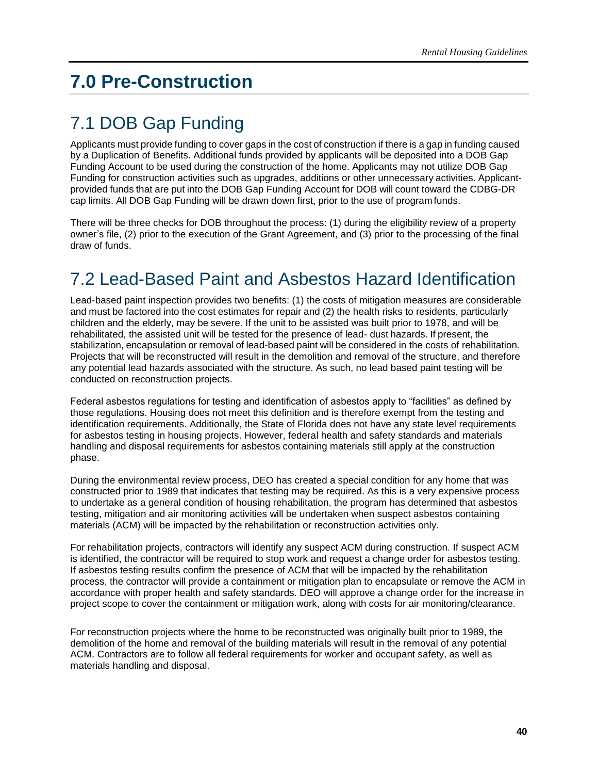# <span id="page-45-0"></span>**7.0 Pre-Construction**

# <span id="page-45-1"></span>7.1 DOB Gap Funding

Applicants must provide funding to cover gaps in the cost of construction if there is a gap in funding caused by a Duplication of Benefits. Additional funds provided by applicants will be deposited into a DOB Gap Funding Account to be used during the construction of the home. Applicants may not utilize DOB Gap Funding for construction activities such as upgrades, additions or other unnecessary activities. Applicantprovided funds that are put into the DOB Gap Funding Account for DOB will count toward the CDBG-DR cap limits. All DOB Gap Funding will be drawn down first, prior to the use of program funds.

There will be three checks for DOB throughout the process: (1) during the eligibility review of a property owner's file, (2) prior to the execution of the Grant Agreement, and (3) prior to the processing of the final draw of funds.

# <span id="page-45-2"></span>7.2 Lead-Based Paint and Asbestos Hazard Identification

Lead-based paint inspection provides two benefits: (1) the costs of mitigation measures are considerable and must be factored into the cost estimates for repair and (2) the health risks to residents, particularly children and the elderly, may be severe. If the unit to be assisted was built prior to 1978, and will be rehabilitated, the assisted unit will be tested for the presence of lead- dust hazards. If present, the stabilization, encapsulation or removal of lead-based paint will be considered in the costs of rehabilitation. Projects that will be reconstructed will result in the demolition and removal of the structure, and therefore any potential lead hazards associated with the structure. As such, no lead based paint testing will be conducted on reconstruction projects.

Federal asbestos regulations for testing and identification of asbestos apply to "facilities" as defined by those regulations. Housing does not meet this definition and is therefore exempt from the testing and identification requirements. Additionally, the State of Florida does not have any state level requirements for asbestos testing in housing projects. However, federal health and safety standards and materials handling and disposal requirements for asbestos containing materials still apply at the construction phase.

During the environmental review process, DEO has created a special condition for any home that was constructed prior to 1989 that indicates that testing may be required. As this is a very expensive process to undertake as a general condition of housing rehabilitation, the program has determined that asbestos testing, mitigation and air monitoring activities will be undertaken when suspect asbestos containing materials (ACM) will be impacted by the rehabilitation or reconstruction activities only.

For rehabilitation projects, contractors will identify any suspect ACM during construction. If suspect ACM is identified, the contractor will be required to stop work and request a change order for asbestos testing. If asbestos testing results confirm the presence of ACM that will be impacted by the rehabilitation process, the contractor will provide a containment or mitigation plan to encapsulate or remove the ACM in accordance with proper health and safety standards. DEO will approve a change order for the increase in project scope to cover the containment or mitigation work, along with costs for air monitoring/clearance.

For reconstruction projects where the home to be reconstructed was originally built prior to 1989, the demolition of the home and removal of the building materials will result in the removal of any potential ACM. Contractors are to follow all federal requirements for worker and occupant safety, as well as materials handling and disposal.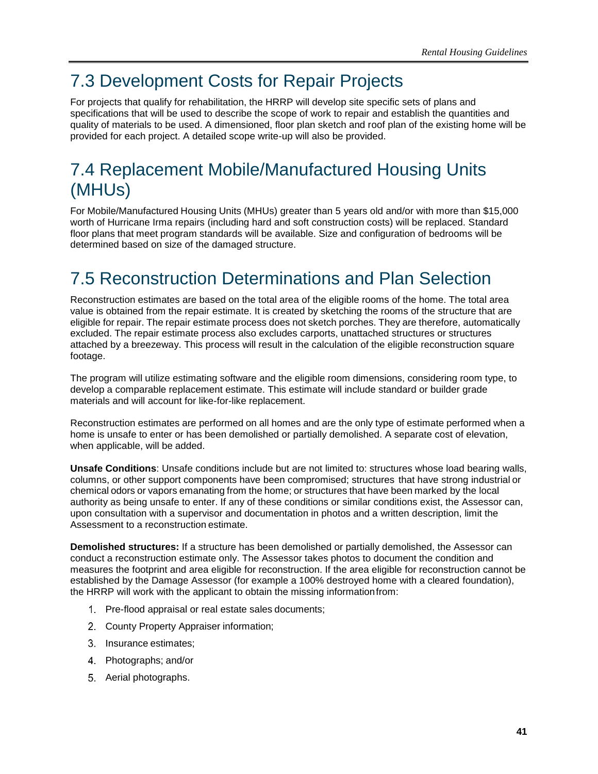# <span id="page-46-0"></span>7.3 Development Costs for Repair Projects

For projects that qualify for rehabilitation, the HRRP will develop site specific sets of plans and specifications that will be used to describe the scope of work to repair and establish the quantities and quality of materials to be used. A dimensioned, floor plan sketch and roof plan of the existing home will be provided for each project. A detailed scope write-up will also be provided.

# <span id="page-46-1"></span>7.4 Replacement Mobile/Manufactured Housing Units (MHUs)

For Mobile/Manufactured Housing Units (MHUs) greater than 5 years old and/or with more than \$15,000 worth of Hurricane Irma repairs (including hard and soft construction costs) will be replaced. Standard floor plans that meet program standards will be available. Size and configuration of bedrooms will be determined based on size of the damaged structure.

# <span id="page-46-2"></span>7.5 Reconstruction Determinations and Plan Selection

Reconstruction estimates are based on the total area of the eligible rooms of the home. The total area value is obtained from the repair estimate. It is created by sketching the rooms of the structure that are eligible for repair. The repair estimate process does not sketch porches. They are therefore, automatically excluded. The repair estimate process also excludes carports, unattached structures or structures attached by a breezeway. This process will result in the calculation of the eligible reconstruction square footage.

The program will utilize estimating software and the eligible room dimensions, considering room type, to develop a comparable replacement estimate. This estimate will include standard or builder grade materials and will account for like-for-like replacement.

Reconstruction estimates are performed on all homes and are the only type of estimate performed when a home is unsafe to enter or has been demolished or partially demolished. A separate cost of elevation, when applicable, will be added.

**Unsafe Conditions**: Unsafe conditions include but are not limited to: structures whose load bearing walls, columns, or other support components have been compromised; structures that have strong industrial or chemical odors or vapors emanating from the home; or structures that have been marked by the local authority as being unsafe to enter. If any of these conditions or similar conditions exist, the Assessor can, upon consultation with a supervisor and documentation in photos and a written description, limit the Assessment to a reconstruction estimate.

**Demolished structures:** If a structure has been demolished or partially demolished, the Assessor can conduct a reconstruction estimate only. The Assessor takes photos to document the condition and measures the footprint and area eligible for reconstruction. If the area eligible for reconstruction cannot be established by the Damage Assessor (for example a 100% destroyed home with a cleared foundation), the HRRP will work with the applicant to obtain the missing informationfrom:

- 1. Pre-flood appraisal or real estate sales documents;
- County Property Appraiser information;
- 3. Insurance estimates:
- Photographs; and/or
- 5. Aerial photographs.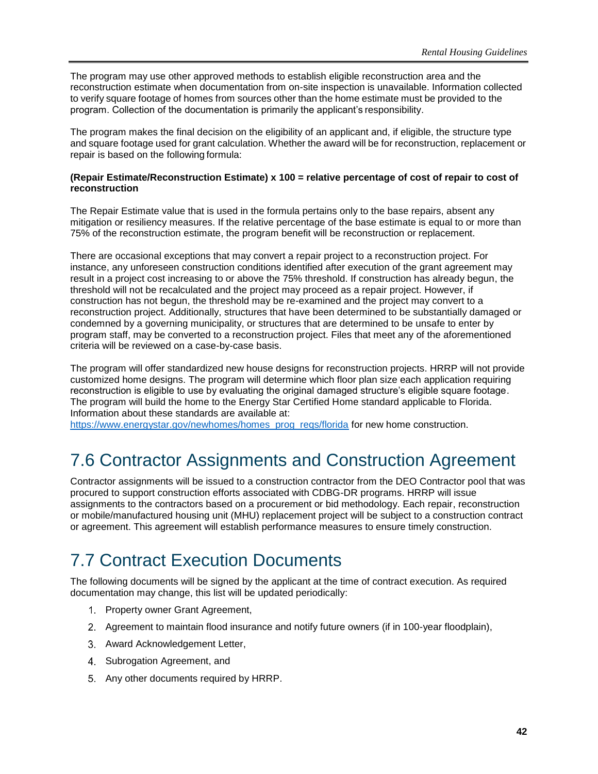The program may use other approved methods to establish eligible reconstruction area and the reconstruction estimate when documentation from on-site inspection is unavailable. Information collected to verify square footage of homes from sources other than the home estimate must be provided to the program. Collection of the documentation is primarily the applicant's responsibility.

The program makes the final decision on the eligibility of an applicant and, if eligible, the structure type and square footage used for grant calculation. Whether the award will be for reconstruction, replacement or repair is based on the following formula:

#### **(Repair Estimate/Reconstruction Estimate) x 100 = relative percentage of cost of repair to cost of reconstruction**

The Repair Estimate value that is used in the formula pertains only to the base repairs, absent any mitigation or resiliency measures. If the relative percentage of the base estimate is equal to or more than 75% of the reconstruction estimate, the program benefit will be reconstruction or replacement.

There are occasional exceptions that may convert a repair project to a reconstruction project. For instance, any unforeseen construction conditions identified after execution of the grant agreement may result in a project cost increasing to or above the 75% threshold. If construction has already begun, the threshold will not be recalculated and the project may proceed as a repair project. However, if construction has not begun, the threshold may be re-examined and the project may convert to a reconstruction project. Additionally, structures that have been determined to be substantially damaged or condemned by a governing municipality, or structures that are determined to be unsafe to enter by program staff, may be converted to a reconstruction project. Files that meet any of the aforementioned criteria will be reviewed on a case-by-case basis.

The program will offer standardized new house designs for reconstruction projects. HRRP will not provide customized home designs. The program will determine which floor plan size each application requiring reconstruction is eligible to use by evaluating the original damaged structure's eligible square footage. The program will build the home to the Energy Star Certified Home standard applicable to Florida. Information about these standards are available at:

<span id="page-47-0"></span>[https://www.energystar.gov/newhomes/homes\\_prog\\_reqs/florida](https://www.energystar.gov/newhomes/homes_prog_reqs/florida) for new home construction.

# 7.6 Contractor Assignments and Construction Agreement

Contractor assignments will be issued to a construction contractor from the DEO Contractor pool that was procured to support construction efforts associated with CDBG-DR programs. HRRP will issue assignments to the contractors based on a procurement or bid methodology. Each repair, reconstruction or mobile/manufactured housing unit (MHU) replacement project will be subject to a construction contract or agreement. This agreement will establish performance measures to ensure timely construction.

# <span id="page-47-1"></span>7.7 Contract Execution Documents

The following documents will be signed by the applicant at the time of contract execution. As required documentation may change, this list will be updated periodically:

- 1. Property owner Grant Agreement,
- Agreement to maintain flood insurance and notify future owners (if in 100-year floodplain),
- 3. Award Acknowledgement Letter,
- 4. Subrogation Agreement, and
- 5. Any other documents required by HRRP.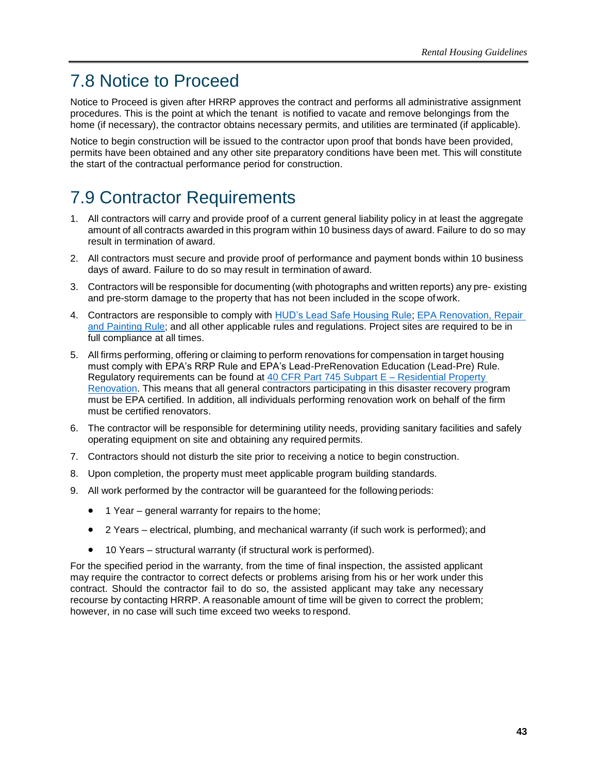# <span id="page-48-0"></span>7.8 Notice to Proceed

Notice to Proceed is given after HRRP approves the contract and performs all administrative assignment procedures. This is the point at which the tenant is notified to vacate and remove belongings from the home (if necessary), the contractor obtains necessary permits, and utilities are terminated (if applicable).

Notice to begin construction will be issued to the contractor upon proof that bonds have been provided, permits have been obtained and any other site preparatory conditions have been met. This will constitute the start of the contractual performance period for construction.

# <span id="page-48-1"></span>7.9 Contractor Requirements

- 1. All contractors will carry and provide proof of a current general liability policy in at least the aggregate amount of all contracts awarded in this program within 10 business days of award. Failure to do so may result in termination of award.
- 2. All contractors must secure and provide proof of performance and payment bonds within 10 business days of award. Failure to do so may result in termination of award.
- 3. Contractors will be responsible for documenting (with photographs and written reports) any pre- existing and pre-storm damage to the property that has not been included in the scope ofwork.
- 4. Contractors are responsible to comply with **HUD's Lead Safe Housing Rule; EPA Renovation**, Repair [and Painting Rule;](https://www.ecfr.gov/cgi-bin/text-idx?tpl=/ecfrbrowse/Title40/40cfr745_main_02.tpl) and all other applicable rules and regulations. Project sites are required to be in full compliance at all times.
- 5. All firms performing, offering or claiming to perform renovations for compensation in target housing must comply with EPA's RRP Rule and EPA's Lead-PreRenovation Education (Lead-Pre) Rule. Regulatory requirements can be found at [40 CFR Part 745 Subpart E –](https://www.ecfr.gov/cgi-bin/text-idx?SID=cd05f748c481fd0ec85ffb94b9193066&node=sp40.31.745.e&rgn=div6) Residential Property [Renovation.](https://www.ecfr.gov/cgi-bin/text-idx?SID=cd05f748c481fd0ec85ffb94b9193066&node=sp40.31.745.e&rgn=div6) This means that all general contractors participating in this disaster recovery program must be EPA certified. In addition, all individuals performing renovation work on behalf of the firm must be certified renovators.
- 6. The contractor will be responsible for determining utility needs, providing sanitary facilities and safely operating equipment on site and obtaining any required permits.
- 7. Contractors should not disturb the site prior to receiving a notice to begin construction.
- 8. Upon completion, the property must meet applicable program building standards.
- 9. All work performed by the contractor will be guaranteed for the following periods:
	- 1 Year general warranty for repairs to the home;
	- 2 Years electrical, plumbing, and mechanical warranty (if such work is performed); and
	- 10 Years structural warranty (if structural work is performed).

For the specified period in the warranty, from the time of final inspection, the assisted applicant may require the contractor to correct defects or problems arising from his or her work under this contract. Should the contractor fail to do so, the assisted applicant may take any necessary recourse by contacting HRRP. A reasonable amount of time will be given to correct the problem; however, in no case will such time exceed two weeks to respond.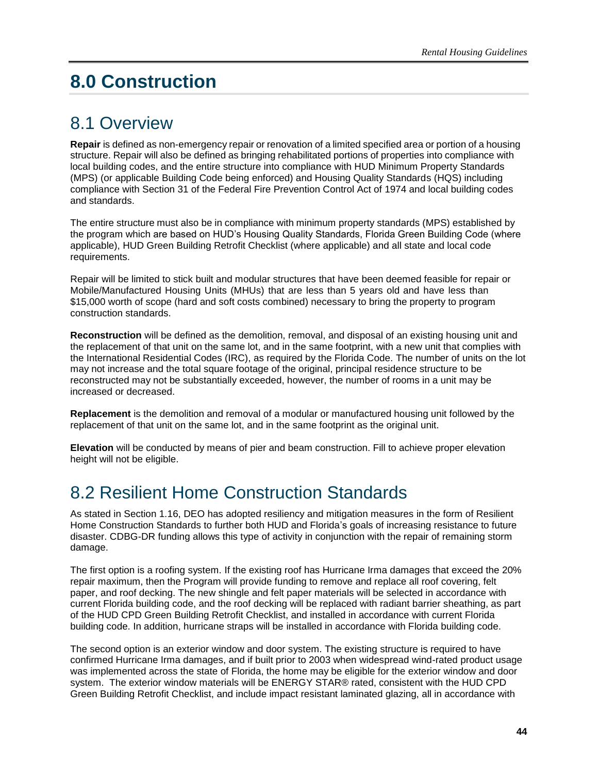# <span id="page-49-0"></span>**8.0 Construction**

# <span id="page-49-1"></span>8.1 Overview

**Repair** is defined as non-emergency repair or renovation of a limited specified area or portion of a housing structure. Repair will also be defined as bringing rehabilitated portions of properties into compliance with local building codes, and the entire structure into compliance with HUD Minimum Property Standards (MPS) (or applicable Building Code being enforced) and Housing Quality Standards (HQS) including compliance with Section 31 of the Federal Fire Prevention Control Act of 1974 and local building codes and standards.

The entire structure must also be in compliance with minimum property standards (MPS) established by the program which are based on HUD's Housing Quality Standards, Florida Green Building Code (where applicable), HUD Green Building Retrofit Checklist (where applicable) and all state and local code requirements.

Repair will be limited to stick built and modular structures that have been deemed feasible for repair or Mobile/Manufactured Housing Units (MHUs) that are less than 5 years old and have less than \$15,000 worth of scope (hard and soft costs combined) necessary to bring the property to program construction standards.

**Reconstruction** will be defined as the demolition, removal, and disposal of an existing housing unit and the replacement of that unit on the same lot, and in the same footprint, with a new unit that complies with the International Residential Codes (IRC), as required by the Florida Code. The number of units on the lot may not increase and the total square footage of the original, principal residence structure to be reconstructed may not be substantially exceeded, however, the number of rooms in a unit may be increased or decreased.

**Replacement** is the demolition and removal of a modular or manufactured housing unit followed by the replacement of that unit on the same lot, and in the same footprint as the original unit.

**Elevation** will be conducted by means of pier and beam construction. Fill to achieve proper elevation height will not be eligible.

# <span id="page-49-2"></span>8.2 Resilient Home Construction Standards

As stated in Section 1.16, DEO has adopted resiliency and mitigation measures in the form of Resilient Home Construction Standards to further both HUD and Florida's goals of increasing resistance to future disaster. CDBG-DR funding allows this type of activity in conjunction with the repair of remaining storm damage.

The first option is a roofing system. If the existing roof has Hurricane Irma damages that exceed the 20% repair maximum, then the Program will provide funding to remove and replace all roof covering, felt paper, and roof decking. The new shingle and felt paper materials will be selected in accordance with current Florida building code, and the roof decking will be replaced with radiant barrier sheathing, as part of the HUD CPD Green Building Retrofit Checklist, and installed in accordance with current Florida building code. In addition, hurricane straps will be installed in accordance with Florida building code.

The second option is an exterior window and door system. The existing structure is required to have confirmed Hurricane Irma damages, and if built prior to 2003 when widespread wind-rated product usage was implemented across the state of Florida, the home may be eligible for the exterior window and door system. The exterior window materials will be ENERGY STAR® rated, consistent with the HUD CPD Green Building Retrofit Checklist, and include impact resistant laminated glazing, all in accordance with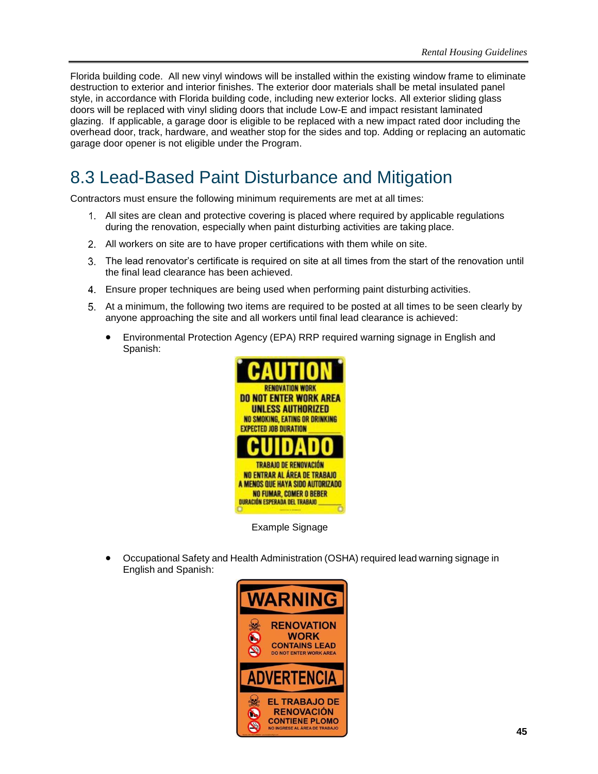Florida building code. All new vinyl windows will be installed within the existing window frame to eliminate destruction to exterior and interior finishes. The exterior door materials shall be metal insulated panel style, in accordance with Florida building code, including new exterior locks. All exterior sliding glass doors will be replaced with vinyl sliding doors that include Low-E and impact resistant laminated glazing. If applicable, a garage door is eligible to be replaced with a new impact rated door including the overhead door, track, hardware, and weather stop for the sides and top. Adding or replacing an automatic garage door opener is not eligible under the Program.

# <span id="page-50-0"></span>8.3 Lead-Based Paint Disturbance and Mitigation

Contractors must ensure the following minimum requirements are met at all times:

- All sites are clean and protective covering is placed where required by applicable regulations during the renovation, especially when paint disturbing activities are taking place.
- All workers on site are to have proper certifications with them while on site.
- The lead renovator's certificate is required on site at all times from the start of the renovation until the final lead clearance has been achieved.
- Ensure proper techniques are being used when performing paint disturbing activities.
- At a minimum, the following two items are required to be posted at all times to be seen clearly by anyone approaching the site and all workers until final lead clearance is achieved:
	- Environmental Protection Agency (EPA) RRP required warning signage in English and Spanish:



Example Signage

• Occupational Safety and Health Administration (OSHA) required lead warning signage in English and Spanish:

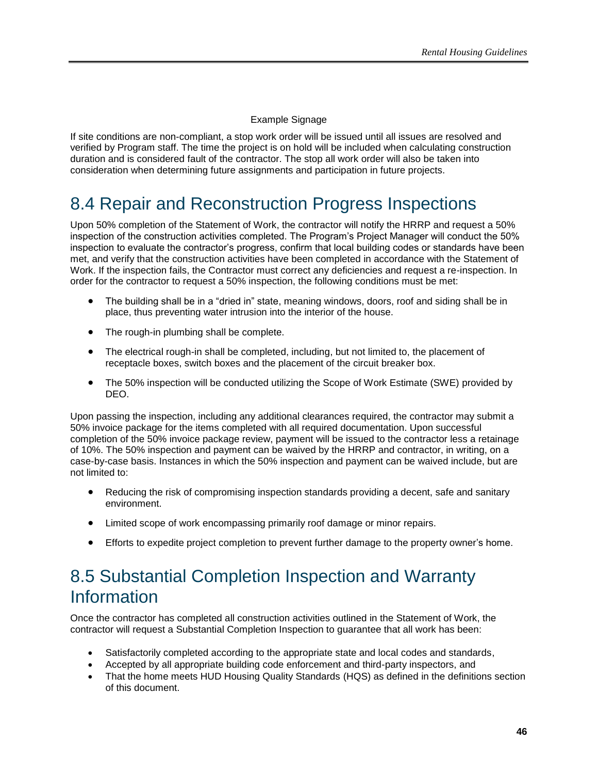### Example Signage

If site conditions are non-compliant, a stop work order will be issued until all issues are resolved and verified by Program staff. The time the project is on hold will be included when calculating construction duration and is considered fault of the contractor. The stop all work order will also be taken into consideration when determining future assignments and participation in future projects.

# <span id="page-51-0"></span>8.4 Repair and Reconstruction Progress Inspections

Upon 50% completion of the Statement of Work, the contractor will notify the HRRP and request a 50% inspection of the construction activities completed. The Program's Project Manager will conduct the 50% inspection to evaluate the contractor's progress, confirm that local building codes or standards have been met, and verify that the construction activities have been completed in accordance with the Statement of Work. If the inspection fails, the Contractor must correct any deficiencies and request a re-inspection. In order for the contractor to request a 50% inspection, the following conditions must be met:

- The building shall be in a "dried in" state, meaning windows, doors, roof and siding shall be in place, thus preventing water intrusion into the interior of the house.
- The rough-in plumbing shall be complete.
- The electrical rough-in shall be completed, including, but not limited to, the placement of receptacle boxes, switch boxes and the placement of the circuit breaker box.
- The 50% inspection will be conducted utilizing the Scope of Work Estimate (SWE) provided by DEO.

Upon passing the inspection, including any additional clearances required, the contractor may submit a 50% invoice package for the items completed with all required documentation. Upon successful completion of the 50% invoice package review, payment will be issued to the contractor less a retainage of 10%. The 50% inspection and payment can be waived by the HRRP and contractor, in writing, on a case-by-case basis. Instances in which the 50% inspection and payment can be waived include, but are not limited to:

- Reducing the risk of compromising inspection standards providing a decent, safe and sanitary environment.
- Limited scope of work encompassing primarily roof damage or minor repairs.
- Efforts to expedite project completion to prevent further damage to the property owner's home.

# <span id="page-51-1"></span>8.5 Substantial Completion Inspection and Warranty Information

Once the contractor has completed all construction activities outlined in the Statement of Work, the contractor will request a Substantial Completion Inspection to guarantee that all work has been:

- Satisfactorily completed according to the appropriate state and local codes and standards,
- Accepted by all appropriate building code enforcement and third-party inspectors, and
- That the home meets HUD Housing Quality Standards (HQS) as defined in the definitions section of this document.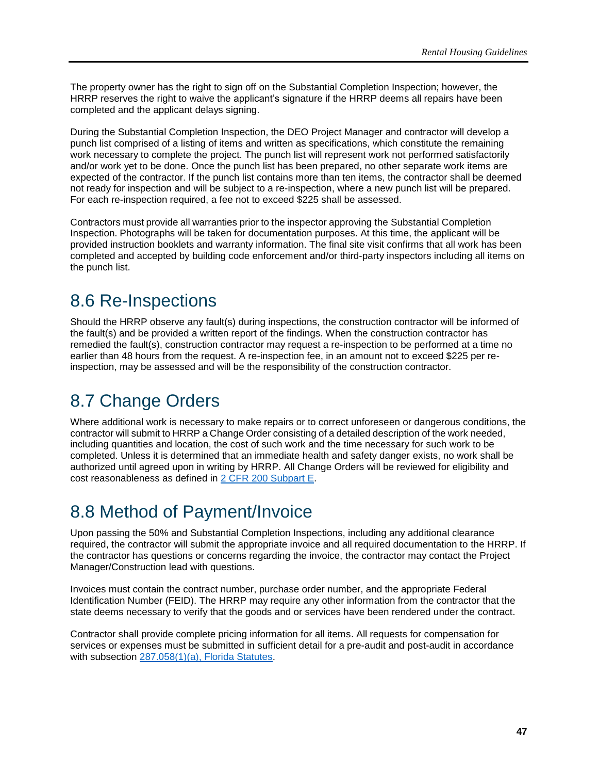The property owner has the right to sign off on the Substantial Completion Inspection; however, the HRRP reserves the right to waive the applicant's signature if the HRRP deems all repairs have been completed and the applicant delays signing.

During the Substantial Completion Inspection, the DEO Project Manager and contractor will develop a punch list comprised of a listing of items and written as specifications, which constitute the remaining work necessary to complete the project. The punch list will represent work not performed satisfactorily and/or work yet to be done. Once the punch list has been prepared, no other separate work items are expected of the contractor. If the punch list contains more than ten items, the contractor shall be deemed not ready for inspection and will be subject to a re-inspection, where a new punch list will be prepared. For each re-inspection required, a fee not to exceed \$225 shall be assessed.

Contractors must provide all warranties prior to the inspector approving the Substantial Completion Inspection. Photographs will be taken for documentation purposes. At this time, the applicant will be provided instruction booklets and warranty information. The final site visit confirms that all work has been completed and accepted by building code enforcement and/or third-party inspectors including all items on the punch list.

# <span id="page-52-0"></span>8.6 Re-Inspections

Should the HRRP observe any fault(s) during inspections, the construction contractor will be informed of the fault(s) and be provided a written report of the findings. When the construction contractor has remedied the fault(s), construction contractor may request a re-inspection to be performed at a time no earlier than 48 hours from the request. A re-inspection fee, in an amount not to exceed \$225 per reinspection, may be assessed and will be the responsibility of the construction contractor.

# <span id="page-52-1"></span>8.7 Change Orders

Where additional work is necessary to make repairs or to correct unforeseen or dangerous conditions, the contractor will submit to HRRP a Change Order consisting of a detailed description of the work needed, including quantities and location, the cost of such work and the time necessary for such work to be completed. Unless it is determined that an immediate health and safety danger exists, no work shall be authorized until agreed upon in writing by HRRP. All Change Orders will be reviewed for eligibility and cost reasonableness as defined in [2 CFR 200 Subpart E.](https://www.ecfr.gov/cgi-bin/text-idx?node=2:1.1.2.2.1.5&rgn=div6)

# <span id="page-52-2"></span>8.8 Method of Payment/Invoice

Upon passing the 50% and Substantial Completion Inspections, including any additional clearance required, the contractor will submit the appropriate invoice and all required documentation to the HRRP. If the contractor has questions or concerns regarding the invoice, the contractor may contact the Project Manager/Construction lead with questions.

Invoices must contain the contract number, purchase order number, and the appropriate Federal Identification Number (FEID). The HRRP may require any other information from the contractor that the state deems necessary to verify that the goods and or services have been rendered under the contract.

Contractor shall provide complete pricing information for all items. All requests for compensation for services or expenses must be submitted in sufficient detail for a pre-audit and post-audit in accordance with subsection [287.058\(1\)\(a\), Florida Statutes.](http://www.leg.state.fl.us/Statutes/index.cfm?App_mode=Display_Statute&URL=0200-0299/0287/Sections/0287.058.html)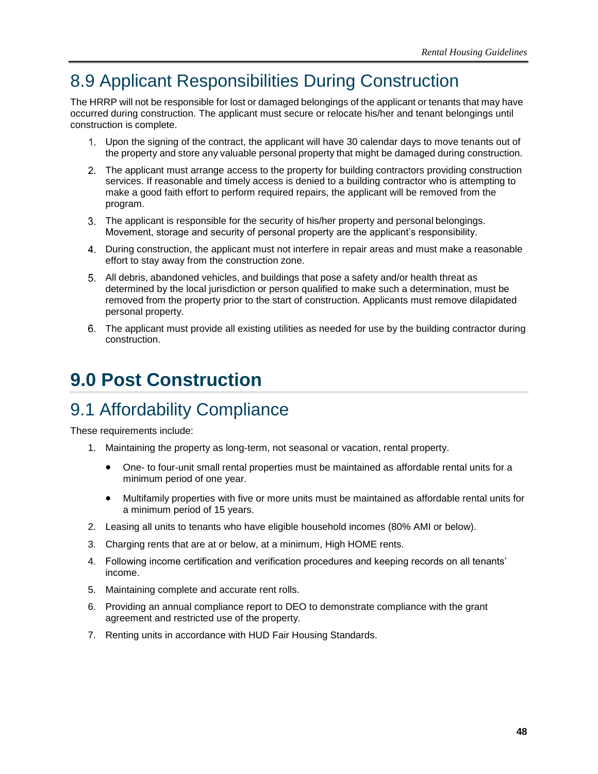# <span id="page-53-0"></span>8.9 Applicant Responsibilities During Construction

The HRRP will not be responsible for lost or damaged belongings of the applicant or tenants that may have occurred during construction. The applicant must secure or relocate his/her and tenant belongings until construction is complete.

- Upon the signing of the contract, the applicant will have 30 calendar days to move tenants out of the property and store any valuable personal property that might be damaged during construction.
- The applicant must arrange access to the property for building contractors providing construction services. If reasonable and timely access is denied to a building contractor who is attempting to make a good faith effort to perform required repairs, the applicant will be removed from the program.
- The applicant is responsible for the security of his/her property and personal belongings. Movement, storage and security of personal property are the applicant's responsibility.
- During construction, the applicant must not interfere in repair areas and must make a reasonable effort to stay away from the construction zone.
- All debris, abandoned vehicles, and buildings that pose a safety and/or health threat as determined by the local jurisdiction or person qualified to make such a determination, must be removed from the property prior to the start of construction. Applicants must remove dilapidated personal property.
- The applicant must provide all existing utilities as needed for use by the building contractor during construction.

# <span id="page-53-1"></span>**9.0 Post Construction**

# <span id="page-53-2"></span>9.1 Affordability Compliance

These requirements include:

- 1. Maintaining the property as long-term, not seasonal or vacation, rental property.
	- One- to four-unit small rental properties must be maintained as affordable rental units for a minimum period of one year.
	- Multifamily properties with five or more units must be maintained as affordable rental units for a minimum period of 15 years.
- 2. Leasing all units to tenants who have eligible household incomes (80% AMI or below).
- 3. Charging rents that are at or below, at a minimum, High HOME rents.
- 4. Following income certification and verification procedures and keeping records on all tenants' income.
- 5. Maintaining complete and accurate rent rolls.
- 6. Providing an annual compliance report to DEO to demonstrate compliance with the grant agreement and restricted use of the property.
- 7. Renting units in accordance with HUD Fair Housing Standards.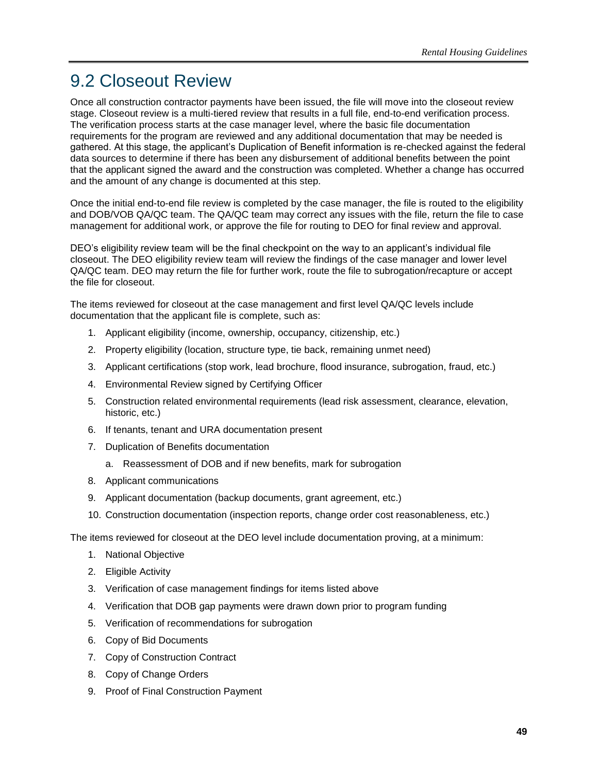# <span id="page-54-0"></span>9.2 Closeout Review

Once all construction contractor payments have been issued, the file will move into the closeout review stage. Closeout review is a multi-tiered review that results in a full file, end-to-end verification process. The verification process starts at the case manager level, where the basic file documentation requirements for the program are reviewed and any additional documentation that may be needed is gathered. At this stage, the applicant's Duplication of Benefit information is re-checked against the federal data sources to determine if there has been any disbursement of additional benefits between the point that the applicant signed the award and the construction was completed. Whether a change has occurred and the amount of any change is documented at this step.

Once the initial end-to-end file review is completed by the case manager, the file is routed to the eligibility and DOB/VOB QA/QC team. The QA/QC team may correct any issues with the file, return the file to case management for additional work, or approve the file for routing to DEO for final review and approval.

DEO's eligibility review team will be the final checkpoint on the way to an applicant's individual file closeout. The DEO eligibility review team will review the findings of the case manager and lower level QA/QC team. DEO may return the file for further work, route the file to subrogation/recapture or accept the file for closeout.

The items reviewed for closeout at the case management and first level QA/QC levels include documentation that the applicant file is complete, such as:

- 1. Applicant eligibility (income, ownership, occupancy, citizenship, etc.)
- 2. Property eligibility (location, structure type, tie back, remaining unmet need)
- 3. Applicant certifications (stop work, lead brochure, flood insurance, subrogation, fraud, etc.)
- 4. Environmental Review signed by Certifying Officer
- 5. Construction related environmental requirements (lead risk assessment, clearance, elevation, historic, etc.)
- 6. If tenants, tenant and URA documentation present
- 7. Duplication of Benefits documentation
	- a. Reassessment of DOB and if new benefits, mark for subrogation
- 8. Applicant communications
- 9. Applicant documentation (backup documents, grant agreement, etc.)
- 10. Construction documentation (inspection reports, change order cost reasonableness, etc.)

The items reviewed for closeout at the DEO level include documentation proving, at a minimum:

- 1. National Objective
- 2. Eligible Activity
- 3. Verification of case management findings for items listed above
- 4. Verification that DOB gap payments were drawn down prior to program funding
- 5. Verification of recommendations for subrogation
- 6. Copy of Bid Documents
- 7. Copy of Construction Contract
- 8. Copy of Change Orders
- 9. Proof of Final Construction Payment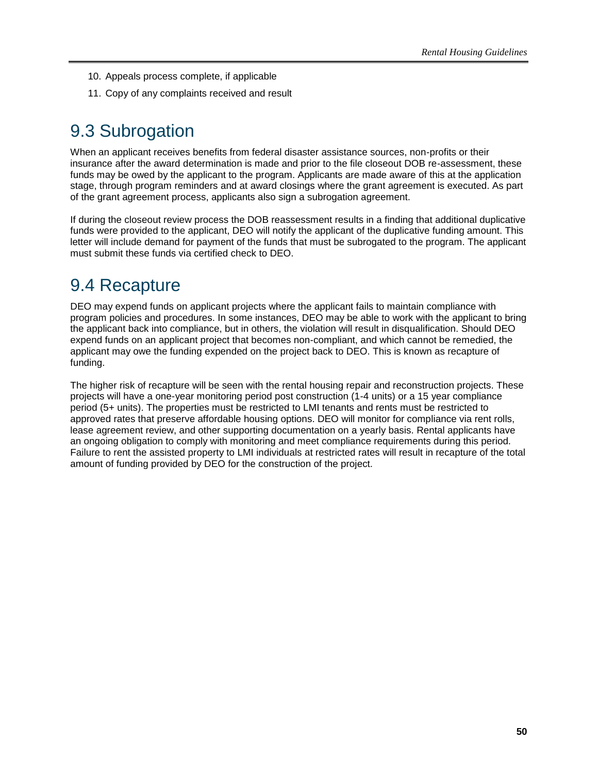- 10. Appeals process complete, if applicable
- 11. Copy of any complaints received and result

# <span id="page-55-0"></span>9.3 Subrogation

When an applicant receives benefits from federal disaster assistance sources, non-profits or their insurance after the award determination is made and prior to the file closeout DOB re-assessment, these funds may be owed by the applicant to the program. Applicants are made aware of this at the application stage, through program reminders and at award closings where the grant agreement is executed. As part of the grant agreement process, applicants also sign a subrogation agreement.

If during the closeout review process the DOB reassessment results in a finding that additional duplicative funds were provided to the applicant, DEO will notify the applicant of the duplicative funding amount. This letter will include demand for payment of the funds that must be subrogated to the program. The applicant must submit these funds via certified check to DEO.

# <span id="page-55-1"></span>9.4 Recapture

DEO may expend funds on applicant projects where the applicant fails to maintain compliance with program policies and procedures. In some instances, DEO may be able to work with the applicant to bring the applicant back into compliance, but in others, the violation will result in disqualification. Should DEO expend funds on an applicant project that becomes non-compliant, and which cannot be remedied, the applicant may owe the funding expended on the project back to DEO. This is known as recapture of funding.

The higher risk of recapture will be seen with the rental housing repair and reconstruction projects. These projects will have a one-year monitoring period post construction (1-4 units) or a 15 year compliance period (5+ units). The properties must be restricted to LMI tenants and rents must be restricted to approved rates that preserve affordable housing options. DEO will monitor for compliance via rent rolls, lease agreement review, and other supporting documentation on a yearly basis. Rental applicants have an ongoing obligation to comply with monitoring and meet compliance requirements during this period. Failure to rent the assisted property to LMI individuals at restricted rates will result in recapture of the total amount of funding provided by DEO for the construction of the project.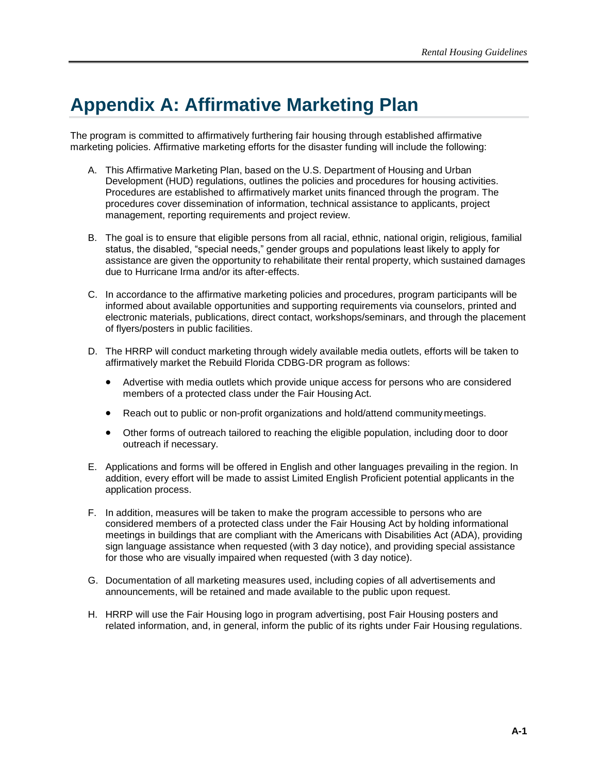# <span id="page-56-0"></span>**Appendix A: Affirmative Marketing Plan**

The program is committed to affirmatively furthering fair housing through established affirmative marketing policies. Affirmative marketing efforts for the disaster funding will include the following:

- A. This Affirmative Marketing Plan, based on the U.S. Department of Housing and Urban Development (HUD) regulations, outlines the policies and procedures for housing activities. Procedures are established to affirmatively market units financed through the program. The procedures cover dissemination of information, technical assistance to applicants, project management, reporting requirements and project review.
- B. The goal is to ensure that eligible persons from all racial, ethnic, national origin, religious, familial status, the disabled, "special needs," gender groups and populations least likely to apply for assistance are given the opportunity to rehabilitate their rental property, which sustained damages due to Hurricane Irma and/or its after-effects.
- C. In accordance to the affirmative marketing policies and procedures, program participants will be informed about available opportunities and supporting requirements via counselors, printed and electronic materials, publications, direct contact, workshops/seminars, and through the placement of flyers/posters in public facilities.
- D. The HRRP will conduct marketing through widely available media outlets, efforts will be taken to affirmatively market the Rebuild Florida CDBG-DR program as follows:
	- Advertise with media outlets which provide unique access for persons who are considered members of a protected class under the Fair Housing Act.
	- Reach out to public or non-profit organizations and hold/attend community meetings.
	- Other forms of outreach tailored to reaching the eligible population, including door to door outreach if necessary.
- E. Applications and forms will be offered in English and other languages prevailing in the region. In addition, every effort will be made to assist Limited English Proficient potential applicants in the application process.
- F. In addition, measures will be taken to make the program accessible to persons who are considered members of a protected class under the Fair Housing Act by holding informational meetings in buildings that are compliant with the Americans with Disabilities Act (ADA), providing sign language assistance when requested (with 3 day notice), and providing special assistance for those who are visually impaired when requested (with 3 day notice).
- G. Documentation of all marketing measures used, including copies of all advertisements and announcements, will be retained and made available to the public upon request.
- H. HRRP will use the Fair Housing logo in program advertising, post Fair Housing posters and related information, and, in general, inform the public of its rights under Fair Housing regulations.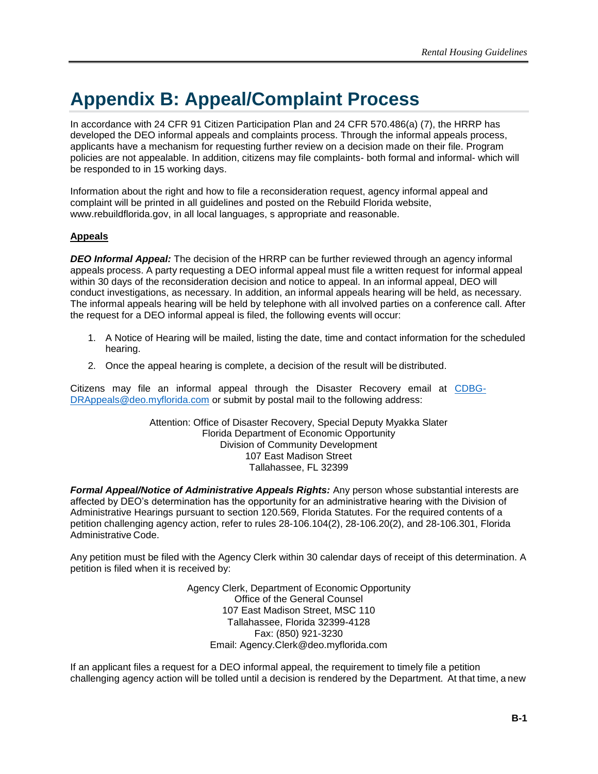# <span id="page-57-0"></span>**Appendix B: Appeal/Complaint Process**

In accordance with 24 CFR 91 Citizen Participation Plan and 24 CFR 570.486(a) (7), the HRRP has developed the DEO informal appeals and complaints process. Through the informal appeals process, applicants have a mechanism for requesting further review on a decision made on their file. Program policies are not appealable. In addition, citizens may file complaints- both formal and informal- which will be responded to in 15 working days.

Information about the right and how to file a reconsideration request, agency informal appeal and complaint will be printed in all guidelines and posted on the Rebuild Florida website, [www.rebuildflorida.gov, i](http://www.rebuildflorida.gov/)n all local languages, s appropriate and reasonable.

#### **Appeals**

*DEO Informal Appeal:* The decision of the HRRP can be further reviewed through an agency informal appeals process. A party requesting a DEO informal appeal must file a written request for informal appeal within 30 days of the reconsideration decision and notice to appeal. In an informal appeal, DEO will conduct investigations, as necessary. In addition, an informal appeals hearing will be held, as necessary. The informal appeals hearing will be held by telephone with all involved parties on a conference call. After the request for a DEO informal appeal is filed, the following events will occur:

- 1. A Notice of Hearing will be mailed, listing the date, time and contact information for the scheduled hearing.
- 2. Once the appeal hearing is complete, a decision of the result will be distributed.

Citizens may file an informal appeal through the Disaster Recovery email at [CDBG-](mailto:CDBG-DRAppeals@deo.myflorida.com)[DRAppeals@deo.myflorida.com](mailto:CDBG-DRAppeals@deo.myflorida.com) or submit by postal mail to the following address:

> Attention: Office of Disaster Recovery, Special Deputy Myakka Slater Florida Department of Economic Opportunity Division of Community Development 107 East Madison Street Tallahassee, FL 32399

**Formal Appeal/Notice of Administrative Appeals Rights:** Any person whose substantial interests are affected by DEO's determination has the opportunity for an administrative hearing with the Division of Administrative Hearings pursuant to section 120.569, Florida Statutes. For the required contents of a petition challenging agency action, refer to rules 28-106.104(2), 28-106.20(2), and 28-106.301, Florida Administrative Code.

Any petition must be filed with the Agency Clerk within 30 calendar days of receipt of this determination. A petition is filed when it is received by:

> Agency Clerk, Department of Economic Opportunity Office of the General Counsel 107 East Madison Street, MSC 110 Tallahassee, Florida 32399-4128 Fax: (850) 921-3230 Email: [Agency.Clerk@deo.myflorida.com](mailto:Agency.Clerk@deo.myflorida.com)

If an applicant files a request for a DEO informal appeal, the requirement to timely file a petition challenging agency action will be tolled until a decision is rendered by the Department. At that time, a new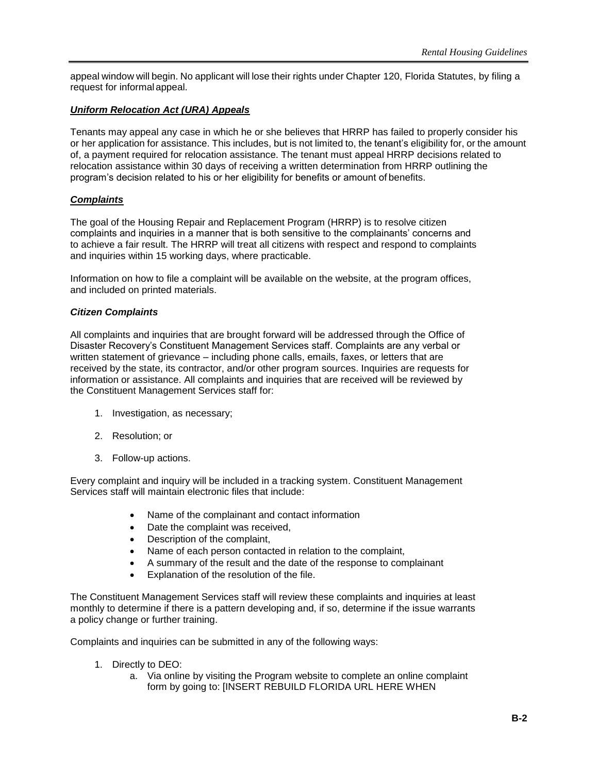appeal window will begin. No applicant will lose their rights under Chapter 120, Florida Statutes, by filing a request for informalappeal.

### *Uniform Relocation Act (URA) Appeals*

Tenants may appeal any case in which he or she believes that HRRP has failed to properly consider his or her application for assistance. This includes, but is not limited to, the tenant's eligibility for, or the amount of, a payment required for relocation assistance. The tenant must appeal HRRP decisions related to relocation assistance within 30 days of receiving a written determination from HRRP outlining the program's decision related to his or her eligibility for benefits or amount of benefits.

### *Complaints*

The goal of the Housing Repair and Replacement Program (HRRP) is to resolve citizen complaints and inquiries in a manner that is both sensitive to the complainants' concerns and to achieve a fair result. The HRRP will treat all citizens with respect and respond to complaints and inquiries within 15 working days, where practicable.

Information on how to file a complaint will be available on the website, at the program offices, and included on printed materials.

#### *Citizen Complaints*

All complaints and inquiries that are brought forward will be addressed through the Office of Disaster Recovery's Constituent Management Services staff. Complaints are any verbal or written statement of grievance – including phone calls, emails, faxes, or letters that are received by the state, its contractor, and/or other program sources. Inquiries are requests for information or assistance. All complaints and inquiries that are received will be reviewed by the Constituent Management Services staff for:

- 1. Investigation, as necessary;
- 2. Resolution; or
- 3. Follow-up actions.

Every complaint and inquiry will be included in a tracking system. Constituent Management Services staff will maintain electronic files that include:

- Name of the complainant and contact information
- Date the complaint was received,
- Description of the complaint,
- Name of each person contacted in relation to the complaint,
- A summary of the result and the date of the response to complainant
- Explanation of the resolution of the file.

The Constituent Management Services staff will review these complaints and inquiries at least monthly to determine if there is a pattern developing and, if so, determine if the issue warrants a policy change or further training.

Complaints and inquiries can be submitted in any of the following ways:

- 1. Directly to DEO:
	- a. Via online by visiting the Program website to complete an online complaint form by going to: [INSERT REBUILD FLORIDA URL HERE WHEN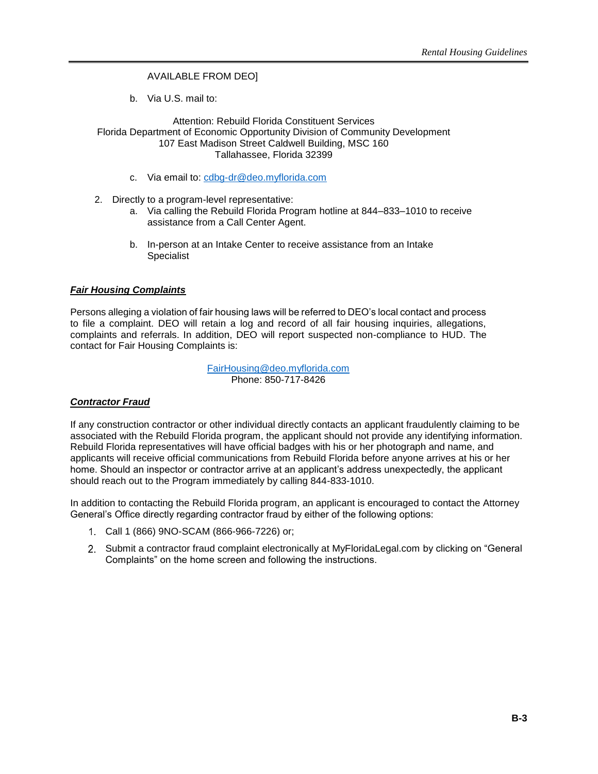### AVAILABLE FROM DEO]

b. Via U.S. mail to:

Attention: Rebuild Florida Constituent Services Florida Department of Economic Opportunity Division of Community Development 107 East Madison Street Caldwell Building, MSC 160 Tallahassee, Florida 32399

- c. Via email to: [cdbg-dr@deo.myflorida.com](mailto:cdbg-dr@deo.myflorida.com)
- 2. Directly to a program-level representative:
	- a. Via calling the Rebuild Florida Program hotline at 844–833–1010 to receive assistance from a Call Center Agent.
	- b. In-person at an Intake Center to receive assistance from an Intake Specialist

#### *Fair Housing Complaints*

Persons alleging a violation of fair housing laws will be referred to DEO's local contact and process to file a complaint. DEO will retain a log and record of all fair housing inquiries, allegations, complaints and referrals. In addition, DEO will report suspected non-compliance to HUD. The contact for Fair Housing Complaints is:

> [FairHousing@deo.myflorida.com](mailto:FairHousing@deo.myflorida.com) Phone: 850-717-8426

#### *Contractor Fraud*

If any construction contractor or other individual directly contacts an applicant fraudulently claiming to be associated with the Rebuild Florida program, the applicant should not provide any identifying information. Rebuild Florida representatives will have official badges with his or her photograph and name, and applicants will receive official communications from Rebuild Florida before anyone arrives at his or her home. Should an inspector or contractor arrive at an applicant's address unexpectedly, the applicant should reach out to the Program immediately by calling 844-833-1010.

In addition to contacting the Rebuild Florida program, an applicant is encouraged to contact the Attorney General's Office directly regarding contractor fraud by either of the following options:

- Call 1 (866) 9NO-SCAM (866-966-7226) or;
- 2. Submit a contractor fraud complaint electronically at MyFloridaLegal.com by clicking on "General Complaints" on the home screen and following the instructions.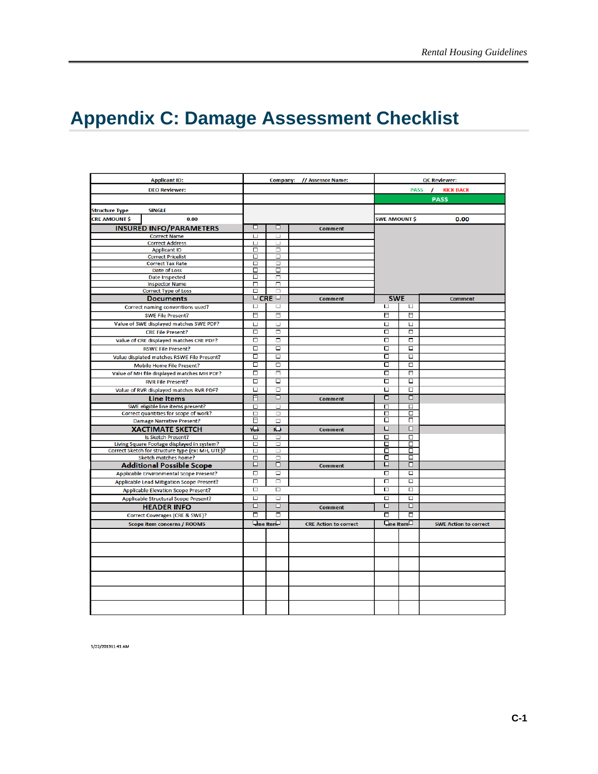# <span id="page-60-0"></span>**Appendix C: Damage Assessment Checklist**

| <b>Applicant ID:</b>                                                      |                              |                           | Company: // Assessor Name:   |                         |                               | <b>QC Reviewer:</b>          |
|---------------------------------------------------------------------------|------------------------------|---------------------------|------------------------------|-------------------------|-------------------------------|------------------------------|
| <b>DEO Reviewer:</b>                                                      |                              |                           |                              |                         | <b>PASS</b>                   | <b>KICK BACK</b>             |
|                                                                           |                              |                           |                              |                         |                               | <b>PASS</b>                  |
|                                                                           |                              |                           |                              |                         |                               |                              |
| <b>SINGLE</b><br><b>Structure Type</b>                                    |                              |                           |                              |                         |                               |                              |
| <b>CRE AMOUNT \$</b><br>0.00                                              |                              |                           |                              | <b>SWE AMOUNT \$</b>    |                               | 0.00                         |
| <b>INSURED INFO/PARAMETERS</b>                                            | ◻                            | □                         | <b>Comment</b>               |                         |                               |                              |
| <b>Correct Name</b>                                                       | □                            | Ц                         |                              |                         |                               |                              |
| <b>Correct Address</b>                                                    | $\sqcup$                     | $\sqcup$                  |                              |                         |                               |                              |
| <b>Applicant ID</b><br><b>Correct Pricelist</b>                           | $\overline{\mathsf{m}}$<br>□ | ╗<br>$\Box$               |                              |                         |                               |                              |
| <b>Correct Tax Rate</b>                                                   | $\Box$                       | □                         |                              |                         |                               |                              |
| Date of Loss                                                              | □                            | □                         |                              |                         |                               |                              |
| <b>Date Inspected</b>                                                     | □                            | Π                         |                              |                         |                               |                              |
| <b>Inspector Name</b>                                                     | π                            | π                         |                              |                         |                               |                              |
| <b>Correct Type of Loss</b>                                               | □                            | $\Box$                    |                              |                         |                               |                              |
| <b>Documents</b>                                                          |                              | $\overline{\mathsf{CRE}}$ | <b>Comment</b>               | <b>SWE</b>              |                               | <b>Comment</b>               |
| Correct naming conventions used?                                          | $\Box$                       | $\Box$                    |                              | $\Box$                  | $\Box$                        |                              |
| <b>SWE File Present?</b>                                                  | 日                            | Ξ                         |                              | 目                       | 目                             |                              |
| Value of SWE displayed matches SWE PDF?                                   | $\Box$                       | $\Box$                    |                              | О                       | $\Box$                        |                              |
| <b>CRE File Present?</b>                                                  | $\Box$                       | $\Box$                    |                              | $\Box$                  | о                             |                              |
| Value of CRE displayed matches CRE PDF?                                   | $\overline{\Box}$            | $\Box$                    |                              | о                       | $\Box$                        |                              |
| <b>RSWE File Present?</b>                                                 | $\overline{\Box}$            | $\overline{\square}$      |                              | $\overline{\mathsf{C}}$ | □                             |                              |
| Value displated matches RSWE File Present?                                | □                            | □                         |                              | с                       | □                             |                              |
| <b>Mobile Home File Present?</b>                                          | ◻                            | $\Box$                    |                              | с                       | $\overline{\Box}$             |                              |
| Value of MH file displayed matches MH PDF?                                | □                            | ⊓                         |                              | с                       | ⊓                             |                              |
| <b>RVR File Present?</b>                                                  | □                            | $\Box$                    |                              | с                       | □                             |                              |
|                                                                           | $\Box$                       | $\Box$                    |                              | о                       | о                             |                              |
| Value of RVR displayed matches RVR PDF?                                   |                              | □                         |                              | о                       | 口                             |                              |
| <b>Line Items</b>                                                         | 日                            |                           | <b>Comment</b>               |                         |                               |                              |
| SWE eligible line items present?                                          | $\Box$                       | $\Box$                    |                              | П<br>о                  | $\Box$<br>□                   |                              |
| Correct quantities for scope of work?<br><b>Damage Narrative Present?</b> | $\Box$<br>日                  | $\Box$<br>$\Box$          |                              | о                       | п                             |                              |
| <b>XACTIMATE SKETCH</b>                                                   | YЪ                           | $\overline{D}$            |                              | $\Box$                  | $\overline{\Box}$             |                              |
| Is Sketch Present?                                                        | $\overline{\square}$         | $\Box$                    | <b>Comment</b>               | о                       | □                             |                              |
| Living Square Footage displayed in system?                                | $\Box$                       | $\Box$                    |                              | с                       | □                             |                              |
| Correct Sketch for structure type (ex: MH, UTE)?                          | $\Box$                       | $\Box$                    |                              | о                       | □                             |                              |
| Sketch matches home?                                                      | $\Box$                       | $\Box$                    |                              | о                       | □                             |                              |
| <b>Additional Possible Scope</b>                                          | ▣                            | □                         | <b>Comment</b>               | ◻                       | □                             |                              |
| Applicable Environmental Scope Present?                                   | $\Box$                       | $\Box$                    |                              | $\overline{\Box}$       | $\Box$                        |                              |
| <b>Applicable Lead Mitigation Scope Present?</b>                          | □                            | □                         |                              | п                       | $\overline{\square}$          |                              |
| <b>Applicable Elevation Scope Present?</b>                                | □                            | $\Box$                    |                              | о                       | □                             |                              |
| <b>Applicable Structural Scope Present?</b>                               | $\Box$                       | $\Box$                    |                              | $\Box$                  | $\overline{\square}$          |                              |
| <b>HEADER INFO</b>                                                        | $\Box$                       | $\Box$                    | <b>Comment</b>               | □                       | □                             |                              |
| Correct Coverages (CRE & SWE)?                                            | $\overline{\blacksquare}$    | □                         |                              | с                       | ▫                             |                              |
| <b>Scope item concerns / ROOMS</b>                                        |                              | <b>Eine Iten.</b>         | <b>CRE Action to correct</b> |                         | $\frac{1}{2}$ ine Item $\Box$ | <b>SWE Action to correct</b> |
|                                                                           |                              |                           |                              |                         |                               |                              |
|                                                                           |                              |                           |                              |                         |                               |                              |
|                                                                           |                              |                           |                              |                         |                               |                              |
|                                                                           |                              |                           |                              |                         |                               |                              |
|                                                                           |                              |                           |                              |                         |                               |                              |
|                                                                           |                              |                           |                              |                         |                               |                              |
|                                                                           |                              |                           |                              |                         |                               |                              |
|                                                                           |                              |                           |                              |                         |                               |                              |
|                                                                           |                              |                           |                              |                         |                               |                              |

5/22/201911:41 AM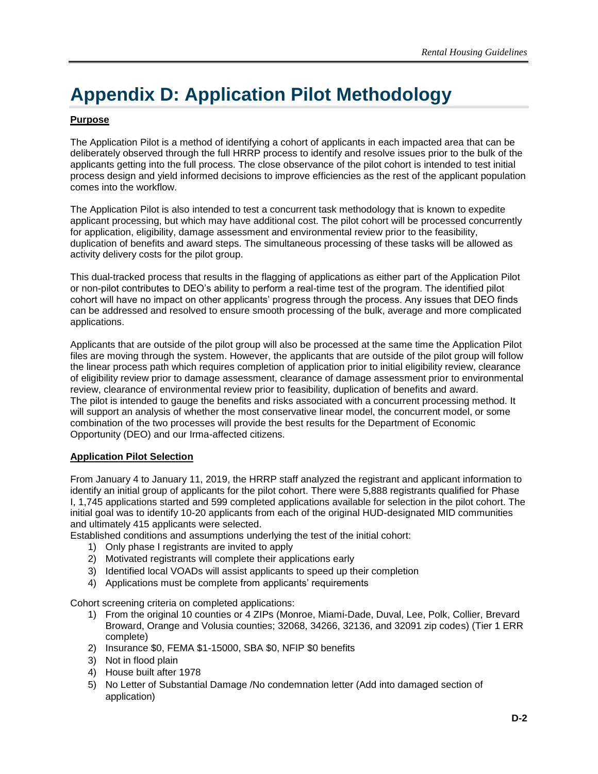# <span id="page-61-0"></span>**Appendix D: Application Pilot Methodology**

### **Purpose**

The Application Pilot is a method of identifying a cohort of applicants in each impacted area that can be deliberately observed through the full HRRP process to identify and resolve issues prior to the bulk of the applicants getting into the full process. The close observance of the pilot cohort is intended to test initial process design and yield informed decisions to improve efficiencies as the rest of the applicant population comes into the workflow.

The Application Pilot is also intended to test a concurrent task methodology that is known to expedite applicant processing, but which may have additional cost. The pilot cohort will be processed concurrently for application, eligibility, damage assessment and environmental review prior to the feasibility, duplication of benefits and award steps. The simultaneous processing of these tasks will be allowed as activity delivery costs for the pilot group.

This dual-tracked process that results in the flagging of applications as either part of the Application Pilot or non-pilot contributes to DEO's ability to perform a real-time test of the program. The identified pilot cohort will have no impact on other applicants' progress through the process. Any issues that DEO finds can be addressed and resolved to ensure smooth processing of the bulk, average and more complicated applications.

Applicants that are outside of the pilot group will also be processed at the same time the Application Pilot files are moving through the system. However, the applicants that are outside of the pilot group will follow the linear process path which requires completion of application prior to initial eligibility review, clearance of eligibility review prior to damage assessment, clearance of damage assessment prior to environmental review, clearance of environmental review prior to feasibility, duplication of benefits and award. The pilot is intended to gauge the benefits and risks associated with a concurrent processing method. It will support an analysis of whether the most conservative linear model, the concurrent model, or some combination of the two processes will provide the best results for the Department of Economic Opportunity (DEO) and our Irma-affected citizens.

#### **Application Pilot Selection**

From January 4 to January 11, 2019, the HRRP staff analyzed the registrant and applicant information to identify an initial group of applicants for the pilot cohort. There were 5,888 registrants qualified for Phase I, 1,745 applications started and 599 completed applications available for selection in the pilot cohort. The initial goal was to identify 10-20 applicants from each of the original HUD-designated MID communities and ultimately 415 applicants were selected.

Established conditions and assumptions underlying the test of the initial cohort:

- 1) Only phase I registrants are invited to apply
- 2) Motivated registrants will complete their applications early
- 3) Identified local VOADs will assist applicants to speed up their completion
- 4) Applications must be complete from applicants' requirements

Cohort screening criteria on completed applications:

- 1) From the original 10 counties or 4 ZIPs (Monroe, Miami-Dade, Duval, Lee, Polk, Collier, Brevard Broward, Orange and Volusia counties; 32068, 34266, 32136, and 32091 zip codes) (Tier 1 ERR complete)
- 2) Insurance \$0, FEMA \$1-15000, SBA \$0, NFIP \$0 benefits
- 3) Not in flood plain
- 4) House built after 1978
- 5) No Letter of Substantial Damage /No condemnation letter (Add into damaged section of application)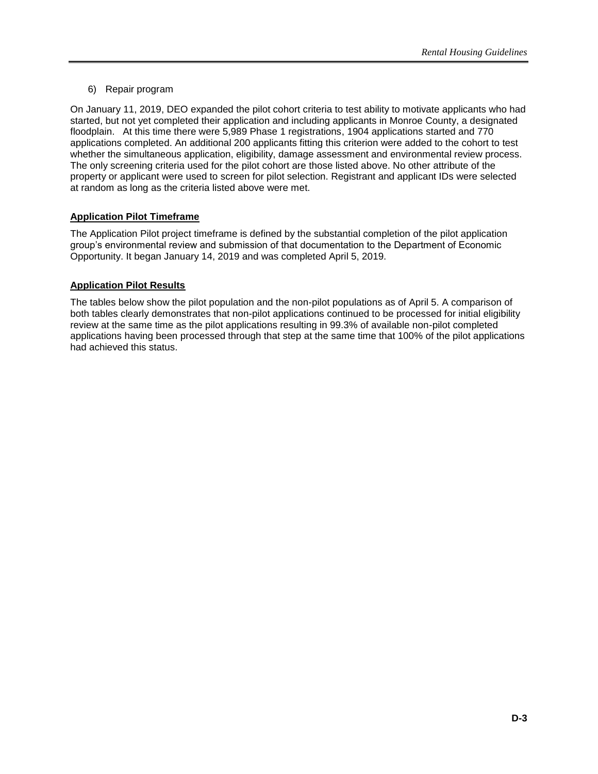### 6) Repair program

On January 11, 2019, DEO expanded the pilot cohort criteria to test ability to motivate applicants who had started, but not yet completed their application and including applicants in Monroe County, a designated floodplain. At this time there were 5,989 Phase 1 registrations, 1904 applications started and 770 applications completed. An additional 200 applicants fitting this criterion were added to the cohort to test whether the simultaneous application, eligibility, damage assessment and environmental review process. The only screening criteria used for the pilot cohort are those listed above. No other attribute of the property or applicant were used to screen for pilot selection. Registrant and applicant IDs were selected at random as long as the criteria listed above were met.

#### <span id="page-62-0"></span>**Application Pilot Timeframe**

The Application Pilot project timeframe is defined by the substantial completion of the pilot application group's environmental review and submission of that documentation to the Department of Economic Opportunity. It began January 14, 2019 and was completed April 5, 2019.

#### <span id="page-62-1"></span>**Application Pilot Results**

The tables below show the pilot population and the non-pilot populations as of April 5. A comparison of both tables clearly demonstrates that non-pilot applications continued to be processed for initial eligibility review at the same time as the pilot applications resulting in 99.3% of available non-pilot completed applications having been processed through that step at the same time that 100% of the pilot applications had achieved this status.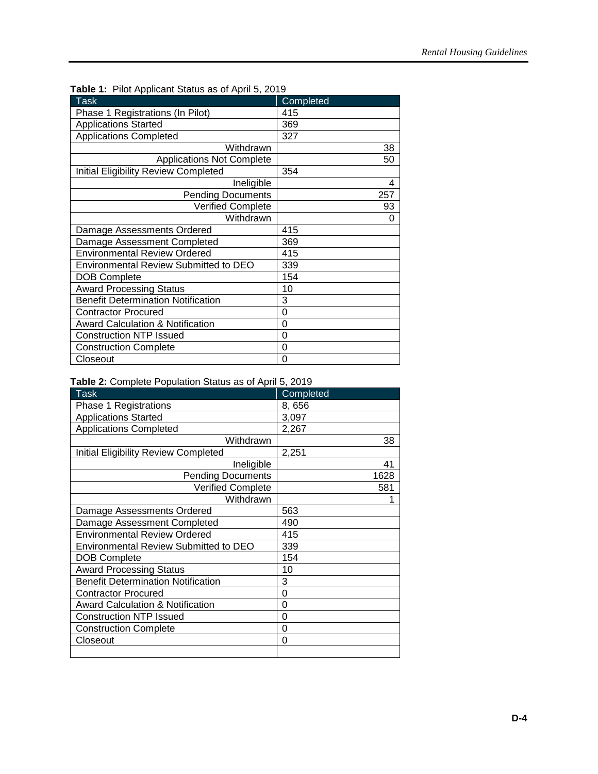| $\cdots$ $\cdots$ $\cdots$ $\cdots$ $\cdots$ $\cdots$ $\cdots$ $\cdots$ $\cdots$ $\cdots$ |           |
|-------------------------------------------------------------------------------------------|-----------|
| <b>Task</b>                                                                               | Completed |
| Phase 1 Registrations (In Pilot)                                                          | 415       |
| <b>Applications Started</b>                                                               | 369       |
| <b>Applications Completed</b>                                                             | 327       |
| Withdrawn                                                                                 | 38        |
| <b>Applications Not Complete</b>                                                          | 50        |
| <b>Initial Eligibility Review Completed</b>                                               | 354       |
| Ineligible                                                                                | 4         |
| <b>Pending Documents</b>                                                                  | 257       |
| <b>Verified Complete</b>                                                                  | 93        |
| Withdrawn                                                                                 | 0         |
| Damage Assessments Ordered                                                                | 415       |
| Damage Assessment Completed                                                               | 369       |
| <b>Environmental Review Ordered</b>                                                       | 415       |
| <b>Environmental Review Submitted to DEO</b>                                              | 339       |
| <b>DOB Complete</b>                                                                       | 154       |
| <b>Award Processing Status</b>                                                            | 10        |
| <b>Benefit Determination Notification</b>                                                 | 3         |
| <b>Contractor Procured</b>                                                                | $\Omega$  |
| <b>Award Calculation &amp; Notification</b>                                               | 0         |
| <b>Construction NTP Issued</b>                                                            | $\Omega$  |
| <b>Construction Complete</b>                                                              | 0         |
| Closeout                                                                                  | 0         |

**Table 1:** Pilot Applicant Status as of April 5, 2019

|  |  | Table 2: Complete Population Status as of April 5, 2019 |  |  |  |  |
|--|--|---------------------------------------------------------|--|--|--|--|
|--|--|---------------------------------------------------------|--|--|--|--|

| <b>Task</b>                                 | Completed |
|---------------------------------------------|-----------|
| Phase 1 Registrations                       | 8,656     |
| <b>Applications Started</b>                 | 3,097     |
| <b>Applications Completed</b>               | 2,267     |
| Withdrawn                                   | 38        |
| <b>Initial Eligibility Review Completed</b> | 2,251     |
| Ineligible                                  | 41        |
| <b>Pending Documents</b>                    | 1628      |
| <b>Verified Complete</b>                    | 581       |
| Withdrawn                                   | 1         |
| Damage Assessments Ordered                  | 563       |
| Damage Assessment Completed                 | 490       |
| <b>Environmental Review Ordered</b>         | 415       |
| Environmental Review Submitted to DEO       | 339       |
| <b>DOB Complete</b>                         | 154       |
| <b>Award Processing Status</b>              | 10        |
| <b>Benefit Determination Notification</b>   | 3         |
| <b>Contractor Procured</b>                  | 0         |
| <b>Award Calculation &amp; Notification</b> | 0         |
| <b>Construction NTP Issued</b>              | 0         |
| <b>Construction Complete</b>                | 0         |
| Closeout                                    | 0         |
|                                             |           |